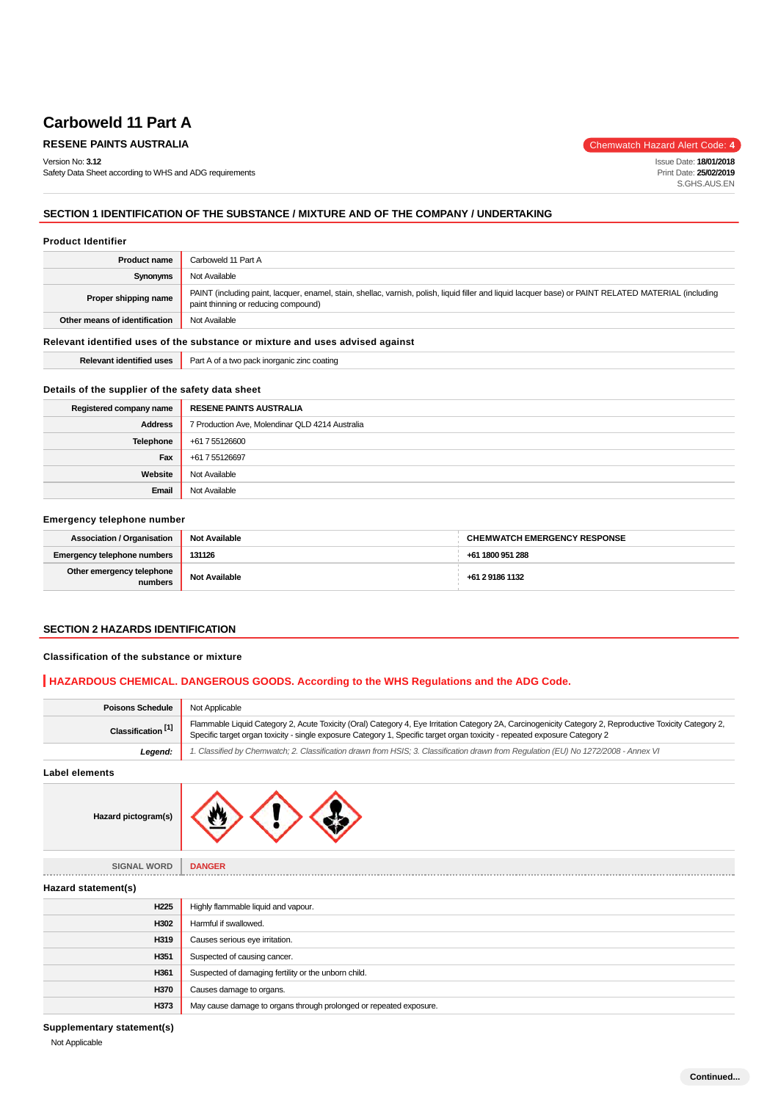### **Carboweld 11 Part A**

### **RESENE PAINTS AUSTRALIA** Chemwatch Hazard Alert Code: 4

Version No: **3.12**

Safety Data Sheet according to WHS and ADG requirements

Issue Date: **18/01/2018** Print Date: **25/02/2019** S.GHS.AUS.EN

### **SECTION 1 IDENTIFICATION OF THE SUBSTANCE / MIXTURE AND OF THE COMPANY / UNDERTAKING**

#### **Product Identifier**

| <b>Product name</b>                                                           | Carboweld 11 Part A                                                                                                                                                                           |  |
|-------------------------------------------------------------------------------|-----------------------------------------------------------------------------------------------------------------------------------------------------------------------------------------------|--|
| Synonyms                                                                      | Not Available                                                                                                                                                                                 |  |
| Proper shipping name                                                          | PAINT (including paint, lacquer, enamel, stain, shellac, varnish, polish, liquid filler and liquid lacquer base) or PAINT RELATED MATERIAL (including<br>paint thinning or reducing compound) |  |
| Other means of identification                                                 | Not Available                                                                                                                                                                                 |  |
| Relevant identified uses of the substance or mixture and uses advised against |                                                                                                                                                                                               |  |
| <b>Relevant identified uses</b>                                               | Part A of a two pack inorganic zinc coating                                                                                                                                                   |  |

### **Details of the supplier of the safety data sheet**

| Registered company name | <b>RESENE PAINTS AUSTRALIA</b>                  |
|-------------------------|-------------------------------------------------|
| <b>Address</b>          | 7 Production Ave, Molendinar QLD 4214 Australia |
| <b>Telephone</b>        | +61 7 55126600                                  |
| Fax                     | +61 7 55126697                                  |
| Website                 | Not Available                                   |
| Email                   | Not Available                                   |

#### **Emergency telephone number**

| <b>Association / Organisation</b>    | <b>Not Available</b> | <b>CHEMWATCH EMERGENCY RESPONSE</b> |
|--------------------------------------|----------------------|-------------------------------------|
| Emergency telephone numbers          | 131126               | +61 1800 951 288                    |
| Other emergency telephone<br>numbers | <b>Not Available</b> | +61 2 9186 1132                     |

### **SECTION 2 HAZARDS IDENTIFICATION**

### **Classification of the substance or mixture**

### **HAZARDOUS CHEMICAL. DANGEROUS GOODS. According to the WHS Regulations and the ADG Code.**

| <b>Poisons Schedule</b>       | Not Applicable                                                                                                                                                                                                                                                                         |
|-------------------------------|----------------------------------------------------------------------------------------------------------------------------------------------------------------------------------------------------------------------------------------------------------------------------------------|
| Classification <sup>[1]</sup> | Flammable Liquid Category 2, Acute Toxicity (Oral) Category 4, Eye Irritation Category 2A, Carcinogenicity Category 2, Reproductive Toxicity Category 2,<br>Specific target organ toxicity - single exposure Category 1, Specific target organ toxicity - repeated exposure Category 2 |
| Legend:                       | 1. Classified by Chemwatch; 2. Classification drawn from HSIS; 3. Classification drawn from Requlation (EU) No 1272/2008 - Annex VI                                                                                                                                                    |
| .                             |                                                                                                                                                                                                                                                                                        |

**Label elements**



| <b>SIGNAL WORD</b>  | <b>DANGER</b>                                                      |
|---------------------|--------------------------------------------------------------------|
| Hazard statement(s) |                                                                    |
| H <sub>225</sub>    | Highly flammable liquid and vapour.                                |
| H302                | Harmful if swallowed.                                              |
| H319                | Causes serious eye irritation.                                     |
| H351                | Suspected of causing cancer.                                       |
| H361                | Suspected of damaging fertility or the unborn child.               |
| H370                | Causes damage to organs.                                           |
| H373                | May cause damage to organs through prolonged or repeated exposure. |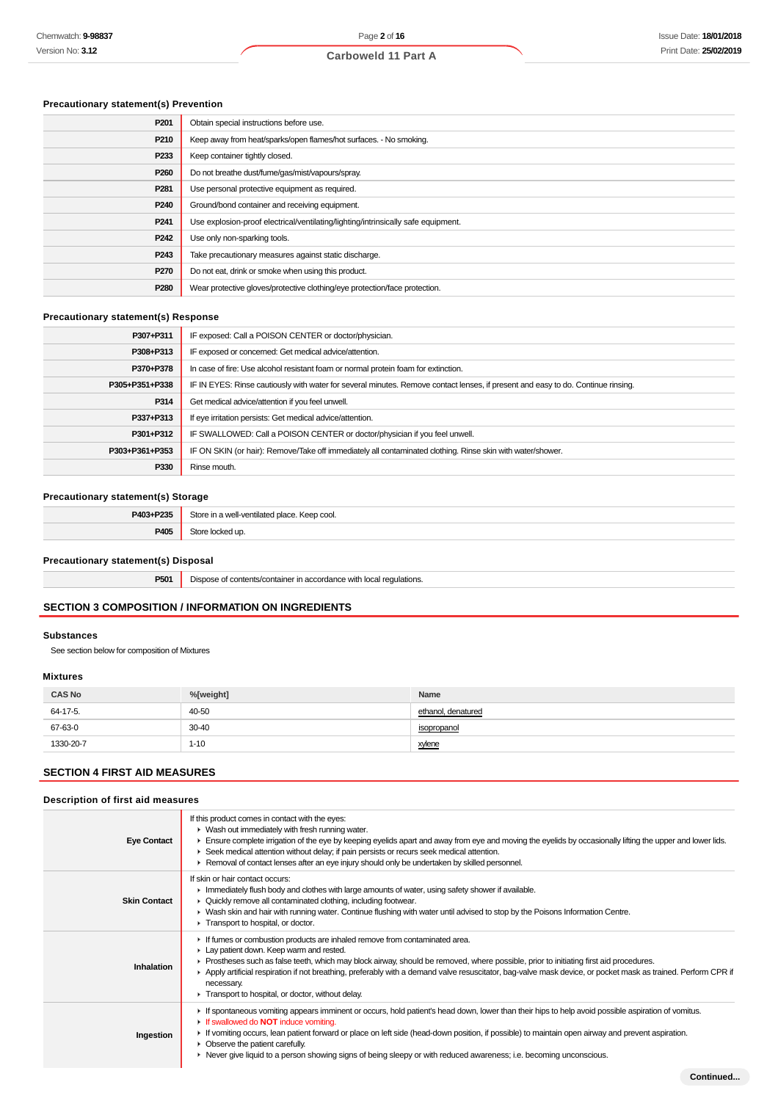### **Precautionary statement(s) Prevention**

| P201             | Obtain special instructions before use.                                           |
|------------------|-----------------------------------------------------------------------------------|
| P210             | Keep away from heat/sparks/open flames/hot surfaces. - No smoking.                |
| P <sub>233</sub> | Keep container tightly closed.                                                    |
| P <sub>260</sub> | Do not breathe dust/fume/gas/mist/vapours/spray.                                  |
| P <sub>281</sub> | Use personal protective equipment as required.                                    |
| P <sub>240</sub> | Ground/bond container and receiving equipment.                                    |
| P <sub>241</sub> | Use explosion-proof electrical/ventilating/lighting/intrinsically safe equipment. |
| P <sub>242</sub> | Use only non-sparking tools.                                                      |
| P <sub>243</sub> | Take precautionary measures against static discharge.                             |
| P <sub>270</sub> | Do not eat, drink or smoke when using this product.                               |
| P280             | Wear protective gloves/protective clothing/eye protection/face protection.        |
|                  |                                                                                   |

### **Precautionary statement(s) Response**

| P307+P311      | IF exposed: Call a POISON CENTER or doctor/physician.                                                                            |
|----------------|----------------------------------------------------------------------------------------------------------------------------------|
| P308+P313      | IF exposed or concerned: Get medical advice/attention.                                                                           |
| P370+P378      | In case of fire: Use alcohol resistant foam or normal protein foam for extinction.                                               |
| P305+P351+P338 | IF IN EYES: Rinse cautiously with water for several minutes. Remove contact lenses, if present and easy to do. Continue rinsing. |
| P314           | Get medical advice/attention if you feel unwell.                                                                                 |
| P337+P313      | If eye irritation persists: Get medical advice/attention.                                                                        |
| P301+P312      | IF SWALLOWED: Call a POISON CENTER or doctor/physician if you feel unwell.                                                       |
| P303+P361+P353 | IF ON SKIN (or hair): Remove/Take off immediately all contaminated clothing. Rinse skin with water/shower.                       |
| P330           | Rinse mouth.                                                                                                                     |

### **Precautionary statement(s) Storage**

| D402.<br>. Door | ٦٠٨<br>$\cdots$<br>u vontilatod place<br>Keep cool.<br>. |
|-----------------|----------------------------------------------------------|
| <b>DANE</b>     | $\ddot{}$                                                |

#### **Precautionary statement(s) Disposal**

**P501** Dispose of contents/container in accordance with local regulations.

### **SECTION 3 COMPOSITION / INFORMATION ON INGREDIENTS**

### **Substances**

See section below for composition of Mixtures

#### **Mixtures**

| <b>CAS No</b> | %[weight] | Name               |
|---------------|-----------|--------------------|
| 64-17-5.      | 40-50     | ethanol, denatured |
| 67-63-0       | $30 - 40$ | isopropanol        |
| 1330-20-7     | $1 - 10$  | xylene             |

### **SECTION 4 FIRST AID MEASURES**

### **Description of first aid measures**

| <b>Eye Contact</b>  | If this product comes in contact with the eyes:<br>• Wash out immediately with fresh running water.<br>Ensure complete irrigation of the eye by keeping eyelids apart and away from eye and moving the eyelids by occasionally lifting the upper and lower lids.<br>► Seek medical attention without delay; if pain persists or recurs seek medical attention.<br>► Removal of contact lenses after an eye injury should only be undertaken by skilled personnel.                                                 |
|---------------------|-------------------------------------------------------------------------------------------------------------------------------------------------------------------------------------------------------------------------------------------------------------------------------------------------------------------------------------------------------------------------------------------------------------------------------------------------------------------------------------------------------------------|
| <b>Skin Contact</b> | If skin or hair contact occurs:<br>In mediately flush body and clothes with large amounts of water, using safety shower if available.<br>• Quickly remove all contaminated clothing, including footwear.<br>▶ Wash skin and hair with running water. Continue flushing with water until advised to stop by the Poisons Information Centre.<br>Transport to hospital, or doctor.                                                                                                                                   |
| Inhalation          | If fumes or combustion products are inhaled remove from contaminated area.<br>Lay patient down. Keep warm and rested.<br>Prostheses such as false teeth, which may block airway, should be removed, where possible, prior to initiating first aid procedures.<br>▶ Apply artificial respiration if not breathing, preferably with a demand valve resuscitator, bag-valve mask device, or pocket mask as trained. Perform CPR if<br>necessary.<br>Transport to hospital, or doctor, without delay.                 |
| Ingestion           | If spontaneous vomiting appears imminent or occurs, hold patient's head down, lower than their hips to help avoid possible aspiration of vomitus.<br>If swallowed do <b>NOT</b> induce vomiting.<br>► If vomiting occurs, lean patient forward or place on left side (head-down position, if possible) to maintain open airway and prevent aspiration.<br>• Observe the patient carefully.<br>► Never give liquid to a person showing signs of being sleepy or with reduced awareness; i.e. becoming unconscious. |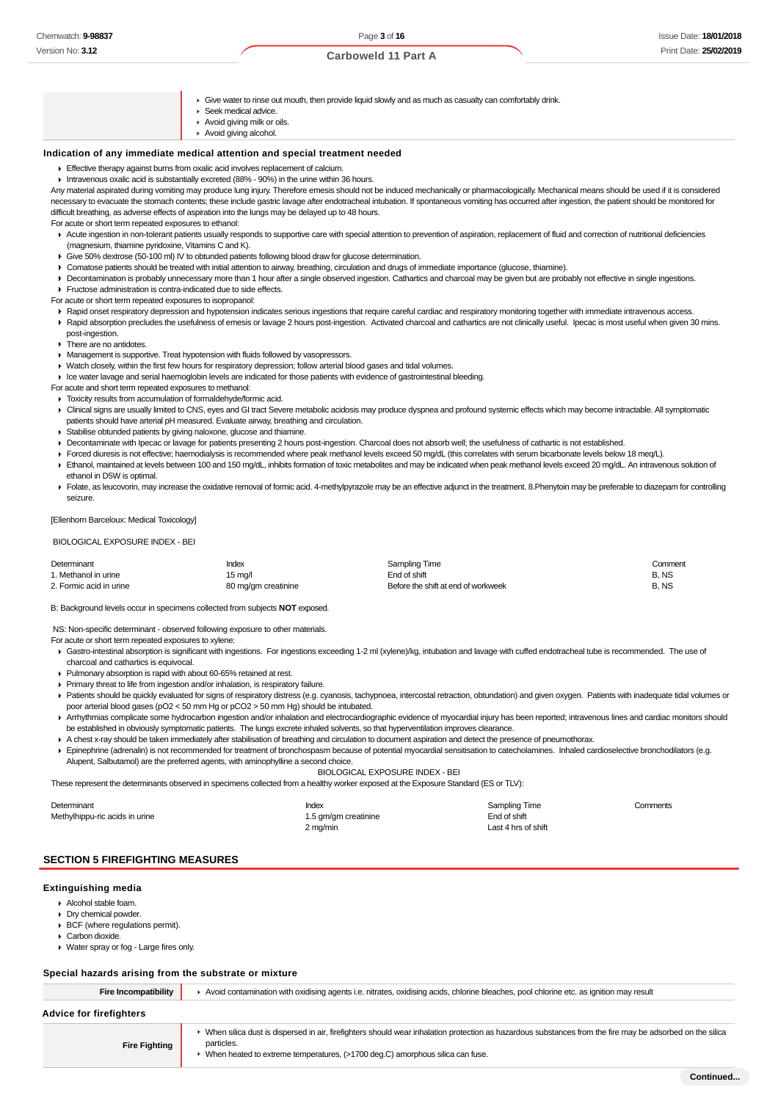#### **Carboweld 11 Part A**

- $\blacktriangleright$  Give water to rinse out mouth, then provide liquid slowly and as much as casualty can comfortably drink.
- Seek medical advice.
- Avoid giving milk or oils.
- Avoid giving alcohol.

#### **Indication of any immediate medical attention and special treatment needed**

Effective therapy against burns from oxalic acid involves replacement of calcium.

Intravenous oxalic acid is substantially excreted (88% - 90%) in the urine within 36 hours.

Any material aspirated during vomiting may produce lung injury. Therefore emesis should not be induced mechanically or pharmacologically. Mechanical means should be used if it is considered necessary to evacuate the stomach contents; these include gastric lavage after endotracheal intubation. If spontaneous vomiting has occurred after ingestion, the patient should be monitored for difficult breathing, as adverse effects of aspiration into the lungs may be delayed up to 48 hours.

For acute or short term repeated exposures to ethanol:

- Acute ingestion in non-tolerant patients usually responds to supportive care with special attention to prevention of aspiration, replacement of fluid and correction of nutritional deficiencies (magnesium, thiamine pyridoxine, Vitamins C and K).
- Give 50% dextrose (50-100 ml) IV to obtunded patients following blood draw for glucose determination.
- Comatose patients should be treated with initial attention to airway, breathing, circulation and drugs of immediate importance (glucose, thiamine).
- Decontamination is probably unnecessary more than 1 hour after a single observed ingestion. Cathartics and charcoal may be given but are probably not effective in single ingestions. **Fructose administration is contra-indicated due to side effects.**

For acute or short term repeated exposures to isopropanol:

- ▶ Rapid onset respiratory depression and hypotension indicates serious ingestions that require careful cardiac and respiratory monitoring together with immediate intravenous access.
- Rapid absorption precludes the usefulness of emesis or lavage 2 hours post-ingestion. Activated charcoal and cathartics are not clinically useful. Ipecac is most useful when given 30 mins. post-ingestion.
- **F** There are no antidotes.
- Management is supportive. Treat hypotension with fluids followed by vasopressors.
- Watch closely, within the first few hours for respiratory depression; follow arterial blood gases and tidal volumes.
- Ice water lavage and serial haemoglobin levels are indicated for those patients with evidence of gastrointestinal bleeding.
- For acute and short term repeated exposures to methanol:
- $\triangleright$  Toxicity results from accumulation of formaldehyde/formic acid.
- ▶ Clinical signs are usually limited to CNS, eyes and GI tract Severe metabolic acidosis may produce dyspnea and profound systemic effects which may become intractable. All symptomatic patients should have arterial pH measured. Evaluate airway, breathing and circulation.
- Stabilise obtunded patients by giving naloxone, glucose and thiamine.
- ▶ Decontaminate with Ipecac or lavage for patients presenting 2 hours post-ingestion. Charcoal does not absorb well; the usefulness of cathartic is not established.
- Forced diuresis is not effective; haemodialysis is recommended where peak methanol levels exceed 50 mg/dL (this correlates with serum bicarbonate levels below 18 meq/L).
- Ethanol, maintained at levels between 100 and 150 mg/dL, inhibits formation of toxic metabolites and may be indicated when peak methanol levels exceed 20 mg/dL. An intravenous solution of ethanol in D5W is optimal.
- Folate, as leucovorin, may increase the oxidative removal of formic acid. 4-methylpyrazole may be an effective adjunct in the treatment. 8.Phenytoin may be preferable to diazepam for controlling seizure.

[Ellenhorn Barceloux: Medical Toxicology]

BIOLOGICAL EXPOSURE INDEX - BEI

| Determinant             | Index               | Sampling Time                       | Comment |
|-------------------------|---------------------|-------------------------------------|---------|
| 1. Methanol in urine    | 15 mg/l             | End of shift                        | B.NS    |
| 2. Formic acid in urine | 80 mg/gm creatinine | Before the shift at end of workweek | B.NS    |

B: Background levels occur in specimens collected from subjects **NOT** exposed.

NS: Non-specific determinant - observed following exposure to other materials.

- For acute or short term repeated exposures to xylene:
- Gastro-intestinal absorption is significant with ingestions. For ingestions exceeding 1-2 ml (xylene)/kg, intubation and lavage with cuffed endotracheal tube is recommended. The use of charcoal and cathartics is equivocal.
- Pulmonary absorption is rapid with about 60-65% retained at rest.
- Primary threat to life from ingestion and/or inhalation, is respiratory failure.
- Patients should be quickly evaluated for signs of respiratory distress (e.g. cyanosis, tachypnoea, intercostal retraction, obtundation) and given oxygen. Patients with inadequate tidal volumes or poor arterial blood gases (pO2 < 50 mm Hg or pCO2 > 50 mm Hg) should be intubated.
- ▶ Arrhythmias complicate some hydrocarbon ingestion and/or inhalation and electrocardiographic evidence of myocardial injury has been reported; intravenous lines and cardiac monitors should be established in obviously symptomatic patients. The lungs excrete inhaled solvents, so that hyperventilation improves clearance.
- A chest x-ray should be taken immediately after stabilisation of breathing and circulation to document aspiration and detect the presence of pneumothorax.
- Epinephrine (adrenalin) is not recommended for treatment of bronchospasm because of potential myocardial sensitisation to catecholamines. Inhaled cardioselective bronchodilators (e.g. Alupent, Salbutamol) are the preferred agents, with aminophylline a second choice.

BIOLOGICAL EXPOSURE INDEX - BEI

These represent the determinants observed in specimens collected from a healthy worker exposed at the Exposure Standard (ES or TLV):

| Determinant                    | Index                | Sampling Time       | Comments |
|--------------------------------|----------------------|---------------------|----------|
| Methylhippu-ric acids in urine | 1.5 gm/gm creatinine | End of shift        |          |
|                                | 2 mg/min             | Last 4 hrs of shift |          |

#### **SECTION 5 FIREFIGHTING MEASURES**

#### **Extinguishing media**

- Alcohol stable foam.
- Dry chemical powder.
- **BCF** (where regulations permit).
- Carbon dioxide.
- Water spray or fog Large fires only.

### **Special hazards arising from the substrate or mixture**

| <b>Fire Incompatibility</b>    | Avoid contamination with oxidising agents i.e. nitrates, oxidising acids, chlorine bleaches, pool chlorine etc. as ignition may result                                                                                                                    |  |  |  |
|--------------------------------|-----------------------------------------------------------------------------------------------------------------------------------------------------------------------------------------------------------------------------------------------------------|--|--|--|
| <b>Advice for firefighters</b> |                                                                                                                                                                                                                                                           |  |  |  |
| <b>Fire Fighting</b>           | • When silica dust is dispersed in air, firefighters should wear inhalation protection as hazardous substances from the fire may be adsorbed on the silica<br>particles.<br>When heated to extreme temperatures, (>1700 deg.C) amorphous silica can fuse. |  |  |  |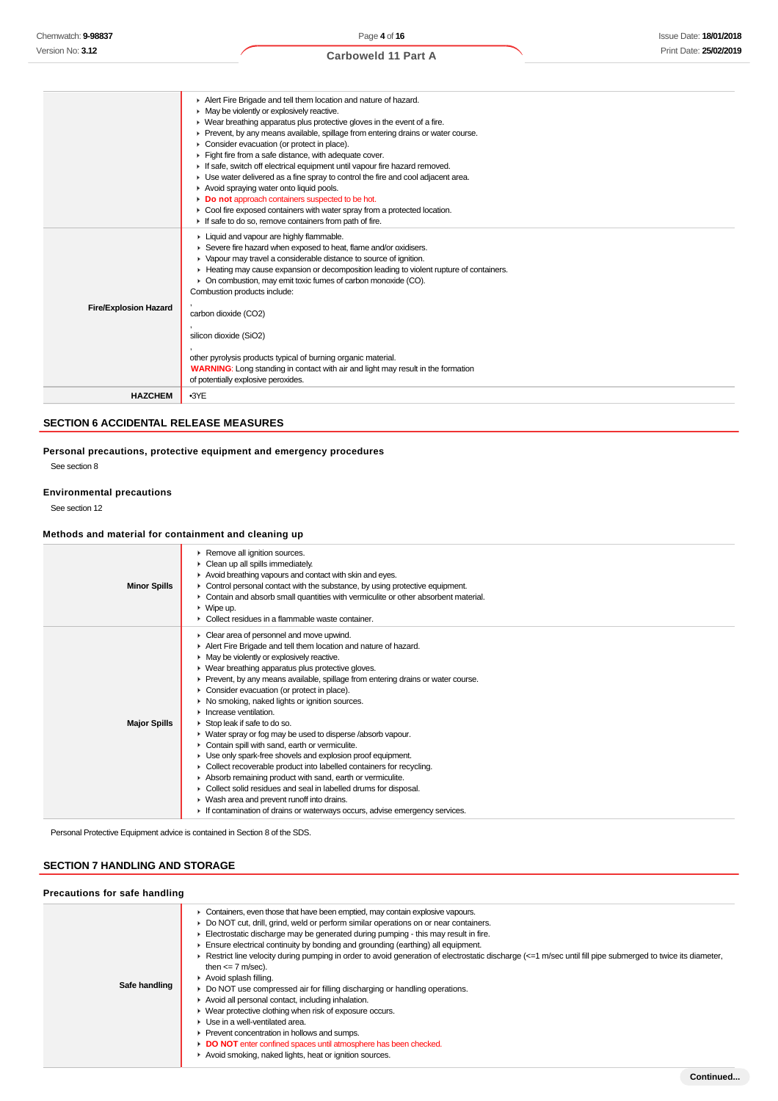|                              | Alert Fire Brigade and tell them location and nature of hazard.                          |
|------------------------------|------------------------------------------------------------------------------------------|
|                              | • May be violently or explosively reactive.                                              |
|                              | • Wear breathing apparatus plus protective gloves in the event of a fire.                |
|                              | ► Prevent, by any means available, spillage from entering drains or water course.        |
|                              | • Consider evacuation (or protect in place).                                             |
|                              | Fight fire from a safe distance, with adequate cover.                                    |
|                              | If safe, switch off electrical equipment until vapour fire hazard removed.               |
|                              | • Use water delivered as a fine spray to control the fire and cool adjacent area.        |
|                              | Avoid spraying water onto liquid pools.                                                  |
|                              | Do not approach containers suspected to be hot.                                          |
|                              | • Cool fire exposed containers with water spray from a protected location.               |
|                              | If safe to do so, remove containers from path of fire.                                   |
|                              | Liquid and vapour are highly flammable.                                                  |
|                              | Severe fire hazard when exposed to heat, flame and/or oxidisers.                         |
|                              | ▶ Vapour may travel a considerable distance to source of ignition.                       |
|                              | ► Heating may cause expansion or decomposition leading to violent rupture of containers. |
|                              | • On combustion, may emit toxic fumes of carbon monoxide (CO).                           |
|                              | Combustion products include:                                                             |
| <b>Fire/Explosion Hazard</b> |                                                                                          |
|                              | carbon dioxide (CO2)                                                                     |
|                              |                                                                                          |
|                              | silicon dioxide (SiO2)                                                                   |
|                              | other pyrolysis products typical of burning organic material.                            |
|                              | <b>WARNING:</b> Long standing in contact with air and light may result in the formation  |
|                              | of potentially explosive peroxides.                                                      |
|                              |                                                                                          |
| <b>HAZCHEM</b>               | $-3YE$                                                                                   |

### **SECTION 6 ACCIDENTAL RELEASE MEASURES**

### **Personal precautions, protective equipment and emergency procedures**

See section 8

### **Environmental precautions**

See section 12

### **Methods and material for containment and cleaning up**

| <b>Minor Spills</b> | Remove all ignition sources.<br>Clean up all spills immediately.<br>Avoid breathing vapours and contact with skin and eyes.<br>• Control personal contact with the substance, by using protective equipment.<br>• Contain and absorb small quantities with vermiculite or other absorbent material.<br>$\triangleright$ Wipe up.<br>$\blacktriangleright$ Collect residues in a flammable waste container.                                                                                                                                                                                                                                                                                                                                                                                                                                                                                                                                                                                                         |
|---------------------|--------------------------------------------------------------------------------------------------------------------------------------------------------------------------------------------------------------------------------------------------------------------------------------------------------------------------------------------------------------------------------------------------------------------------------------------------------------------------------------------------------------------------------------------------------------------------------------------------------------------------------------------------------------------------------------------------------------------------------------------------------------------------------------------------------------------------------------------------------------------------------------------------------------------------------------------------------------------------------------------------------------------|
| <b>Major Spills</b> | • Clear area of personnel and move upwind.<br>Alert Fire Brigade and tell them location and nature of hazard.<br>• May be violently or explosively reactive.<br>• Wear breathing apparatus plus protective gloves.<br>• Prevent, by any means available, spillage from entering drains or water course.<br>• Consider evacuation (or protect in place).<br>• No smoking, naked lights or ignition sources.<br>$\blacktriangleright$ Increase ventilation.<br>Stop leak if safe to do so.<br>• Water spray or fog may be used to disperse /absorb vapour.<br>Contain spill with sand, earth or vermiculite.<br>• Use only spark-free shovels and explosion proof equipment.<br>• Collect recoverable product into labelled containers for recycling.<br>Absorb remaining product with sand, earth or vermiculite.<br>• Collect solid residues and seal in labelled drums for disposal.<br>• Wash area and prevent runoff into drains.<br>If contamination of drains or waterways occurs, advise emergency services. |

Personal Protective Equipment advice is contained in Section 8 of the SDS.

### **SECTION 7 HANDLING AND STORAGE**

| Precautions for safe handling |                                                                                                                                                                                                                                                                                                                                                                                                                                                                                                                                                                                                                                                                                                                                                                                                                                                                                                                                                                                                                             |  |  |  |
|-------------------------------|-----------------------------------------------------------------------------------------------------------------------------------------------------------------------------------------------------------------------------------------------------------------------------------------------------------------------------------------------------------------------------------------------------------------------------------------------------------------------------------------------------------------------------------------------------------------------------------------------------------------------------------------------------------------------------------------------------------------------------------------------------------------------------------------------------------------------------------------------------------------------------------------------------------------------------------------------------------------------------------------------------------------------------|--|--|--|
| Safe handling                 | • Containers, even those that have been emptied, may contain explosive vapours.<br>► Do NOT cut, drill, grind, weld or perform similar operations on or near containers.<br>$\blacktriangleright$ Electrostatic discharge may be generated during pumping - this may result in fire.<br>Ensure electrical continuity by bonding and grounding (earthing) all equipment.<br>Exercit line velocity during pumping in order to avoid generation of electrostatic discharge (<=1 m/sec until fill pipe submerged to twice its diameter,<br>then $\leq$ 7 m/sec).<br>Avoid splash filling.<br>► Do NOT use compressed air for filling discharging or handling operations.<br>Avoid all personal contact, including inhalation.<br>• Wear protective clothing when risk of exposure occurs.<br>$\blacktriangleright$ Use in a well-ventilated area.<br>▶ Prevent concentration in hollows and sumps.<br>DO NOT enter confined spaces until atmosphere has been checked.<br>Avoid smoking, naked lights, heat or ignition sources. |  |  |  |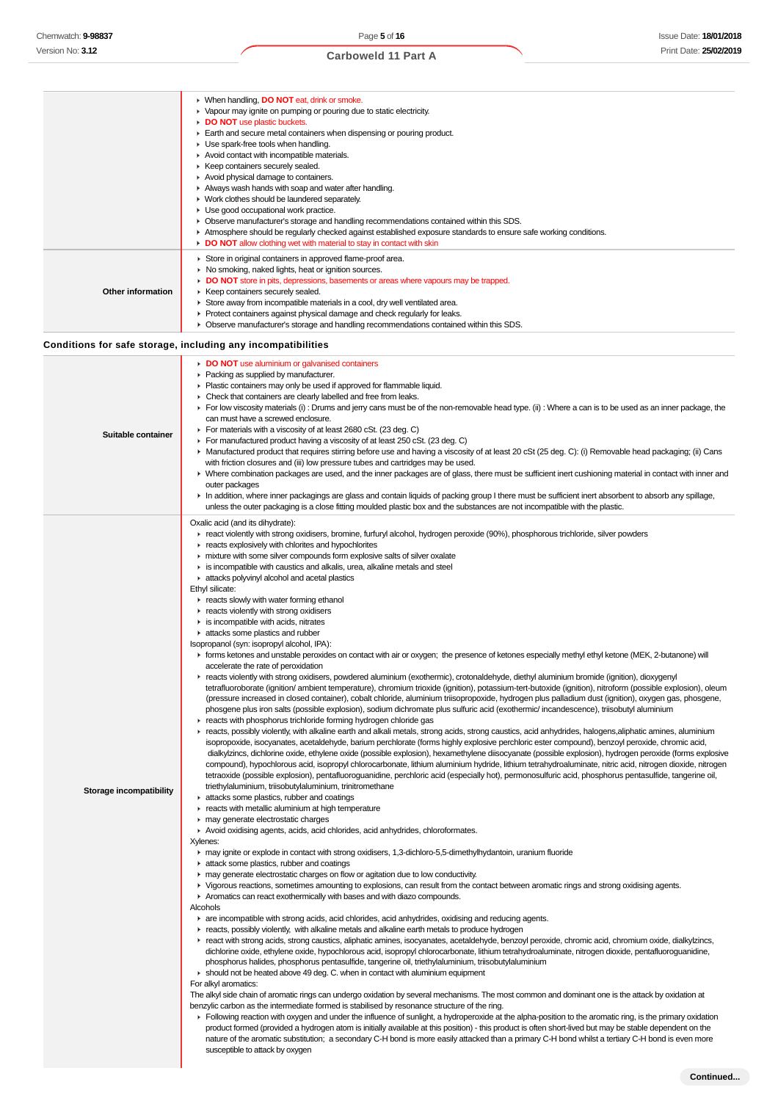#### When handling, **DO NOT** eat, drink or smoke. Vapour may ignite on pumping or pouring due to static electricity. **DO NOT** use plastic buckets. Earth and secure metal containers when dispensing or pouring product. **E** Use spark-free tools when handling. Avoid contact with incompatible materials.  $\blacktriangleright$  Keep containers securely sealed. Avoid physical damage to containers. Always wash hands with soap and water after handling. **Work clothes should be laundered separately.** ► Use good occupational work practice. Observe manufacturer's storage and handling recommendations contained within this SDS. Atmosphere should be regularly checked against established exposure standards to ensure safe working conditions. **DO NOT** allow clothing wet with material to stay in contact with skin Store in original containers in approved flame-proof area.  $\blacktriangleright$  No smoking, naked lights, heat or ignition sources. **DO NOT** store in pits, depressions, basements or areas where vapours may be trapped. **Other information**  $\blacktriangleright$  Keep containers securely sealed. Store away from incompatible materials in a cool, dry well ventilated area. Protect containers against physical damage and check regularly for leaks. Observe manufacturer's storage and handling recommendations contained within this SDS. **Conditions for safe storage, including any incompatibilities DO NOT** use aluminium or galvanised containers Packing as supplied by manufacturer. Plastic containers may only be used if approved for flammable liquid. Check that containers are clearly labelled and free from leaks. For low viscosity materials (i) : Drums and jerry cans must be of the non-removable head type. (ii) : Where a can is to be used as an inner package, the can must have a screwed enclosure. For materials with a viscosity of at least 2680 cSt. (23 deg. C) **Suitable container** For manufactured product having a viscosity of at least 250 cSt. (23 deg. C) ▶ Manufactured product that requires stirring before use and having a viscosity of at least 20 cSt (25 deg. C): (i) Removable head packaging; (ii) Cans with friction closures and (iii) low pressure tubes and cartridges may be used. Where combination packages are used, and the inner packages are of glass, there must be sufficient inert cushioning material in contact with inner and outer packages In addition, where inner packagings are glass and contain liquids of packing group I there must be sufficient inert absorbent to absorb any spillage, unless the outer packaging is a close fitting moulded plastic box and the substances are not incompatible with the plastic. Oxalic acid (and its dihydrate): react violently with strong oxidisers, bromine, furfuryl alcohol, hydrogen peroxide (90%), phosphorous trichloride, silver powders  $\blacktriangleright$  reacts explosively with chlorites and hypochlorites mixture with some silver compounds form explosive salts of silver oxalate is incompatible with caustics and alkalis, urea, alkaline metals and steel attacks polyvinyl alcohol and acetal plastics Ethyl silicate: **F** reacts slowly with water forming ethanol  $\blacktriangleright$  reacts violently with strong oxidisers  $\blacktriangleright$  is incompatible with acids, nitrates **attacks some plastics and rubber** Isopropanol (syn: isopropyl alcohol, IPA): forms ketones and unstable peroxides on contact with air or oxygen; the presence of ketones especially methyl ethyl ketone (MEK, 2-butanone) will accelerate the rate of peroxidation reacts violently with strong oxidisers, powdered aluminium (exothermic), crotonaldehyde, diethyl aluminium bromide (ignition), dioxygenyl tetrafluoroborate (ignition/ ambient temperature), chromium trioxide (ignition), potassium-tert-butoxide (ignition), nitroform (possible explosion), oleum (pressure increased in closed container), cobalt chloride, aluminium triisopropoxide, hydrogen plus palladium dust (ignition), oxygen gas, phosgene, phosgene plus iron salts (possible explosion), sodium dichromate plus sulfuric acid (exothermic/ incandescence), triisobutyl aluminium **F** reacts with phosphorus trichloride forming hydrogen chloride gas reacts, possibly violently, with alkaline earth and alkali metals, strong acids, strong caustics, acid anhydrides, halogens,aliphatic amines, aluminium isopropoxide, isocyanates, acetaldehyde, barium perchlorate (forms highly explosive perchloric ester compound), benzoyl peroxide, chromic acid, dialkylzincs, dichlorine oxide, ethylene oxide (possible explosion), hexamethylene diisocyanate (possible explosion), hydrogen peroxide (forms explosive compound), hypochlorous acid, isopropyl chlorocarbonate, lithium aluminium hydride, lithium tetrahydroaluminate, nitric acid, nitrogen dioxide, nitrogen tetraoxide (possible explosion), pentafluoroguanidine, perchloric acid (especially hot), permonosulfuric acid, phosphorus pentasulfide, tangerine oil, triethylaluminium, triisobutylaluminium, trinitromethane **Storage incompatibility attacks some plastics, rubber and coatings** reacts with metallic aluminium at high temperature ¥ **F** may generate electrostatic charges Avoid oxidising agents, acids, acid chlorides, acid anhydrides, chloroformates. Xylenes: may ignite or explode in contact with strong oxidisers, 1,3-dichloro-5,5-dimethylhydantoin, uranium fluoride **attack some plastics, rubber and coatings**  $\blacktriangleright$  may generate electrostatic charges on flow or agitation due to low conductivity. Vigorous reactions, sometimes amounting to explosions, can result from the contact between aromatic rings and strong oxidising agents. Aromatics can react exothermically with bases and with diazo compounds. Alcohols are incompatible with strong acids, acid chlorides, acid anhydrides, oxidising and reducing agents.  $\blacktriangleright$  reacts, possibly violently, with alkaline metals and alkaline earth metals to produce hydrogen react with strong acids, strong caustics, aliphatic amines, isocyanates, acetaldehyde, benzoyl peroxide, chromic acid, chromium oxide, dialkylzincs, dichlorine oxide, ethylene oxide, hypochlorous acid, isopropyl chlorocarbonate, lithium tetrahydroaluminate, nitrogen dioxide, pentafluoroguanidine, phosphorus halides, phosphorus pentasulfide, tangerine oil, triethylaluminium, triisobutylaluminium **Should not be heated above 49 deg. C. when in contact with aluminium equipment** For alkyl aromatics: The alkyl side chain of aromatic rings can undergo oxidation by several mechanisms. The most common and dominant one is the attack by oxidation at benzylic carbon as the intermediate formed is stabilised by resonance structure of the ring. Following reaction with oxygen and under the influence of sunlight, a hydroperoxide at the alpha-position to the aromatic ring, is the primary oxidation product formed (provided a hydrogen atom is initially available at this position) - this product is often short-lived but may be stable dependent on the nature of the aromatic substitution; a secondary C-H bond is more easily attacked than a primary C-H bond whilst a tertiary C-H bond is even more susceptible to attack by oxygen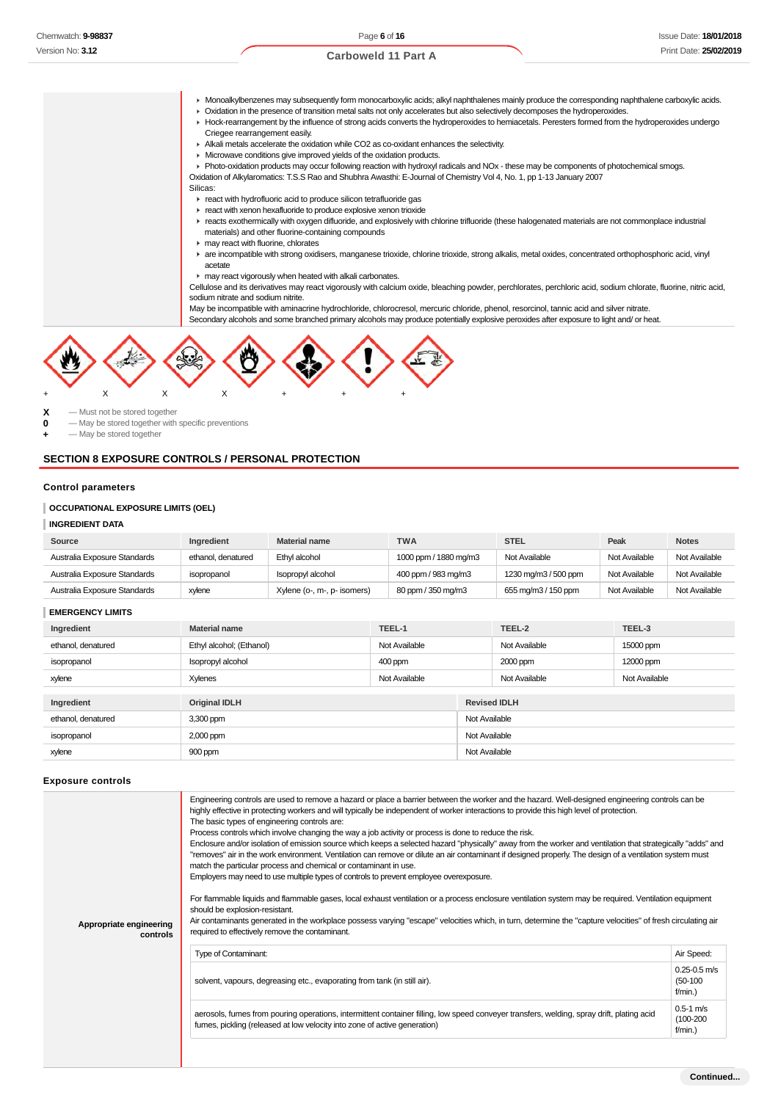- Monoalkylbenzenes may subsequently form monocarboxylic acids; alkyl naphthalenes mainly produce the corresponding naphthalene carboxylic acids. Oxidation in the presence of transition metal salts not only accelerates but also selectively decomposes the hydroperoxides. Hock-rearrangement by the influence of strong acids converts the hydroperoxides to hemiacetals. Peresters formed from the hydroperoxides undergo Criegee rearrangement easily.
	- Alkali metals accelerate the oxidation while CO2 as co-oxidant enhances the selectivity.
	- Microwave conditions give improved yields of the oxidation products.
	- Photo-oxidation products may occur following reaction with hydroxyl radicals and NOx these may be components of photochemical smogs.

Oxidation of Alkylaromatics: T.S.S Rao and Shubhra Awasthi: E-Journal of Chemistry Vol 4, No. 1, pp 1-13 January 2007

### Silicas:

- **F** react with hydrofluoric acid to produce silicon tetrafluoride gas
- react with xenon hexafluoride to produce explosive xenon trioxide
- reacts exothermically with oxygen difluoride, and explosively with chlorine trifluoride (these halogenated materials are not commonplace industrial materials) and other fluorine-containing compounds
- $\blacktriangleright$  may react with fluorine, chlorates
- are incompatible with strong oxidisers, manganese trioxide, chlorine trioxide, strong alkalis, metal oxides, concentrated orthophosphoric acid, vinyl acetate
- may react vigorously when heated with alkali carbonates.

Cellulose and its derivatives may react vigorously with calcium oxide, bleaching powder, perchlorates, perchloric acid, sodium chlorate, fluorine, nitric acid, sodium nitrate and sodium nitrite.

May be incompatible with aminacrine hydrochloride, chlorocresol, mercuric chloride, phenol, resorcinol, tannic acid and silver nitrate.

Secondary alcohols and some branched primary alcohols may produce potentially explosive peroxides after exposure to light and/ or heat.



 $\begin{array}{ccc} \mathbf{X} & -\mathsf{Must} \text{ not be stored together} \\ \mathbf{0} & -\mathsf{Max} \text{ be stored together with} \end{array}$ 

**0** — May be stored together with specific preventions

 $-$  May be stored together

#### **SECTION 8 EXPOSURE CONTROLS / PERSONAL PROTECTION**

#### **Control parameters**

### **OCCUPATIONAL EXPOSURE LIMITS (OEL)**

#### **INGREDIENT DATA**

| Source                       | Ingredient         | <b>Material name</b>        | TWA                   | <b>STEL</b>          | Peak          | <b>Notes</b>  |
|------------------------------|--------------------|-----------------------------|-----------------------|----------------------|---------------|---------------|
| Australia Exposure Standards | ethanol, denatured | Ethyl alcohol               | 1000 ppm / 1880 mg/m3 | Not Available        | Not Available | Not Available |
| Australia Exposure Standards | isopropanol        | Isopropyl alcohol           | 400 ppm / 983 mg/m3   | 1230 mg/m3 / 500 ppm | Not Available | Not Available |
| Australia Exposure Standards | xylene             | Xylene (o-, m-, p- isomers) | 80 ppm / 350 mg/m3    | 655 mg/m3 / 150 ppm  | Not Available | Not Available |

#### **EMERGENCY LIMITS**

| Ingredient         | <b>Material name</b>     | TEEL-1        |                     | TEEL-2        | TEEL-3        |
|--------------------|--------------------------|---------------|---------------------|---------------|---------------|
| ethanol, denatured | Ethyl alcohol; (Ethanol) | Not Available |                     | Not Available | 15000 ppm     |
| isopropanol        | Isopropyl alcohol        | 400 ppm       |                     | 2000 ppm      | 12000 ppm     |
| xylene             | Xylenes                  | Not Available |                     | Not Available | Not Available |
|                    |                          |               |                     |               |               |
| Ingredient         | <b>Original IDLH</b>     |               | <b>Revised IDLH</b> |               |               |
| ethanol, denatured | 3,300 ppm                |               | Not Available       |               |               |
| isopropanol        | 2,000 ppm                |               | Not Available       |               |               |
| xylene             | 900 ppm                  |               | Not Available       |               |               |

#### **Exposure controls**

| Appropriate engineering<br>controls | Engineering controls are used to remove a hazard or place a barrier between the worker and the hazard. Well-designed engineering controls can be<br>highly effective in protecting workers and will typically be independent of worker interactions to provide this high level of protection.<br>The basic types of engineering controls are:<br>Process controls which involve changing the way a job activity or process is done to reduce the risk.<br>Enclosure and/or isolation of emission source which keeps a selected hazard "physically" away from the worker and ventilation that strategically "adds" and<br>"removes" air in the work environment. Ventilation can remove or dilute an air contaminant if designed properly. The design of a ventilation system must<br>match the particular process and chemical or contaminant in use.<br>Employers may need to use multiple types of controls to prevent employee overexposure.<br>For flammable liquids and flammable gases, local exhaust ventilation or a process enclosure ventilation system may be required. Ventilation equipment<br>should be explosion-resistant.<br>Air contaminants generated in the workplace possess varying "escape" velocities which, in turn, determine the "capture velocities" of fresh circulating air<br>required to effectively remove the contaminant. |                                              |  |  |
|-------------------------------------|--------------------------------------------------------------------------------------------------------------------------------------------------------------------------------------------------------------------------------------------------------------------------------------------------------------------------------------------------------------------------------------------------------------------------------------------------------------------------------------------------------------------------------------------------------------------------------------------------------------------------------------------------------------------------------------------------------------------------------------------------------------------------------------------------------------------------------------------------------------------------------------------------------------------------------------------------------------------------------------------------------------------------------------------------------------------------------------------------------------------------------------------------------------------------------------------------------------------------------------------------------------------------------------------------------------------------------------------------------------|----------------------------------------------|--|--|
|                                     |                                                                                                                                                                                                                                                                                                                                                                                                                                                                                                                                                                                                                                                                                                                                                                                                                                                                                                                                                                                                                                                                                                                                                                                                                                                                                                                                                              |                                              |  |  |
|                                     | <b>Type of Contaminant:</b>                                                                                                                                                                                                                                                                                                                                                                                                                                                                                                                                                                                                                                                                                                                                                                                                                                                                                                                                                                                                                                                                                                                                                                                                                                                                                                                                  | Air Speed:                                   |  |  |
|                                     | solvent, vapours, degreasing etc., evaporating from tank (in still air).                                                                                                                                                                                                                                                                                                                                                                                                                                                                                                                                                                                                                                                                                                                                                                                                                                                                                                                                                                                                                                                                                                                                                                                                                                                                                     | $0.25 - 0.5$ m/s<br>$(50-100)$<br>$f/min.$ ) |  |  |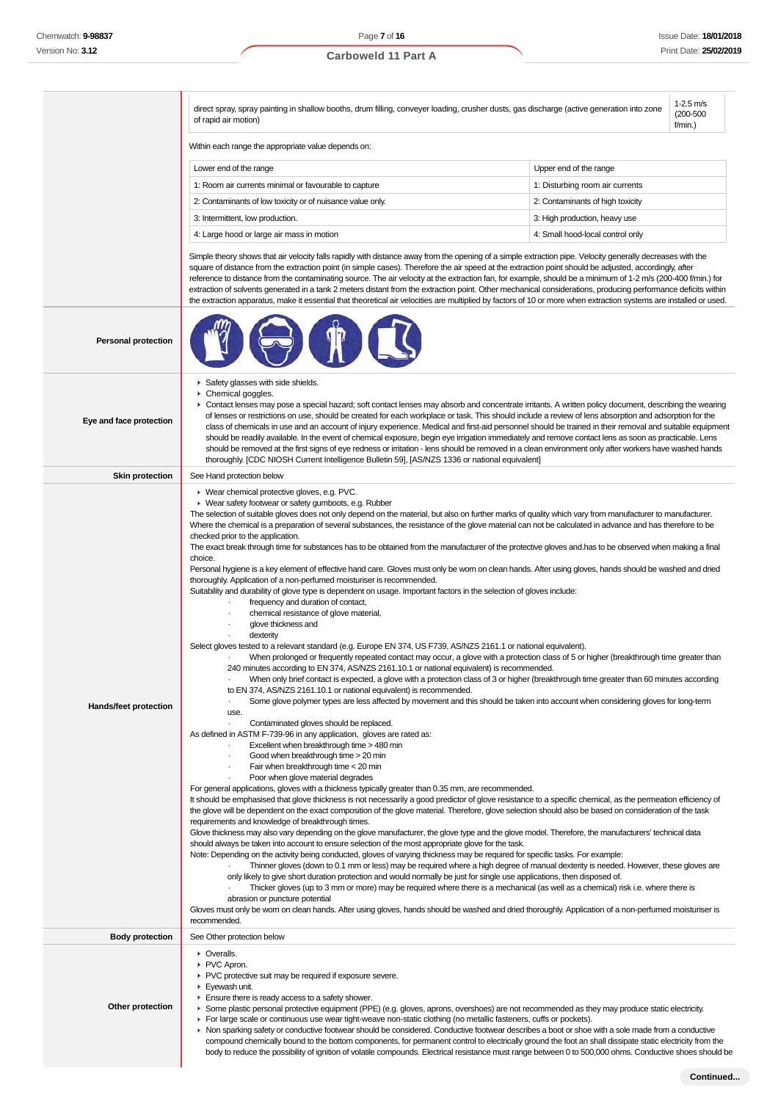Page **7** of **16**

# **Carboweld 11 Part A**

|                            | $1-2.5$ m/s<br>direct spray, spray painting in shallow booths, drum filling, conveyer loading, crusher dusts, gas discharge (active generation into zone<br>$(200 - 500)$<br>of rapid air motion)<br>f/min.)                                                                                                                                                                                                                                                                                                                                                                                                                                                                                                                                                                                                                                                                                                                                                                                                                                                                                                                                                                                                                                                                                                                                                                                                                                                                                                                                                                                                                                                                                                                                                                                                                                                                                                                                                                                                                                                                                                                                                                                                                                                                                                                                                                                                                                                                                                                                                                                                                                                                                                                                                                                                                                                                                                                                                                                                                                                                                                                                                                                                                                                                                                                                                                                                                                                                                                                                                                                                                             |                                  |  |  |  |
|----------------------------|------------------------------------------------------------------------------------------------------------------------------------------------------------------------------------------------------------------------------------------------------------------------------------------------------------------------------------------------------------------------------------------------------------------------------------------------------------------------------------------------------------------------------------------------------------------------------------------------------------------------------------------------------------------------------------------------------------------------------------------------------------------------------------------------------------------------------------------------------------------------------------------------------------------------------------------------------------------------------------------------------------------------------------------------------------------------------------------------------------------------------------------------------------------------------------------------------------------------------------------------------------------------------------------------------------------------------------------------------------------------------------------------------------------------------------------------------------------------------------------------------------------------------------------------------------------------------------------------------------------------------------------------------------------------------------------------------------------------------------------------------------------------------------------------------------------------------------------------------------------------------------------------------------------------------------------------------------------------------------------------------------------------------------------------------------------------------------------------------------------------------------------------------------------------------------------------------------------------------------------------------------------------------------------------------------------------------------------------------------------------------------------------------------------------------------------------------------------------------------------------------------------------------------------------------------------------------------------------------------------------------------------------------------------------------------------------------------------------------------------------------------------------------------------------------------------------------------------------------------------------------------------------------------------------------------------------------------------------------------------------------------------------------------------------------------------------------------------------------------------------------------------------------------------------------------------------------------------------------------------------------------------------------------------------------------------------------------------------------------------------------------------------------------------------------------------------------------------------------------------------------------------------------------------------------------------------------------------------------------------------------------------|----------------------------------|--|--|--|
|                            | Within each range the appropriate value depends on:                                                                                                                                                                                                                                                                                                                                                                                                                                                                                                                                                                                                                                                                                                                                                                                                                                                                                                                                                                                                                                                                                                                                                                                                                                                                                                                                                                                                                                                                                                                                                                                                                                                                                                                                                                                                                                                                                                                                                                                                                                                                                                                                                                                                                                                                                                                                                                                                                                                                                                                                                                                                                                                                                                                                                                                                                                                                                                                                                                                                                                                                                                                                                                                                                                                                                                                                                                                                                                                                                                                                                                                      |                                  |  |  |  |
|                            | Lower end of the range                                                                                                                                                                                                                                                                                                                                                                                                                                                                                                                                                                                                                                                                                                                                                                                                                                                                                                                                                                                                                                                                                                                                                                                                                                                                                                                                                                                                                                                                                                                                                                                                                                                                                                                                                                                                                                                                                                                                                                                                                                                                                                                                                                                                                                                                                                                                                                                                                                                                                                                                                                                                                                                                                                                                                                                                                                                                                                                                                                                                                                                                                                                                                                                                                                                                                                                                                                                                                                                                                                                                                                                                                   | Upper end of the range           |  |  |  |
|                            | 1: Room air currents minimal or favourable to capture                                                                                                                                                                                                                                                                                                                                                                                                                                                                                                                                                                                                                                                                                                                                                                                                                                                                                                                                                                                                                                                                                                                                                                                                                                                                                                                                                                                                                                                                                                                                                                                                                                                                                                                                                                                                                                                                                                                                                                                                                                                                                                                                                                                                                                                                                                                                                                                                                                                                                                                                                                                                                                                                                                                                                                                                                                                                                                                                                                                                                                                                                                                                                                                                                                                                                                                                                                                                                                                                                                                                                                                    | 1: Disturbing room air currents  |  |  |  |
|                            | 2: Contaminants of low toxicity or of nuisance value only.                                                                                                                                                                                                                                                                                                                                                                                                                                                                                                                                                                                                                                                                                                                                                                                                                                                                                                                                                                                                                                                                                                                                                                                                                                                                                                                                                                                                                                                                                                                                                                                                                                                                                                                                                                                                                                                                                                                                                                                                                                                                                                                                                                                                                                                                                                                                                                                                                                                                                                                                                                                                                                                                                                                                                                                                                                                                                                                                                                                                                                                                                                                                                                                                                                                                                                                                                                                                                                                                                                                                                                               | 2: Contaminants of high toxicity |  |  |  |
|                            | 3: Intermittent, low production.                                                                                                                                                                                                                                                                                                                                                                                                                                                                                                                                                                                                                                                                                                                                                                                                                                                                                                                                                                                                                                                                                                                                                                                                                                                                                                                                                                                                                                                                                                                                                                                                                                                                                                                                                                                                                                                                                                                                                                                                                                                                                                                                                                                                                                                                                                                                                                                                                                                                                                                                                                                                                                                                                                                                                                                                                                                                                                                                                                                                                                                                                                                                                                                                                                                                                                                                                                                                                                                                                                                                                                                                         | 3: High production, heavy use    |  |  |  |
|                            | 4: Large hood or large air mass in motion                                                                                                                                                                                                                                                                                                                                                                                                                                                                                                                                                                                                                                                                                                                                                                                                                                                                                                                                                                                                                                                                                                                                                                                                                                                                                                                                                                                                                                                                                                                                                                                                                                                                                                                                                                                                                                                                                                                                                                                                                                                                                                                                                                                                                                                                                                                                                                                                                                                                                                                                                                                                                                                                                                                                                                                                                                                                                                                                                                                                                                                                                                                                                                                                                                                                                                                                                                                                                                                                                                                                                                                                | 4: Small hood-local control only |  |  |  |
|                            | Simple theory shows that air velocity falls rapidly with distance away from the opening of a simple extraction pipe. Velocity generally decreases with the<br>square of distance from the extraction point (in simple cases). Therefore the air speed at the extraction point should be adjusted, accordingly, after<br>reference to distance from the contaminating source. The air velocity at the extraction fan, for example, should be a minimum of 1-2 m/s (200-400 f/min.) for<br>extraction of solvents generated in a tank 2 meters distant from the extraction point. Other mechanical considerations, producing performance deficits within<br>the extraction apparatus, make it essential that theoretical air velocities are multiplied by factors of 10 or more when extraction systems are installed or used.                                                                                                                                                                                                                                                                                                                                                                                                                                                                                                                                                                                                                                                                                                                                                                                                                                                                                                                                                                                                                                                                                                                                                                                                                                                                                                                                                                                                                                                                                                                                                                                                                                                                                                                                                                                                                                                                                                                                                                                                                                                                                                                                                                                                                                                                                                                                                                                                                                                                                                                                                                                                                                                                                                                                                                                                             |                                  |  |  |  |
| <b>Personal protection</b> |                                                                                                                                                                                                                                                                                                                                                                                                                                                                                                                                                                                                                                                                                                                                                                                                                                                                                                                                                                                                                                                                                                                                                                                                                                                                                                                                                                                                                                                                                                                                                                                                                                                                                                                                                                                                                                                                                                                                                                                                                                                                                                                                                                                                                                                                                                                                                                                                                                                                                                                                                                                                                                                                                                                                                                                                                                                                                                                                                                                                                                                                                                                                                                                                                                                                                                                                                                                                                                                                                                                                                                                                                                          |                                  |  |  |  |
| Eye and face protection    | Safety glasses with side shields.<br>Chemical goggles.<br>▶ Contact lenses may pose a special hazard; soft contact lenses may absorb and concentrate irritants. A written policy document, describing the wearing<br>of lenses or restrictions on use, should be created for each workplace or task. This should include a review of lens absorption and adsorption for the<br>class of chemicals in use and an account of injury experience. Medical and first-aid personnel should be trained in their removal and suitable equipment<br>should be readily available. In the event of chemical exposure, begin eye irrigation immediately and remove contact lens as soon as practicable. Lens<br>should be removed at the first signs of eye redness or irritation - lens should be removed in a clean environment only after workers have washed hands<br>thoroughly. [CDC NIOSH Current Intelligence Bulletin 59], [AS/NZS 1336 or national equivalent]                                                                                                                                                                                                                                                                                                                                                                                                                                                                                                                                                                                                                                                                                                                                                                                                                                                                                                                                                                                                                                                                                                                                                                                                                                                                                                                                                                                                                                                                                                                                                                                                                                                                                                                                                                                                                                                                                                                                                                                                                                                                                                                                                                                                                                                                                                                                                                                                                                                                                                                                                                                                                                                                             |                                  |  |  |  |
| <b>Skin protection</b>     | See Hand protection below                                                                                                                                                                                                                                                                                                                                                                                                                                                                                                                                                                                                                                                                                                                                                                                                                                                                                                                                                                                                                                                                                                                                                                                                                                                                                                                                                                                                                                                                                                                                                                                                                                                                                                                                                                                                                                                                                                                                                                                                                                                                                                                                                                                                                                                                                                                                                                                                                                                                                                                                                                                                                                                                                                                                                                                                                                                                                                                                                                                                                                                                                                                                                                                                                                                                                                                                                                                                                                                                                                                                                                                                                |                                  |  |  |  |
| Hands/feet protection      | ▶ Wear chemical protective gloves, e.g. PVC.<br>• Wear safety footwear or safety gumboots, e.g. Rubber<br>The selection of suitable gloves does not only depend on the material, but also on further marks of quality which vary from manufacturer to manufacturer.<br>Where the chemical is a preparation of several substances, the resistance of the glove material can not be calculated in advance and has therefore to be<br>checked prior to the application.<br>The exact break through time for substances has to be obtained from the manufacturer of the protective gloves and has to be observed when making a final<br>choice.<br>Personal hygiene is a key element of effective hand care. Gloves must only be worn on clean hands. After using gloves, hands should be washed and dried<br>thoroughly. Application of a non-perfumed moisturiser is recommended.<br>Suitability and durability of glove type is dependent on usage. Important factors in the selection of gloves include:<br>frequency and duration of contact,<br>chemical resistance of glove material,<br>glove thickness and<br>dexterity<br>Select gloves tested to a relevant standard (e.g. Europe EN 374, US F739, AS/NZS 2161.1 or national equivalent).<br>When prolonged or frequently repeated contact may occur, a glove with a protection class of 5 or higher (breakthrough time greater than<br>240 minutes according to EN 374, AS/NZS 2161.10.1 or national equivalent) is recommended.<br>When only brief contact is expected, a glove with a protection class of 3 or higher (breakthrough time greater than 60 minutes according<br>to EN 374, AS/NZS 2161.10.1 or national equivalent) is recommended.<br>Some glove polymer types are less affected by movement and this should be taken into account when considering gloves for long-term<br>use.<br>Contaminated gloves should be replaced.<br>As defined in ASTM F-739-96 in any application, gloves are rated as:<br>Excellent when breakthrough time > 480 min<br>Good when breakthrough time > 20 min<br>Fair when breakthrough time < 20 min<br>Poor when glove material degrades<br>For general applications, gloves with a thickness typically greater than 0.35 mm, are recommended.<br>It should be emphasised that glove thickness is not necessarily a good predictor of glove resistance to a specific chemical, as the permeation efficiency of<br>the glove will be dependent on the exact composition of the glove material. Therefore, glove selection should also be based on consideration of the task<br>requirements and knowledge of breakthrough times.<br>Glove thickness may also vary depending on the glove manufacturer, the glove type and the glove model. Therefore, the manufacturers' technical data<br>should always be taken into account to ensure selection of the most appropriate glove for the task.<br>Note: Depending on the activity being conducted, gloves of varying thickness may be required for specific tasks. For example:<br>Thinner gloves (down to 0.1 mm or less) may be required where a high degree of manual dexterity is needed. However, these gloves are<br>only likely to give short duration protection and would normally be just for single use applications, then disposed of.<br>Thicker gloves (up to 3 mm or more) may be required where there is a mechanical (as well as a chemical) risk i.e. where there is<br>abrasion or puncture potential<br>Gloves must only be worn on clean hands. After using gloves, hands should be washed and dried thoroughly. Application of a non-perfumed moisturiser is |                                  |  |  |  |
|                            | recommended.                                                                                                                                                                                                                                                                                                                                                                                                                                                                                                                                                                                                                                                                                                                                                                                                                                                                                                                                                                                                                                                                                                                                                                                                                                                                                                                                                                                                                                                                                                                                                                                                                                                                                                                                                                                                                                                                                                                                                                                                                                                                                                                                                                                                                                                                                                                                                                                                                                                                                                                                                                                                                                                                                                                                                                                                                                                                                                                                                                                                                                                                                                                                                                                                                                                                                                                                                                                                                                                                                                                                                                                                                             |                                  |  |  |  |
| <b>Body protection</b>     | See Other protection below                                                                                                                                                                                                                                                                                                                                                                                                                                                                                                                                                                                                                                                                                                                                                                                                                                                                                                                                                                                                                                                                                                                                                                                                                                                                                                                                                                                                                                                                                                                                                                                                                                                                                                                                                                                                                                                                                                                                                                                                                                                                                                                                                                                                                                                                                                                                                                                                                                                                                                                                                                                                                                                                                                                                                                                                                                                                                                                                                                                                                                                                                                                                                                                                                                                                                                                                                                                                                                                                                                                                                                                                               |                                  |  |  |  |
| Other protection           | • Overalls.<br>PVC Apron.<br>PVC protective suit may be required if exposure severe.<br>▶ Eyewash unit.<br>Ensure there is ready access to a safety shower.<br>▶ Some plastic personal protective equipment (PPE) (e.g. gloves, aprons, overshoes) are not recommended as they may produce static electricity.<br>For large scale or continuous use wear tight-weave non-static clothing (no metallic fasteners, cuffs or pockets).<br>► Non sparking safety or conductive footwear should be considered. Conductive footwear describes a boot or shoe with a sole made from a conductive                                                                                                                                                                                                                                                                                                                                                                                                                                                                                                                                                                                                                                                                                                                                                                                                                                                                                                                                                                                                                                                                                                                                                                                                                                                                                                                                                                                                                                                                                                                                                                                                                                                                                                                                                                                                                                                                                                                                                                                                                                                                                                                                                                                                                                                                                                                                                                                                                                                                                                                                                                                                                                                                                                                                                                                                                                                                                                                                                                                                                                                |                                  |  |  |  |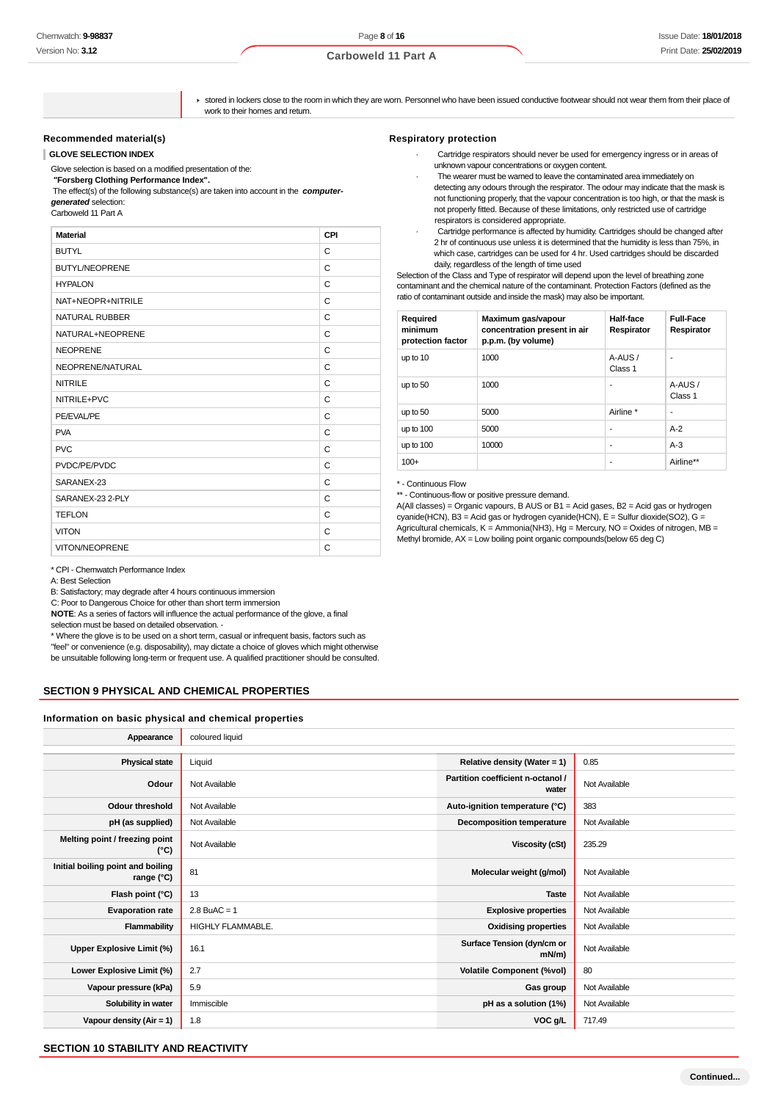stored in lockers close to the room in which they are worn. Personnel who have been issued conductive footwear should not wear them from their place of work to their homes and return.

#### **Recommended material(s)**

**GLOVE SELECTION INDEX**

Glove selection is based on a modified presentation of the:

 **"Forsberg Clothing Performance Index".** The effect(s) of the following substance(s) are taken into account in the **computer-**

**generated** selection:

Carboweld 11 Part A

| <b>Material</b>       | CPI |
|-----------------------|-----|
| <b>BUTYL</b>          | C   |
| <b>BUTYL/NEOPRENE</b> | C   |
| <b>HYPALON</b>        | C   |
| NAT+NEOPR+NITRILE     | C   |
| NATURAL RUBBER        | C   |
| NATURAL+NEOPRENE      | C   |
| <b>NEOPRENE</b>       | C   |
| NEOPRENE/NATURAL      | C   |
| <b>NITRILE</b>        | C   |
| NITRILE+PVC           | C   |
| PE/EVAL/PE            | C   |
| <b>PVA</b>            | C   |
| <b>PVC</b>            | C   |
| PVDC/PE/PVDC          | C   |
| SARANEX-23            | C   |
| SARANEX-23 2-PLY      | C   |
| <b>TEFLON</b>         | C   |
| <b>VITON</b>          | C   |
| VITON/NEOPRENE        | C   |

\* CPI - Chemwatch Performance Index

A: Best Selection

B: Satisfactory; may degrade after 4 hours continuous immersion

C: Poor to Dangerous Choice for other than short term immersion

**NOTE**: As a series of factors will influence the actual performance of the glove, a final selection must be based on detailed observation. -

\* Where the glove is to be used on a short term, casual or infrequent basis, factors such as "feel" or convenience (e.g. disposability), may dictate a choice of gloves which might otherwise be unsuitable following long-term or frequent use. A qualified practitioner should be consulted.

#### **SECTION 9 PHYSICAL AND CHEMICAL PROPERTIES**

#### **Information on basic physical and chemical properties**

| Appearance                                      | coloured liquid   |                                            |               |
|-------------------------------------------------|-------------------|--------------------------------------------|---------------|
|                                                 |                   |                                            |               |
| <b>Physical state</b>                           | Liquid            | Relative density (Water = 1)               | 0.85          |
| Odour                                           | Not Available     | Partition coefficient n-octanol /<br>water | Not Available |
| <b>Odour threshold</b>                          | Not Available     | Auto-ignition temperature (°C)             | 383           |
| pH (as supplied)                                | Not Available     | <b>Decomposition temperature</b>           | Not Available |
| Melting point / freezing point<br>$(^{\circ}C)$ | Not Available     | <b>Viscosity (cSt)</b>                     | 235.29        |
| Initial boiling point and boiling<br>range (°C) | 81                | Molecular weight (g/mol)                   | Not Available |
| Flash point (°C)                                | 13                | <b>Taste</b>                               | Not Available |
| <b>Evaporation rate</b>                         | $2.8$ BuAC = 1    | <b>Explosive properties</b>                | Not Available |
| Flammability                                    | HIGHLY FLAMMABLE. | <b>Oxidising properties</b>                | Not Available |
| Upper Explosive Limit (%)                       | 16.1              | Surface Tension (dyn/cm or<br>$mN/m$ )     | Not Available |
| Lower Explosive Limit (%)                       | 2.7               | <b>Volatile Component (%vol)</b>           | 80            |
| Vapour pressure (kPa)                           | 5.9               | Gas group                                  | Not Available |
| Solubility in water                             | Immiscible        | pH as a solution (1%)                      | Not Available |
| Vapour density (Air = 1)                        | 1.8               | VOC g/L                                    | 717.49        |
|                                                 |                   |                                            |               |

#### **SECTION 10 STABILITY AND REACTIVITY**

### **Respiratory protection**

- · Cartridge respirators should never be used for emergency ingress or in areas of unknown vapour concentrations or oxygen content.
- The wearer must be warned to leave the contaminated area immediately on detecting any odours through the respirator. The odour may indicate that the mask is not functioning properly, that the vapour concentration is too high, or that the mask is not properly fitted. Because of these limitations, only restricted use of cartridge respirators is considered appropriate.
- Cartridge performance is affected by humidity. Cartridges should be changed after 2 hr of continuous use unless it is determined that the humidity is less than 75%, in which case, cartridges can be used for 4 hr. Used cartridges should be discarded daily, regardless of the length of time used

Selection of the Class and Type of respirator will depend upon the level of breathing zone contaminant and the chemical nature of the contaminant. Protection Factors (defined as the ratio of contaminant outside and inside the mask) may also be important.

| Required<br>minimum<br>protection factor | Maximum gas/vapour<br>concentration present in air<br>p.p.m. (by volume) | Half-face<br>Respirator | <b>Full-Face</b><br>Respirator |
|------------------------------------------|--------------------------------------------------------------------------|-------------------------|--------------------------------|
| up to 10                                 | 1000                                                                     | A-AUS/<br>Class 1       | -                              |
| up to 50                                 | 1000                                                                     | ۰                       | A-AUS/<br>Class 1              |
| up to 50                                 | 5000                                                                     | Airline *               | -                              |
| up to 100                                | 5000                                                                     | ۰                       | $A-2$                          |
| up to 100                                | 10000                                                                    | ۰                       | $A-3$                          |
| $100+$                                   |                                                                          | ۰                       | Airline**                      |

\* - Continuous Flow

\*\* - Continuous-flow or positive pressure demand.

A(All classes) = Organic vapours, B AUS or B1 = Acid gases, B2 = Acid gas or hydrogen cyanide(HCN), B3 = Acid gas or hydrogen cyanide(HCN), E = Sulfur dioxide(SO2), G = Agricultural chemicals,  $K =$  Ammonia(NH3), Hg = Mercury, NO = Oxides of nitrogen, MB = Methyl bromide, AX = Low boiling point organic compounds(below 65 deg C)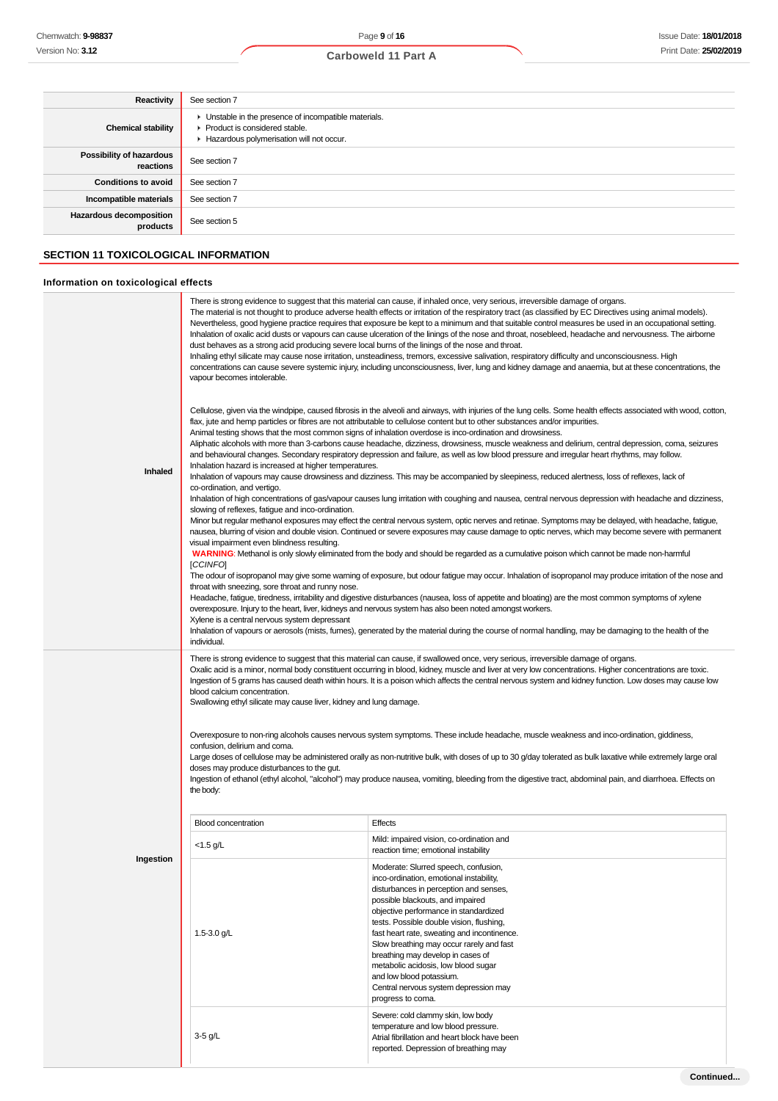### **Carboweld 11 Part A**

| <b>Reactivity</b>                                                                   | See section 7                                                                                                                                                                                                                                                                                                                                                                                                                                                                                                                                                                                                                                                                            |
|-------------------------------------------------------------------------------------|------------------------------------------------------------------------------------------------------------------------------------------------------------------------------------------------------------------------------------------------------------------------------------------------------------------------------------------------------------------------------------------------------------------------------------------------------------------------------------------------------------------------------------------------------------------------------------------------------------------------------------------------------------------------------------------|
| <b>Chemical stability</b>                                                           | • Unstable in the presence of incompatible materials.<br>▶ Product is considered stable.<br>Hazardous polymerisation will not occur.                                                                                                                                                                                                                                                                                                                                                                                                                                                                                                                                                     |
| Possibility of hazardous<br>reactions                                               | See section 7                                                                                                                                                                                                                                                                                                                                                                                                                                                                                                                                                                                                                                                                            |
| <b>Conditions to avoid</b>                                                          | See section 7                                                                                                                                                                                                                                                                                                                                                                                                                                                                                                                                                                                                                                                                            |
| Incompatible materials                                                              | See section 7                                                                                                                                                                                                                                                                                                                                                                                                                                                                                                                                                                                                                                                                            |
| Hazardous decomposition<br>products                                                 | See section 5                                                                                                                                                                                                                                                                                                                                                                                                                                                                                                                                                                                                                                                                            |
| <b>SECTION 11 TOXICOLOGICAL INFORMATION</b><br>Information on toxicological effects |                                                                                                                                                                                                                                                                                                                                                                                                                                                                                                                                                                                                                                                                                          |
|                                                                                     |                                                                                                                                                                                                                                                                                                                                                                                                                                                                                                                                                                                                                                                                                          |
|                                                                                     | There is strong evidence to suggest that this material can cause, if inhaled once, very serious, irreversible damage of organs.<br>The material is not thought to produce adverse health effects or irritation of the respiratory tract (as classified by EC Directives using animal models).<br>Nevertheless, good hygiene practice requires that exposure be kept to a minimum and that suitable control measures be used in an occupational setting.<br>. The contract of the contract of the contract of the contract of the contract of the contract of the contract of the contract of the contract of the contract of the contract of the contract of the contract of the contrac |

| Inhaled   | Inhalation of oxalic acid dusts or vapours can cause ulceration of the linings of the nose and throat, nosebleed, headache and nervousness. The airborne<br>dust behaves as a strong acid producing severe local burns of the linings of the nose and throat.<br>Inhaling ethyl silicate may cause nose irritation, unsteadiness, tremors, excessive salivation, respiratory difficulty and unconsciousness. High<br>concentrations can cause severe systemic injury, including unconsciousness, liver, lung and kidney damage and anaemia, but at these concentrations, the<br>vapour becomes intolerable.<br>Cellulose, given via the windpipe, caused fibrosis in the alveoli and airways, with injuries of the lung cells. Some health effects associated with wood, cotton,<br>flax, jute and hemp particles or fibres are not attributable to cellulose content but to other substances and/or impurities.<br>Animal testing shows that the most common signs of inhalation overdose is inco-ordination and drowsiness.<br>Aliphatic alcohols with more than 3-carbons cause headache, dizziness, drowsiness, muscle weakness and delirium, central depression, coma, seizures<br>and behavioural changes. Secondary respiratory depression and failure, as well as low blood pressure and irregular heart rhythms, may follow.<br>Inhalation hazard is increased at higher temperatures.<br>Inhalation of vapours may cause drowsiness and dizziness. This may be accompanied by sleepiness, reduced alertness, loss of reflexes, lack of<br>co-ordination, and vertigo.<br>Inhalation of high concentrations of gas/vapour causes lung irritation with coughing and nausea, central nervous depression with headache and dizziness,<br>slowing of reflexes, fatigue and inco-ordination.<br>Minor but regular methanol exposures may effect the central nervous system, optic nerves and retinae. Symptoms may be delayed, with headache, fatigue,<br>nausea, blurring of vision and double vision. Continued or severe exposures may cause damage to optic nerves, which may become severe with permanent<br>visual impairment even blindness resulting.<br>WARNING: Methanol is only slowly eliminated from the body and should be regarded as a cumulative poison which cannot be made non-harmful<br>[CCINFO]<br>The odour of isopropanol may give some warning of exposure, but odour fatigue may occur. Inhalation of isopropanol may produce irritation of the nose and<br>throat with sneezing, sore throat and runny nose.<br>Headache, fatigue, tiredness, irritability and digestive disturbances (nausea, loss of appetite and bloating) are the most common symptoms of xylene<br>overexposure. Injury to the heart, liver, kidneys and nervous system has also been noted amongst workers.<br>Xylene is a central nervous system depressant<br>Inhalation of vapours or aerosols (mists, fumes), generated by the material during the course of normal handling, may be damaging to the health of the<br>individual. |                                                                                                                                                                                                                                                                                                                                                                                                                                                                                                                                                                                                                                                                                                                                                                                                                                                                                                                                        |
|-----------|--------------------------------------------------------------------------------------------------------------------------------------------------------------------------------------------------------------------------------------------------------------------------------------------------------------------------------------------------------------------------------------------------------------------------------------------------------------------------------------------------------------------------------------------------------------------------------------------------------------------------------------------------------------------------------------------------------------------------------------------------------------------------------------------------------------------------------------------------------------------------------------------------------------------------------------------------------------------------------------------------------------------------------------------------------------------------------------------------------------------------------------------------------------------------------------------------------------------------------------------------------------------------------------------------------------------------------------------------------------------------------------------------------------------------------------------------------------------------------------------------------------------------------------------------------------------------------------------------------------------------------------------------------------------------------------------------------------------------------------------------------------------------------------------------------------------------------------------------------------------------------------------------------------------------------------------------------------------------------------------------------------------------------------------------------------------------------------------------------------------------------------------------------------------------------------------------------------------------------------------------------------------------------------------------------------------------------------------------------------------------------------------------------------------------------------------------------------------------------------------------------------------------------------------------------------------------------------------------------------------------------------------------------------------------------------------------------------------------------------------------------------------------------------------------------------------------------------------------------------------------------------------------------------------------------------------------------------------------------------------------------------------------------------------|----------------------------------------------------------------------------------------------------------------------------------------------------------------------------------------------------------------------------------------------------------------------------------------------------------------------------------------------------------------------------------------------------------------------------------------------------------------------------------------------------------------------------------------------------------------------------------------------------------------------------------------------------------------------------------------------------------------------------------------------------------------------------------------------------------------------------------------------------------------------------------------------------------------------------------------|
|           | blood calcium concentration.<br>Swallowing ethyl silicate may cause liver, kidney and lung damage.<br>confusion, delirium and coma.<br>doses may produce disturbances to the gut.<br>the body:                                                                                                                                                                                                                                                                                                                                                                                                                                                                                                                                                                                                                                                                                                                                                                                                                                                                                                                                                                                                                                                                                                                                                                                                                                                                                                                                                                                                                                                                                                                                                                                                                                                                                                                                                                                                                                                                                                                                                                                                                                                                                                                                                                                                                                                                                                                                                                                                                                                                                                                                                                                                                                                                                                                                                                                                                                             | There is strong evidence to suggest that this material can cause, if swallowed once, very serious, irreversible damage of organs.<br>Oxalic acid is a minor, normal body constituent occurring in blood, kidney, muscle and liver at very low concentrations. Higher concentrations are toxic.<br>Ingestion of 5 grams has caused death within hours. It is a poison which affects the central nervous system and kidney function. Low doses may cause low<br>Overexposure to non-ring alcohols causes nervous system symptoms. These include headache, muscle weakness and inco-ordination, giddiness,<br>Large doses of cellulose may be administered orally as non-nutritive bulk, with doses of up to 30 g/day tolerated as bulk laxative while extremely large oral<br>Ingestion of ethanol (ethyl alcohol, "alcohol") may produce nausea, vomiting, bleeding from the digestive tract, abdominal pain, and diarrhoea. Effects on |
|           | <b>Blood concentration</b>                                                                                                                                                                                                                                                                                                                                                                                                                                                                                                                                                                                                                                                                                                                                                                                                                                                                                                                                                                                                                                                                                                                                                                                                                                                                                                                                                                                                                                                                                                                                                                                                                                                                                                                                                                                                                                                                                                                                                                                                                                                                                                                                                                                                                                                                                                                                                                                                                                                                                                                                                                                                                                                                                                                                                                                                                                                                                                                                                                                                                 | Effects                                                                                                                                                                                                                                                                                                                                                                                                                                                                                                                                                                                                                                                                                                                                                                                                                                                                                                                                |
| Ingestion | $<$ 1.5 g/L                                                                                                                                                                                                                                                                                                                                                                                                                                                                                                                                                                                                                                                                                                                                                                                                                                                                                                                                                                                                                                                                                                                                                                                                                                                                                                                                                                                                                                                                                                                                                                                                                                                                                                                                                                                                                                                                                                                                                                                                                                                                                                                                                                                                                                                                                                                                                                                                                                                                                                                                                                                                                                                                                                                                                                                                                                                                                                                                                                                                                                | Mild: impaired vision, co-ordination and<br>reaction time; emotional instability                                                                                                                                                                                                                                                                                                                                                                                                                                                                                                                                                                                                                                                                                                                                                                                                                                                       |
|           | 1.5-3.0 g/L                                                                                                                                                                                                                                                                                                                                                                                                                                                                                                                                                                                                                                                                                                                                                                                                                                                                                                                                                                                                                                                                                                                                                                                                                                                                                                                                                                                                                                                                                                                                                                                                                                                                                                                                                                                                                                                                                                                                                                                                                                                                                                                                                                                                                                                                                                                                                                                                                                                                                                                                                                                                                                                                                                                                                                                                                                                                                                                                                                                                                                | Moderate: Slurred speech, confusion,<br>inco-ordination, emotional instability,<br>disturbances in perception and senses,<br>possible blackouts, and impaired<br>objective performance in standardized<br>tests. Possible double vision, flushing,<br>fast heart rate, sweating and incontinence.<br>Slow breathing may occur rarely and fast<br>breathing may develop in cases of<br>metabolic acidosis, low blood sugar<br>and low blood potassium.<br>Central nervous system depression may<br>progress to coma.                                                                                                                                                                                                                                                                                                                                                                                                                    |
|           | 3-5 g/L                                                                                                                                                                                                                                                                                                                                                                                                                                                                                                                                                                                                                                                                                                                                                                                                                                                                                                                                                                                                                                                                                                                                                                                                                                                                                                                                                                                                                                                                                                                                                                                                                                                                                                                                                                                                                                                                                                                                                                                                                                                                                                                                                                                                                                                                                                                                                                                                                                                                                                                                                                                                                                                                                                                                                                                                                                                                                                                                                                                                                                    | Severe: cold clammy skin, low body<br>temperature and low blood pressure.<br>Atrial fibrillation and heart block have been<br>reported. Depression of breathing may                                                                                                                                                                                                                                                                                                                                                                                                                                                                                                                                                                                                                                                                                                                                                                    |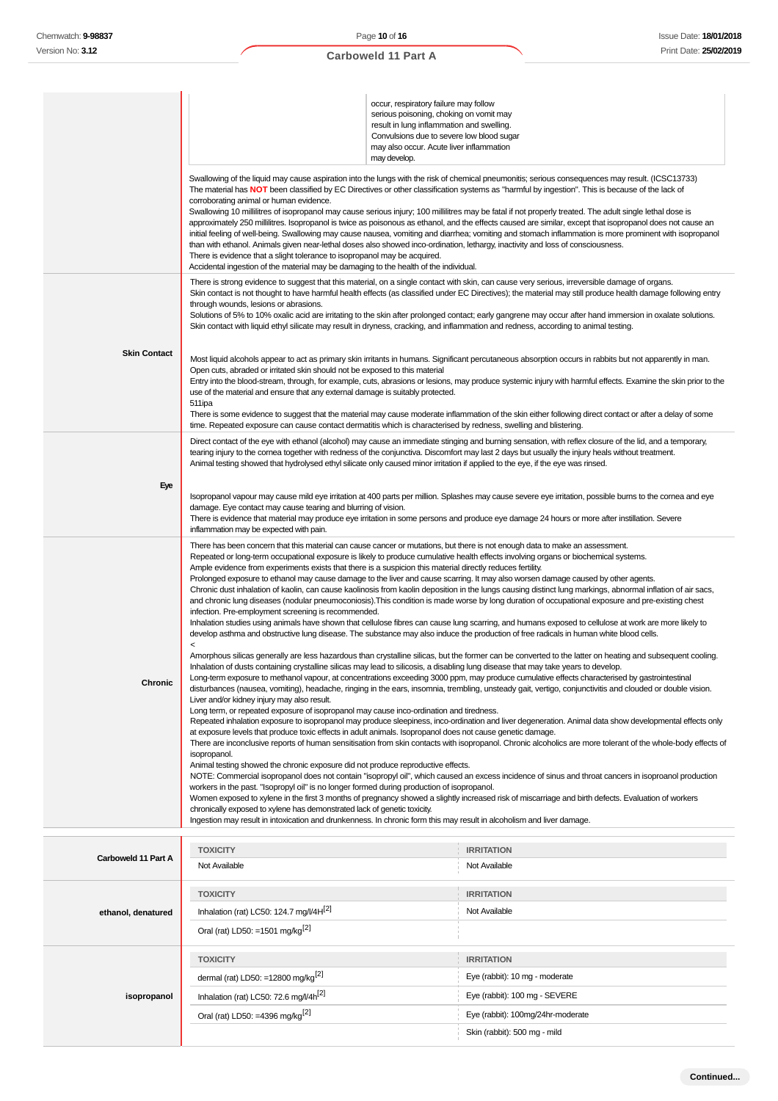|                     | corroborating animal or human evidence.<br>than with ethanol. Animals given near-lethal doses also showed inco-ordination, lethargy, inactivity and loss of consciousness.<br>There is evidence that a slight tolerance to isopropanol may be acquired.<br>Accidental ingestion of the material may be damaging to the health of the individual.                                                                                                                                                                                                                                                                                                                                                                                                                                                                                                                                                                                                                                                                                                                                                                                                                                                                                                                                                                                                                                                                                                                                                                                                                                                                                                                                                                                                                                                                                                                                                                                                                                                                                                                                                                                                                                                                                                                                                                                                                                                                                                                                                                                                                                                                                                                                                                                                                                                                                                                                                                                                                                                                                                                                                                                        | occur, respiratory failure may follow<br>serious poisoning, choking on vomit may<br>result in lung inflammation and swelling.<br>Convulsions due to severe low blood sugar<br>may also occur. Acute liver inflammation<br>may develop. | Swallowing of the liquid may cause aspiration into the lungs with the risk of chemical pneumonitis; serious consequences may result. (ICSC13733)<br>The material has NOT been classified by EC Directives or other classification systems as "harmful by ingestion". This is because of the lack of<br>Swallowing 10 millilitres of isopropanol may cause serious injury; 100 millilitres may be fatal if not properly treated. The adult single lethal dose is<br>approximately 250 millilitres. Isopropanol is twice as poisonous as ethanol, and the effects caused are similar, except that isopropanol does not cause an<br>initial feeling of well-being. Swallowing may cause nausea, vomiting and diarrhea; vomiting and stomach inflammation is more prominent with isopropanol                                                                                                                                                                              |
|---------------------|-----------------------------------------------------------------------------------------------------------------------------------------------------------------------------------------------------------------------------------------------------------------------------------------------------------------------------------------------------------------------------------------------------------------------------------------------------------------------------------------------------------------------------------------------------------------------------------------------------------------------------------------------------------------------------------------------------------------------------------------------------------------------------------------------------------------------------------------------------------------------------------------------------------------------------------------------------------------------------------------------------------------------------------------------------------------------------------------------------------------------------------------------------------------------------------------------------------------------------------------------------------------------------------------------------------------------------------------------------------------------------------------------------------------------------------------------------------------------------------------------------------------------------------------------------------------------------------------------------------------------------------------------------------------------------------------------------------------------------------------------------------------------------------------------------------------------------------------------------------------------------------------------------------------------------------------------------------------------------------------------------------------------------------------------------------------------------------------------------------------------------------------------------------------------------------------------------------------------------------------------------------------------------------------------------------------------------------------------------------------------------------------------------------------------------------------------------------------------------------------------------------------------------------------------------------------------------------------------------------------------------------------------------------------------------------------------------------------------------------------------------------------------------------------------------------------------------------------------------------------------------------------------------------------------------------------------------------------------------------------------------------------------------------------------------------------------------------------------------------------------------------------|----------------------------------------------------------------------------------------------------------------------------------------------------------------------------------------------------------------------------------------|-----------------------------------------------------------------------------------------------------------------------------------------------------------------------------------------------------------------------------------------------------------------------------------------------------------------------------------------------------------------------------------------------------------------------------------------------------------------------------------------------------------------------------------------------------------------------------------------------------------------------------------------------------------------------------------------------------------------------------------------------------------------------------------------------------------------------------------------------------------------------------------------------------------------------------------------------------------------------|
| <b>Skin Contact</b> | through wounds, lesions or abrasions.<br>Skin contact with liquid ethyl silicate may result in dryness, cracking, and inflammation and redness, according to animal testing.<br>Open cuts, abraded or irritated skin should not be exposed to this material<br>use of the material and ensure that any external damage is suitably protected.<br>511ipa<br>time. Repeated exposure can cause contact dermatitis which is characterised by redness, swelling and blistering.                                                                                                                                                                                                                                                                                                                                                                                                                                                                                                                                                                                                                                                                                                                                                                                                                                                                                                                                                                                                                                                                                                                                                                                                                                                                                                                                                                                                                                                                                                                                                                                                                                                                                                                                                                                                                                                                                                                                                                                                                                                                                                                                                                                                                                                                                                                                                                                                                                                                                                                                                                                                                                                             |                                                                                                                                                                                                                                        | There is strong evidence to suggest that this material, on a single contact with skin, can cause very serious, irreversible damage of organs.<br>Skin contact is not thought to have harmful health effects (as classified under EC Directives); the material may still produce health damage following entry<br>Solutions of 5% to 10% oxalic acid are irritating to the skin after prolonged contact; early gangrene may occur after hand immersion in oxalate solutions.<br>Most liquid alcohols appear to act as primary skin irritants in humans. Significant percutaneous absorption occurs in rabbits but not apparently in man.<br>Entry into the blood-stream, through, for example, cuts, abrasions or lesions, may produce systemic injury with harmful effects. Examine the skin prior to the<br>There is some evidence to suggest that the material may cause moderate inflammation of the skin either following direct contact or after a delay of some |
| Eye                 | Animal testing showed that hydrolysed ethyl silicate only caused minor irritation if applied to the eye, if the eye was rinsed.<br>damage. Eye contact may cause tearing and blurring of vision.<br>inflammation may be expected with pain.                                                                                                                                                                                                                                                                                                                                                                                                                                                                                                                                                                                                                                                                                                                                                                                                                                                                                                                                                                                                                                                                                                                                                                                                                                                                                                                                                                                                                                                                                                                                                                                                                                                                                                                                                                                                                                                                                                                                                                                                                                                                                                                                                                                                                                                                                                                                                                                                                                                                                                                                                                                                                                                                                                                                                                                                                                                                                             |                                                                                                                                                                                                                                        | Direct contact of the eye with ethanol (alcohol) may cause an immediate stinging and burning sensation, with reflex closure of the lid, and a temporary,<br>tearing injury to the comea together with redness of the conjunctiva. Discomfort may last 2 days but usually the injury heals without treatment.<br>Isopropanol vapour may cause mild eye irritation at 400 parts per million. Splashes may cause severe eye irritation, possible burns to the cornea and eye<br>There is evidence that material may produce eye irritation in some persons and produce eye damage 24 hours or more after instillation. Severe                                                                                                                                                                                                                                                                                                                                            |
| Chronic             | There has been concern that this material can cause cancer or mutations, but there is not enough data to make an assessment.<br>Repeated or long-term occupational exposure is likely to produce cumulative health effects involving organs or biochemical systems.<br>Ample evidence from experiments exists that there is a suspicion this material directly reduces fertility.<br>Prolonged exposure to ethanol may cause damage to the liver and cause scarring. It may also worsen damage caused by other agents.<br>Chronic dust inhalation of kaolin, can cause kaolinosis from kaolin deposition in the lungs causing distinct lung markings, abnormal inflation of air sacs,<br>and chronic lung diseases (nodular pneumoconiosis). This condition is made worse by long duration of occupational exposure and pre-existing chest<br>infection. Pre-employment screening is recommended.<br>Inhalation studies using animals have shown that cellulose fibres can cause lung scarring, and humans exposed to cellulose at work are more likely to<br>develop asthma and obstructive lung disease. The substance may also induce the production of free radicals in human white blood cells.<br>$\,<$<br>Amorphous silicas generally are less hazardous than crystalline silicas, but the former can be converted to the latter on heating and subsequent cooling.<br>Inhalation of dusts containing crystalline silicas may lead to silicosis, a disabling lung disease that may take years to develop.<br>Long-term exposure to methanol vapour, at concentrations exceeding 3000 ppm, may produce cumulative effects characterised by gastrointestinal<br>disturbances (nausea, vomiting), headache, ringing in the ears, insomnia, trembling, unsteady gait, vertigo, conjunctivitis and clouded or double vision.<br>Liver and/or kidney injury may also result.<br>Long term, or repeated exposure of isopropanol may cause inco-ordination and tiredness.<br>Repeated inhalation exposure to isopropanol may produce sleepiness, inco-ordination and liver degeneration. Animal data show developmental effects only<br>at exposure levels that produce toxic effects in adult animals. Isopropanol does not cause genetic damage.<br>There are inconclusive reports of human sensitisation from skin contacts with isopropanol. Chronic alcoholics are more tolerant of the whole-body effects of<br>isopropanol.<br>Animal testing showed the chronic exposure did not produce reproductive effects.<br>NOTE: Commercial isopropanol does not contain "isopropyl oil", which caused an excess incidence of sinus and throat cancers in isoproanol production<br>workers in the past. "Isopropyl oil" is no longer formed during production of isopropanol.<br>Women exposed to xylene in the first 3 months of pregnancy showed a slightly increased risk of miscarriage and birth defects. Evaluation of workers<br>chronically exposed to xylene has demonstrated lack of genetic toxicity.<br>Ingestion may result in intoxication and drunkenness. In chronic form this may result in alcoholism and liver damage. |                                                                                                                                                                                                                                        |                                                                                                                                                                                                                                                                                                                                                                                                                                                                                                                                                                                                                                                                                                                                                                                                                                                                                                                                                                       |
| Carboweld 11 Part A | <b>TOXICITY</b><br>Not Available                                                                                                                                                                                                                                                                                                                                                                                                                                                                                                                                                                                                                                                                                                                                                                                                                                                                                                                                                                                                                                                                                                                                                                                                                                                                                                                                                                                                                                                                                                                                                                                                                                                                                                                                                                                                                                                                                                                                                                                                                                                                                                                                                                                                                                                                                                                                                                                                                                                                                                                                                                                                                                                                                                                                                                                                                                                                                                                                                                                                                                                                                                        |                                                                                                                                                                                                                                        | <b>IRRITATION</b><br>Not Available                                                                                                                                                                                                                                                                                                                                                                                                                                                                                                                                                                                                                                                                                                                                                                                                                                                                                                                                    |
| ethanol, denatured  | <b>TOXICITY</b><br>Inhalation (rat) LC50: 124.7 mg/l/4H <sup>[2]</sup><br>Oral (rat) LD50: =1501 mg/kg <sup>[2]</sup>                                                                                                                                                                                                                                                                                                                                                                                                                                                                                                                                                                                                                                                                                                                                                                                                                                                                                                                                                                                                                                                                                                                                                                                                                                                                                                                                                                                                                                                                                                                                                                                                                                                                                                                                                                                                                                                                                                                                                                                                                                                                                                                                                                                                                                                                                                                                                                                                                                                                                                                                                                                                                                                                                                                                                                                                                                                                                                                                                                                                                   |                                                                                                                                                                                                                                        | <b>IRRITATION</b><br>Not Available                                                                                                                                                                                                                                                                                                                                                                                                                                                                                                                                                                                                                                                                                                                                                                                                                                                                                                                                    |
| isopropanol         | <b>TOXICITY</b><br>dermal (rat) LD50: =12800 mg/kg $^{[2]}$<br>Inhalation (rat) LC50: 72.6 mg/l/4h <sup>[2]</sup><br>Oral (rat) LD50: =4396 mg/kg <sup>[2]</sup>                                                                                                                                                                                                                                                                                                                                                                                                                                                                                                                                                                                                                                                                                                                                                                                                                                                                                                                                                                                                                                                                                                                                                                                                                                                                                                                                                                                                                                                                                                                                                                                                                                                                                                                                                                                                                                                                                                                                                                                                                                                                                                                                                                                                                                                                                                                                                                                                                                                                                                                                                                                                                                                                                                                                                                                                                                                                                                                                                                        |                                                                                                                                                                                                                                        | <b>IRRITATION</b><br>Eye (rabbit): 10 mg - moderate<br>Eye (rabbit): 100 mg - SEVERE<br>Eye (rabbit): 100mg/24hr-moderate<br>Skin (rabbit): 500 mg - mild                                                                                                                                                                                                                                                                                                                                                                                                                                                                                                                                                                                                                                                                                                                                                                                                             |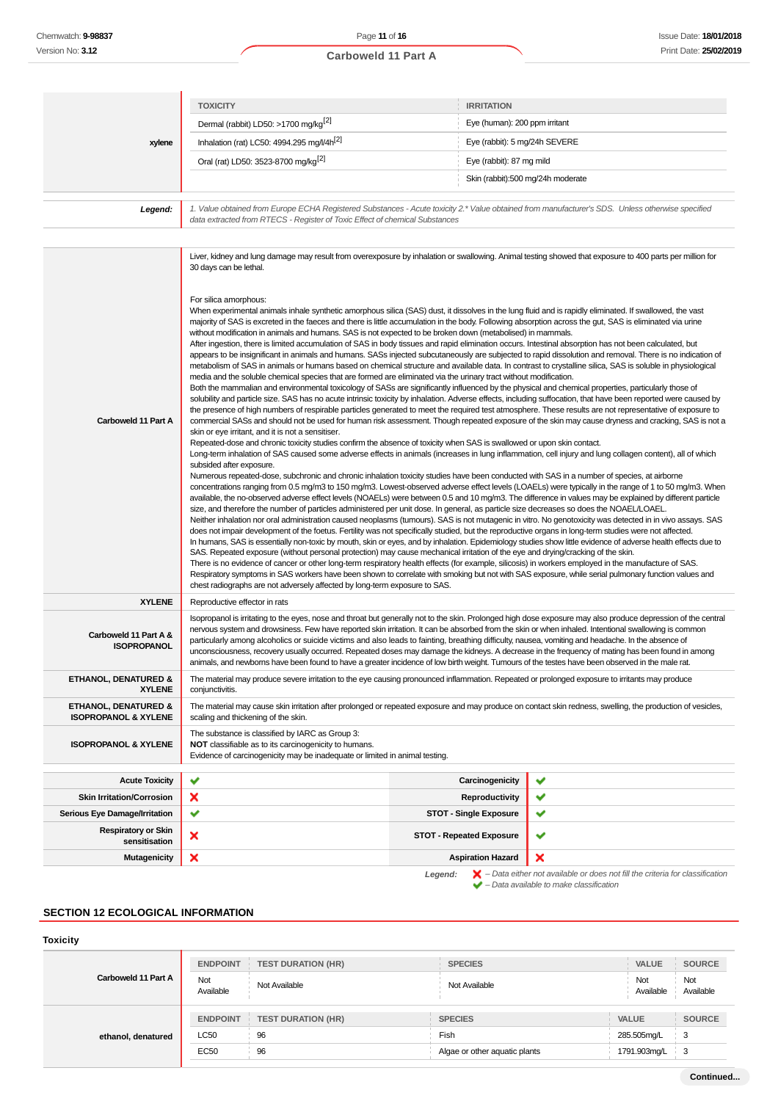## **xylene TOXICITY IRRITATION** Dermal (rabbit) LD50: >1700 mg/kg<sup>[2]</sup> exercise to the state of the Sye (human): 200 ppm irritant Inhalation (rat) LC50: 4994.295 mg//4h<sup>[2]</sup> Eye (rabbit): 5 mg/24h SEVERE Oral (rat) LD50: 3523-8700 mg/kg<sup>[2]</sup> Eye (rabbit): 87 mg mild Skin (rabbit):500 mg/24h moderate 1. Value obtained from Europe ECHA Registered Substances - Acute toxicity 2.\* Value obtained from manufacturer's SDS. Unless otherwise specified<br>data extracted from RTECS - Register of Toxic Effect of chemical Substances

|                                                         | Liver, kidney and lung damage may result from overexposure by inhalation or swallowing. Animal testing showed that exposure to 400 parts per million for<br>30 days can be lethal.                                                                                                                                                                                                                                                                                                                                                                                                                                                                                                                                                                                                                                                                                                                                                                                                                                                                                                                                                                                                                                                                                                                                                                                                                                                                                                                                                                                                                                                                                                                                                                                                                                                                                                                                                                                                                                                                                                                                                                                                                                                                                                                                                                                                                                                                                                                                                                                                                                                                                                                                                                                                                                                                                                                                                                                                                                                                                                                                                                                                                                                                                                                                                                                                                               |                                 |                                                                                                                                                                                                                                                                                                              |
|---------------------------------------------------------|------------------------------------------------------------------------------------------------------------------------------------------------------------------------------------------------------------------------------------------------------------------------------------------------------------------------------------------------------------------------------------------------------------------------------------------------------------------------------------------------------------------------------------------------------------------------------------------------------------------------------------------------------------------------------------------------------------------------------------------------------------------------------------------------------------------------------------------------------------------------------------------------------------------------------------------------------------------------------------------------------------------------------------------------------------------------------------------------------------------------------------------------------------------------------------------------------------------------------------------------------------------------------------------------------------------------------------------------------------------------------------------------------------------------------------------------------------------------------------------------------------------------------------------------------------------------------------------------------------------------------------------------------------------------------------------------------------------------------------------------------------------------------------------------------------------------------------------------------------------------------------------------------------------------------------------------------------------------------------------------------------------------------------------------------------------------------------------------------------------------------------------------------------------------------------------------------------------------------------------------------------------------------------------------------------------------------------------------------------------------------------------------------------------------------------------------------------------------------------------------------------------------------------------------------------------------------------------------------------------------------------------------------------------------------------------------------------------------------------------------------------------------------------------------------------------------------------------------------------------------------------------------------------------------------------------------------------------------------------------------------------------------------------------------------------------------------------------------------------------------------------------------------------------------------------------------------------------------------------------------------------------------------------------------------------------------------------------------------------------------------------------------------------------|---------------------------------|--------------------------------------------------------------------------------------------------------------------------------------------------------------------------------------------------------------------------------------------------------------------------------------------------------------|
| Carboweld 11 Part A                                     | For silica amorphous:<br>When experimental animals inhale synthetic amorphous silica (SAS) dust, it dissolves in the lung fluid and is rapidly eliminated. If swallowed, the vast<br>majority of SAS is excreted in the faeces and there is little accumulation in the body. Following absorption across the gut, SAS is eliminated via urine<br>without modification in animals and humans. SAS is not expected to be broken down (metabolised) in mammals.<br>After ingestion, there is limited accumulation of SAS in body tissues and rapid elimination occurs. Intestinal absorption has not been calculated, but<br>appears to be insignificant in animals and humans. SASs injected subcutaneously are subjected to rapid dissolution and removal. There is no indication of<br>metabolism of SAS in animals or humans based on chemical structure and available data. In contrast to crystalline silica, SAS is soluble in physiological<br>media and the soluble chemical species that are formed are eliminated via the urinary tract without modification.<br>Both the mammalian and environmental toxicology of SASs are significantly influenced by the physical and chemical properties, particularly those of<br>solubility and particle size. SAS has no acute intrinsic toxicity by inhalation. Adverse effects, including suffocation, that have been reported were caused by<br>the presence of high numbers of respirable particles generated to meet the required test atmosphere. These results are not representative of exposure to<br>skin or eye irritant, and it is not a sensitiser.<br>Repeated-dose and chronic toxicity studies confirm the absence of toxicity when SAS is swallowed or upon skin contact.<br>Long-term inhalation of SAS caused some adverse effects in animals (increases in lung inflammation, cell injury and lung collagen content), all of which<br>subsided after exposure.<br>Numerous repeated-dose, subchronic and chronic inhalation toxicity studies have been conducted with SAS in a number of species, at airborne<br>available, the no-observed adverse effect levels (NOAELs) were between 0.5 and 10 mg/m3. The difference in values may be explained by different particle<br>size, and therefore the number of particles administered per unit dose. In general, as particle size decreases so does the NOAELLOAEL.<br>Neither inhalation nor oral administration caused neoplasms (tumours). SAS is not mutagenic in vitro. No genotoxicity was detected in in vivo assays. SAS<br>does not impair development of the foetus. Fertility was not specifically studied, but the reproductive organs in long-term studies were not affected.<br>In humans, SAS is essentially non-toxic by mouth, skin or eyes, and by inhalation. Epidemiology studies show little evidence of adverse health effects due to<br>SAS. Repeated exposure (without personal protection) may cause mechanical irritation of the eye and drying/cracking of the skin.<br>There is no evidence of cancer or other long-term respiratory health effects (for example, silicosis) in workers employed in the manufacture of SAS.<br>Respiratory symptoms in SAS workers have been shown to correlate with smoking but not with SAS exposure, while serial pulmonary function values and<br>chest radiographs are not adversely affected by long-term exposure to SAS. |                                 | commercial SASs and should not be used for human risk assessment. Though repeated exposure of the skin may cause dryness and cracking, SAS is not a<br>concentrations ranging from 0.5 mg/m3 to 150 mg/m3. Lowest-observed adverse effect levels (LOAELs) were typically in the range of 1 to 50 mg/m3. When |
| <b>XYLENE</b>                                           | Reproductive effector in rats                                                                                                                                                                                                                                                                                                                                                                                                                                                                                                                                                                                                                                                                                                                                                                                                                                                                                                                                                                                                                                                                                                                                                                                                                                                                                                                                                                                                                                                                                                                                                                                                                                                                                                                                                                                                                                                                                                                                                                                                                                                                                                                                                                                                                                                                                                                                                                                                                                                                                                                                                                                                                                                                                                                                                                                                                                                                                                                                                                                                                                                                                                                                                                                                                                                                                                                                                                                    |                                 |                                                                                                                                                                                                                                                                                                              |
| Carboweld 11 Part A &<br><b>ISOPROPANOL</b>             | nervous system and drowsiness. Few have reported skin irritation. It can be absorbed from the skin or when inhaled. Intentional swallowing is common<br>particularly among alcoholics or suicide victims and also leads to fainting, breathing difficulty, nausea, vomiting and headache. In the absence of<br>unconsciousness, recovery usually occurred. Repeated doses may damage the kidneys. A decrease in the frequency of mating has been found in among<br>animals, and newborns have been found to have a greater incidence of low birth weight. Tumours of the testes have been observed in the male rat.                                                                                                                                                                                                                                                                                                                                                                                                                                                                                                                                                                                                                                                                                                                                                                                                                                                                                                                                                                                                                                                                                                                                                                                                                                                                                                                                                                                                                                                                                                                                                                                                                                                                                                                                                                                                                                                                                                                                                                                                                                                                                                                                                                                                                                                                                                                                                                                                                                                                                                                                                                                                                                                                                                                                                                                              |                                 | Isopropanol is irritating to the eyes, nose and throat but generally not to the skin. Prolonged high dose exposure may also produce depression of the central                                                                                                                                                |
| <b>ETHANOL, DENATURED &amp;</b><br><b>XYLENE</b>        | The material may produce severe irritation to the eye causing pronounced inflammation. Repeated or prolonged exposure to irritants may produce<br>conjunctivitis.                                                                                                                                                                                                                                                                                                                                                                                                                                                                                                                                                                                                                                                                                                                                                                                                                                                                                                                                                                                                                                                                                                                                                                                                                                                                                                                                                                                                                                                                                                                                                                                                                                                                                                                                                                                                                                                                                                                                                                                                                                                                                                                                                                                                                                                                                                                                                                                                                                                                                                                                                                                                                                                                                                                                                                                                                                                                                                                                                                                                                                                                                                                                                                                                                                                |                                 |                                                                                                                                                                                                                                                                                                              |
| ETHANOL, DENATURED &<br><b>ISOPROPANOL &amp; XYLENE</b> | The material may cause skin irritation after prolonged or repeated exposure and may produce on contact skin redness, swelling, the production of vesicles,<br>scaling and thickening of the skin.                                                                                                                                                                                                                                                                                                                                                                                                                                                                                                                                                                                                                                                                                                                                                                                                                                                                                                                                                                                                                                                                                                                                                                                                                                                                                                                                                                                                                                                                                                                                                                                                                                                                                                                                                                                                                                                                                                                                                                                                                                                                                                                                                                                                                                                                                                                                                                                                                                                                                                                                                                                                                                                                                                                                                                                                                                                                                                                                                                                                                                                                                                                                                                                                                |                                 |                                                                                                                                                                                                                                                                                                              |
| <b>ISOPROPANOL &amp; XYLENE</b>                         | The substance is classified by IARC as Group 3:<br>NOT classifiable as to its carcinogenicity to humans.<br>Evidence of carcinogenicity may be inadequate or limited in animal testing.                                                                                                                                                                                                                                                                                                                                                                                                                                                                                                                                                                                                                                                                                                                                                                                                                                                                                                                                                                                                                                                                                                                                                                                                                                                                                                                                                                                                                                                                                                                                                                                                                                                                                                                                                                                                                                                                                                                                                                                                                                                                                                                                                                                                                                                                                                                                                                                                                                                                                                                                                                                                                                                                                                                                                                                                                                                                                                                                                                                                                                                                                                                                                                                                                          |                                 |                                                                                                                                                                                                                                                                                                              |
| <b>Acute Toxicity</b>                                   | ◡                                                                                                                                                                                                                                                                                                                                                                                                                                                                                                                                                                                                                                                                                                                                                                                                                                                                                                                                                                                                                                                                                                                                                                                                                                                                                                                                                                                                                                                                                                                                                                                                                                                                                                                                                                                                                                                                                                                                                                                                                                                                                                                                                                                                                                                                                                                                                                                                                                                                                                                                                                                                                                                                                                                                                                                                                                                                                                                                                                                                                                                                                                                                                                                                                                                                                                                                                                                                                | Carcinogenicity                 | ✔                                                                                                                                                                                                                                                                                                            |
| <b>Skin Irritation/Corrosion</b>                        | ×                                                                                                                                                                                                                                                                                                                                                                                                                                                                                                                                                                                                                                                                                                                                                                                                                                                                                                                                                                                                                                                                                                                                                                                                                                                                                                                                                                                                                                                                                                                                                                                                                                                                                                                                                                                                                                                                                                                                                                                                                                                                                                                                                                                                                                                                                                                                                                                                                                                                                                                                                                                                                                                                                                                                                                                                                                                                                                                                                                                                                                                                                                                                                                                                                                                                                                                                                                                                                | <b>Reproductivity</b>           | ✔                                                                                                                                                                                                                                                                                                            |
| Serious Eye Damage/Irritation                           | ✔                                                                                                                                                                                                                                                                                                                                                                                                                                                                                                                                                                                                                                                                                                                                                                                                                                                                                                                                                                                                                                                                                                                                                                                                                                                                                                                                                                                                                                                                                                                                                                                                                                                                                                                                                                                                                                                                                                                                                                                                                                                                                                                                                                                                                                                                                                                                                                                                                                                                                                                                                                                                                                                                                                                                                                                                                                                                                                                                                                                                                                                                                                                                                                                                                                                                                                                                                                                                                | <b>STOT - Single Exposure</b>   | ✔                                                                                                                                                                                                                                                                                                            |
| <b>Respiratory or Skin</b><br>sensitisation             | ×                                                                                                                                                                                                                                                                                                                                                                                                                                                                                                                                                                                                                                                                                                                                                                                                                                                                                                                                                                                                                                                                                                                                                                                                                                                                                                                                                                                                                                                                                                                                                                                                                                                                                                                                                                                                                                                                                                                                                                                                                                                                                                                                                                                                                                                                                                                                                                                                                                                                                                                                                                                                                                                                                                                                                                                                                                                                                                                                                                                                                                                                                                                                                                                                                                                                                                                                                                                                                | <b>STOT - Repeated Exposure</b> | ✔                                                                                                                                                                                                                                                                                                            |
| <b>Mutagenicity</b>                                     | ×                                                                                                                                                                                                                                                                                                                                                                                                                                                                                                                                                                                                                                                                                                                                                                                                                                                                                                                                                                                                                                                                                                                                                                                                                                                                                                                                                                                                                                                                                                                                                                                                                                                                                                                                                                                                                                                                                                                                                                                                                                                                                                                                                                                                                                                                                                                                                                                                                                                                                                                                                                                                                                                                                                                                                                                                                                                                                                                                                                                                                                                                                                                                                                                                                                                                                                                                                                                                                | <b>Aspiration Hazard</b>        | ×                                                                                                                                                                                                                                                                                                            |
|                                                         |                                                                                                                                                                                                                                                                                                                                                                                                                                                                                                                                                                                                                                                                                                                                                                                                                                                                                                                                                                                                                                                                                                                                                                                                                                                                                                                                                                                                                                                                                                                                                                                                                                                                                                                                                                                                                                                                                                                                                                                                                                                                                                                                                                                                                                                                                                                                                                                                                                                                                                                                                                                                                                                                                                                                                                                                                                                                                                                                                                                                                                                                                                                                                                                                                                                                                                                                                                                                                  |                                 |                                                                                                                                                                                                                                                                                                              |

**Legend:** – Data either not available or does not fill the criteria for classification – Data available to make classification

### **SECTION 12 ECOLOGICAL INFORMATION**

| <b>Toxicity</b>     |                  |                           |                               |                  |                  |
|---------------------|------------------|---------------------------|-------------------------------|------------------|------------------|
|                     | <b>ENDPOINT</b>  | <b>TEST DURATION (HR)</b> | <b>SPECIES</b>                | VALUE            | <b>SOURCE</b>    |
| Carboweld 11 Part A | Not<br>Available | Not Available             | Not Available                 | Not<br>Available | Not<br>Available |
|                     | <b>ENDPOINT</b>  | <b>TEST DURATION (HR)</b> | <b>SPECIES</b>                | <b>VALUE</b>     | <b>SOURCE</b>    |
| ethanol, denatured  | LC50             | 96                        | Fish                          | 285.505mg/L      | 3                |
|                     | <b>EC50</b>      | 96                        | Algae or other aquatic plants | 1791.903mg/L     | 3                |
|                     |                  |                           |                               |                  |                  |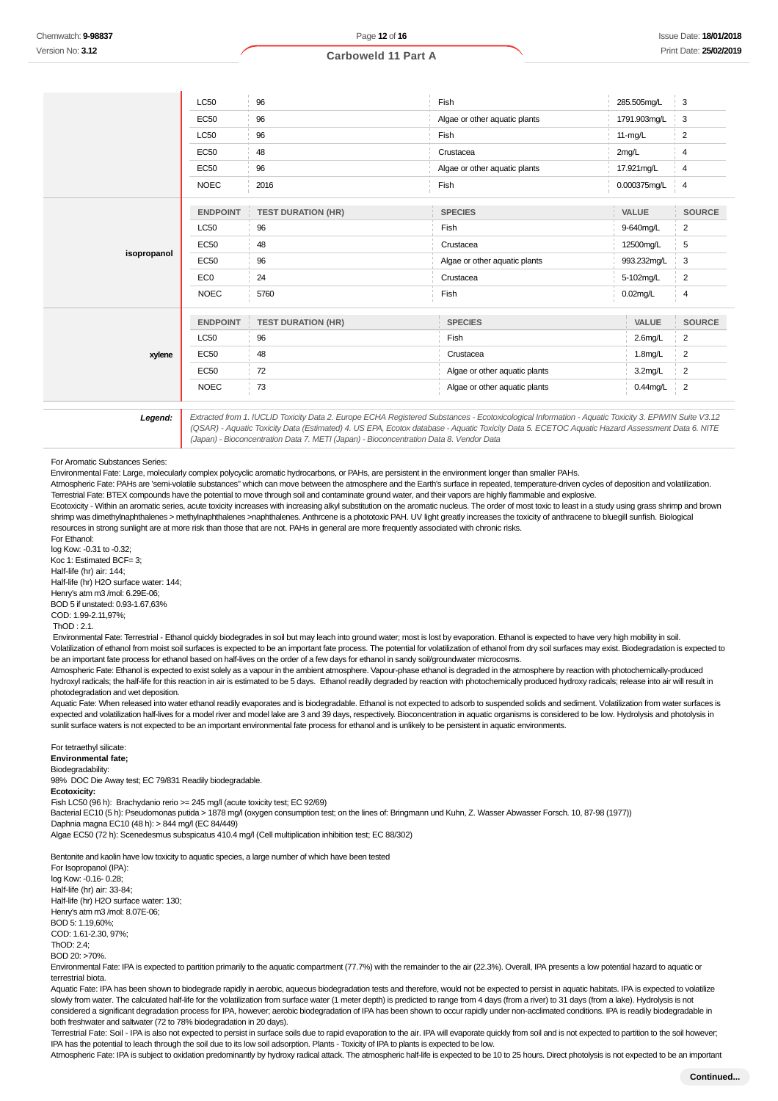#### **Carboweld 11 Part A**

|             | LC50            | 96                        | Fish                          | 285.505mg/L  | 3                       |
|-------------|-----------------|---------------------------|-------------------------------|--------------|-------------------------|
|             | <b>EC50</b>     | 96                        | Algae or other aquatic plants | 1791.903mg/L | 3                       |
|             | LC50            | 96                        | Fish                          | $11-mg/L$    | 2                       |
|             | <b>EC50</b>     | 48                        | Crustacea                     | 2mg/L        | 4                       |
|             | <b>EC50</b>     | 96                        | Algae or other aquatic plants | 17.921mg/L   | 4                       |
|             | <b>NOEC</b>     | 2016                      | Fish                          | 0.000375mg/L | 4                       |
|             | <b>ENDPOINT</b> | <b>TEST DURATION (HR)</b> | <b>SPECIES</b>                | VALUE        | <b>SOURCE</b>           |
|             | LC50            | 96                        | Fish                          | 9-640mg/L    | $\overline{2}$          |
| isopropanol | <b>EC50</b>     | 48                        | Crustacea                     | 12500mg/L    | 5                       |
|             | <b>EC50</b>     | 96                        | Algae or other aquatic plants | 993.232mg/L  | 3                       |
|             | EC <sub>0</sub> | 24                        | Crustacea                     | 5-102mg/L    | $\overline{2}$          |
|             | <b>NOEC</b>     | 5760                      | Fish                          | $0.02$ mg/L  | 4                       |
|             | <b>ENDPOINT</b> | <b>TEST DURATION (HR)</b> | <b>SPECIES</b>                | VALUE        | <b>SOURCE</b>           |
| xylene      | <b>LC50</b>     | 96                        | Fish                          | 2.6mg/L      | $\overline{\mathbf{c}}$ |
|             | <b>EC50</b>     | 48                        | Crustacea                     | $1.8$ mg/L   | $\overline{2}$          |
|             | <b>EC50</b>     | 72                        | Algae or other aquatic plants | 3.2mg/L      | $\overline{2}$          |
|             | <b>NOEC</b>     | 73                        | Algae or other aquatic plants | $0.44$ mg/L  | $\overline{2}$          |

**Legend:** Extracted from 1. IUCLID Toxicity Data 2. Europe ECHA Registered Substances - Ecotoxicological Information - Aquatic Toxicity 3. EPIWIN Suite V3.12 (QSAR) - Aquatic Toxicity Data (Estimated) 4. US EPA, Ecotox database - Aquatic Toxicity Data 5. ECETOC Aquatic Hazard Assessment Data 6. NITE (Japan) - Bioconcentration Data 7. METI (Japan) - Bioconcentration Data 8. Vendor Data

#### For Aromatic Substances Series:

Environmental Fate: Large, molecularly complex polycyclic aromatic hydrocarbons, or PAHs, are persistent in the environment longer than smaller PAHs.

Atmospheric Fate: PAHs are 'semi-volatile substances" which can move between the atmosphere and the Earth's surface in repeated, temperature-driven cycles of deposition and volatilization. Terrestrial Fate: BTEX compounds have the potential to move through soil and contaminate ground water, and their vapors are highly flammable and explosive.

Ecotoxicity - Within an aromatic series, acute toxicity increases with increasing alkyl substitution on the aromatic nucleus. The order of most toxic to least in a study using grass shrimp and brown shrimp was dimethylnaphthalenes > methylnaphthalenes >naphthalenes. Anthrcene is a phototoxic PAH. UV light greatly increases the toxicity of anthracene to bluegill sunfish. Biological resources in strong sunlight are at more risk than those that are not. PAHs in general are more frequently associated with chronic risks.

For Ethanol: log Kow: -0.31 to -0.32; Koc 1: Estimated BCF= 3: Half-life (hr) air: 144; Half-life (hr) H2O surface water: 144; Henry's atm m3 /mol: 6.29E-06; BOD 5 if unstated: 0.93-1.67,63% COD: 1.99-2.11,97%;

#### $ThOD 21$

 Environmental Fate: Terrestrial - Ethanol quickly biodegrades in soil but may leach into ground water; most is lost by evaporation. Ethanol is expected to have very high mobility in soil. Volatilization of ethanol from moist soil surfaces is expected to be an important fate process. The potential for volatilization of ethanol from dry soil surfaces may exist. Biodegradation is expected to be an important fate process for ethanol based on half-lives on the order of a few days for ethanol in sandy soil/groundwater microcosms.

Atmospheric Fate: Ethanol is expected to exist solely as a vapour in the ambient atmosphere. Vapour-phase ethanol is degraded in the atmosphere by reaction with photochemically-produced hydroxyl radicals; the half-life for this reaction in air is estimated to be 5 days. Ethanol readily degraded by reaction with photochemically produced hydroxy radicals; release into air will result in photodegradation and wet deposition.

Aquatic Fate: When released into water ethanol readily evaporates and is biodegradable. Ethanol is not expected to adsorb to suspended solids and sediment. Volatilization from water surfaces is expected and volatilization half-lives for a model river and model lake are 3 and 39 days, respectively. Bioconcentration in aquatic organisms is considered to be low. Hydrolysis and photolysis in sunlit surface waters is not expected to be an important environmental fate process for ethanol and is unlikely to be persistent in aquatic environments.

### For tetraethyl silicate:

**Environmental fate;**

### Biodegradability:

98% DOC Die Away test; EC 79/831 Readily biodegradable.

### **Ecotoxicity:**

Fish LC50 (96 h): Brachydanio rerio >= 245 mg/l (acute toxicity test; EC 92/69)

Bacterial EC10 (5 h): Pseudomonas putida > 1878 mg/l (oxygen consumption test; on the lines of: Bringmann und Kuhn, Z. Wasser Abwasser Forsch. 10, 87-98 (1977))

Daphnia magna EC10 (48 h): > 844 mg/l (EC 84/449)

Algae EC50 (72 h): Scenedesmus subspicatus 410.4 mg/l (Cell multiplication inhibition test; EC 88/302)

Bentonite and kaolin have low toxicity to aquatic species, a large number of which have been tested For Isopropanol (IPA): log Kow: -0.16- 0.28; Half-life (hr) air: 33-84; Half-life (hr) H2O surface water: 130; Henry's atm m3 /mol: 8.07E-06; BOD 5: 1.19,60%; COD: 1.61-2.30, 97%; Th $OD: 24$ BOD 20: >70%.

Environmental Fate: IPA is expected to partition primarily to the aquatic compartment (77.7%) with the remainder to the air (22.3%). Overall, IPA presents a low potential hazard to aquatic or terrestrial biota.

Aquatic Fate: IPA has been shown to biodegrade rapidly in aerobic, aqueous biodegradation tests and therefore, would not be expected to persist in aquatic habitats. IPA is expected to volatilize slowly from water. The calculated half-life for the volatilization from surface water (1 meter depth) is predicted to range from 4 days (from a river) to 31 days (from a lake). Hydrolysis is not considered a significant degradation process for IPA, however; aerobic biodegradation of IPA has been shown to occur rapidly under non-acclimated conditions. IPA is readily biodegradable in both freshwater and saltwater (72 to 78% biodegradation in 20 days).

Terrestrial Fate: Soil - IPA is also not expected to persist in surface soils due to rapid evaporation to the air. IPA will evaporate quickly from soil and is not expected to partition to the soil however; IPA has the potential to leach through the soil due to its low soil adsorption. Plants - Toxicity of IPA to plants is expected to be low.

Atmospheric Fate: IPA is subject to oxidation predominantly by hydroxy radical attack. The atmospheric half-life is expected to be 10 to 25 hours. Direct photolysis is not expected to be an important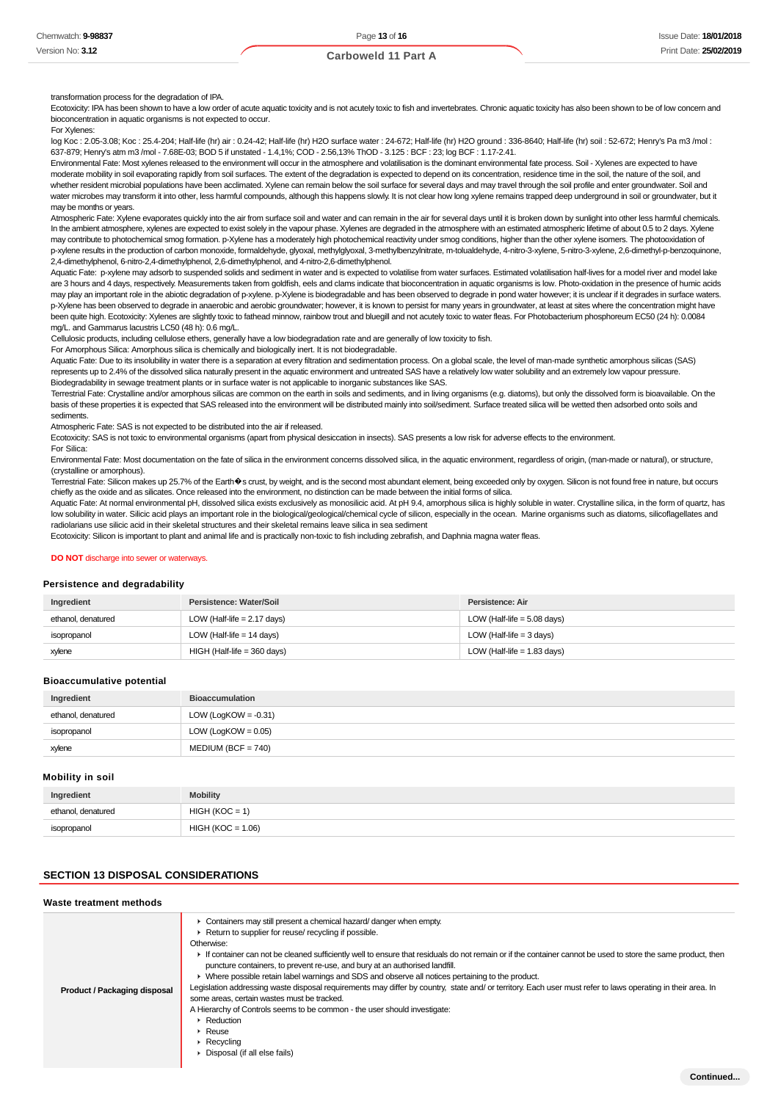#### transformation process for the degradation of IPA.

Ecotoxicity: IPA has been shown to have a low order of acute aquatic toxicity and is not acutely toxic to fish and invertebrates. Chronic aquatic toxicity has also been shown to be of low concern and bioconcentration in aquatic organisms is not expected to occur.

#### For Xylenes:

log Koc : 2.05-3.08; Koc : 25.4-204; Half-life (hr) air : 0.24-42; Half-life (hr) H2O surface water : 24-672; Half-life (hr) H2O ground : 336-8640; Half-life (hr) soil : 52-672; Henry's Pa m3 /mol : 637-879; Henry's atm m3 /mol - 7.68E-03; BOD 5 if unstated - 1.4,1%; COD - 2.56,13% ThOD - 3.125 : BCF : 23; log BCF : 1.17-2.41.

Environmental Fate: Most xylenes released to the environment will occur in the atmosphere and volatilisation is the dominant environmental fate process. Soil - Xylenes are expected to have moderate mobility in soil evaporating rapidly from soil surfaces. The extent of the degradation is expected to depend on its concentration, residence time in the soil, the nature of the soil, and whether resident microbial populations have been acclimated. Xylene can remain below the soil surface for several days and may travel through the soil profile and enter groundwater. Soil and water microbes may transform it into other, less harmful compounds, although this happens slowly. It is not clear how long xylene remains trapped deep underground in soil or groundwater, but it may be months or years.

Atmospheric Fate: Xylene evaporates quickly into the air from surface soil and water and can remain in the air for several days until it is broken down by sunlight into other less harmful chemicals. In the ambient atmosphere, xylenes are expected to exist solely in the vapour phase. Xylenes are degraded in the atmosphere with an estimated atmospheric lifetime of about 0.5 to 2 days. Xylene may contribute to photochemical smog formation. p-Xylene has a moderately high photochemical reactivity under smog conditions, higher than the other xylene isomers. The photooxidation of p-xylene results in the production of carbon monoxide, formaldehyde, glyoxal, methylglyoxal, 3-methylbenzylnitrate, m-tolualdehyde, 4-nitro-3-xylene, 5-nitro-3-xylene, 2,6-dimethyl-p-benzoquinone, 2,4-dimethylphenol, 6-nitro-2,4-dimethylphenol, 2,6-dimethylphenol, and 4-nitro-2,6-dimethylphenol.

Aquatic Fate: p-xylene may adsorb to suspended solids and sediment in water and is expected to volatilise from water surfaces. Estimated volatilisation half-lives for a model river and model lake are 3 hours and 4 days, respectively. Measurements taken from goldfish, eels and clams indicate that bioconcentration in aquatic organisms is low. Photo-oxidation in the presence of humic acids may play an important role in the abiotic degradation of p-xylene. p-Xylene is biodegradable and has been observed to degrade in pond water however; it is unclear if it degrades in surface waters. p-Xylene has been observed to degrade in anaerobic and aerobic groundwater; however, it is known to persist for many years in groundwater, at least at sites where the concentration might have been quite high. Ecotoxicity: Xylenes are slightly toxic to fathead minnow, rainbow trout and bluegill and not acutely toxic to water fleas. For Photobacterium phosphoreum EC50 (24 h): 0.0084 mg/L. and Gammarus lacustris LC50 (48 h): 0.6 mg/L.

Cellulosic products, including cellulose ethers, generally have a low biodegradation rate and are generally of low toxicity to fish.

For Amorphous Silica: Amorphous silica is chemically and biologically inert. It is not biodegradable.

Aquatic Fate: Due to its insolubility in water there is a separation at every filtration and sedimentation process. On a global scale, the level of man-made synthetic amorphous silicas (SAS) represents up to 2.4% of the dissolved silica naturally present in the aquatic environment and untreated SAS have a relatively low water solubility and an extremely low vapour pressure. Biodegradability in sewage treatment plants or in surface water is not applicable to inorganic substances like SAS.

Terrestrial Fate: Crystalline and/or amorphous silicas are common on the earth in soils and sediments, and in living organisms (e.g. diatoms), but only the dissolved form is bioavailable. On the basis of these properties it is expected that SAS released into the environment will be distributed mainly into soil/sediment. Surface treated silica will be wetted then adsorbed onto soils and

sediments. Atmospheric Fate: SAS is not expected to be distributed into the air if released.

Ecotoxicity: SAS is not toxic to environmental organisms (apart from physical desiccation in insects). SAS presents a low risk for adverse effects to the environment.

For Silica:

Environmental Fate: Most documentation on the fate of silica in the environment concerns dissolved silica, in the aquatic environment, regardless of origin, (man-made or natural), or structure, (crystalline or amorphous).

Terrestrial Fate: Silicon makes up 25.7% of the Earth�s crust, by weight, and is the second most abundant element, being exceeded only by oxygen. Silicon is not found free in nature, but occurs chiefly as the oxide and as silicates. Once released into the environment, no distinction can be made between the initial forms of silica.

Aquatic Fate: At normal environmental pH, dissolved silica exists exclusively as monosilicic acid. At pH 9.4, amorphous silica is highly soluble in water. Crystalline silica, in the form of quartz, has low solubility in water. Silicic acid plays an important role in the biological/geological/chemical cycle of silicon, especially in the ocean. Marine organisms such as diatoms, silicoflagellates and radiolarians use silicic acid in their skeletal structures and their skeletal remains leave silica in sea sediment

Ecotoxicity: Silicon is important to plant and animal life and is practically non-toxic to fish including zebrafish, and Daphnia magna water fleas.

#### **DO NOT** discharge into sewer or waterways.

#### **Persistence and degradability**

| Ingredient         | Persistence: Water/Soil       | Persistence: Air              |
|--------------------|-------------------------------|-------------------------------|
| ethanol, denatured | LOW (Half-life $= 2.17$ days) | LOW (Half-life $= 5.08$ days) |
| isopropanol        | LOW (Half-life $= 14$ days)   | LOW (Half-life = $3$ days)    |
| xylene             | $HIGH$ (Half-life = 360 days) | LOW (Half-life = $1.83$ days) |

#### **Bioaccumulative potential**

| Ingredient         | <b>Bioaccumulation</b>  |
|--------------------|-------------------------|
| ethanol, denatured | LOW (LogKOW = $-0.31$ ) |
| isopropanol        | LOW (LogKOW = $0.05$ )  |
| xylene             | $MEDIUM (BCF = 740)$    |

#### **Mobility in soil**

| Ingredient         | <b>Mobility</b>     |
|--------------------|---------------------|
| ethanol, denatured | $HIGH (KOC = 1)$    |
| isopropanol        | $HIGH (KOC = 1.06)$ |

### **SECTION 13 DISPOSAL CONSIDERATIONS**

#### **Waste treatment methods**

| Product / Packaging disposal | • Containers may still present a chemical hazard/danger when empty.<br>Return to supplier for reuse/ recycling if possible.<br>Otherwise:<br>If container can not be cleaned sufficiently well to ensure that residuals do not remain or if the container cannot be used to store the same product, then<br>puncture containers, to prevent re-use, and bury at an authorised landfill.<br>• Where possible retain label warnings and SDS and observe all notices pertaining to the product.<br>Legislation addressing waste disposal requirements may differ by country, state and/ or territory. Each user must refer to laws operating in their area. In<br>some areas, certain wastes must be tracked.<br>A Hierarchy of Controls seems to be common - the user should investigate:<br>$\blacktriangleright$ Reduction<br>$\triangleright$ Reuse<br>$\triangleright$ Recycling<br>Disposal (if all else fails) |
|------------------------------|--------------------------------------------------------------------------------------------------------------------------------------------------------------------------------------------------------------------------------------------------------------------------------------------------------------------------------------------------------------------------------------------------------------------------------------------------------------------------------------------------------------------------------------------------------------------------------------------------------------------------------------------------------------------------------------------------------------------------------------------------------------------------------------------------------------------------------------------------------------------------------------------------------------------|
|                              | Continued                                                                                                                                                                                                                                                                                                                                                                                                                                                                                                                                                                                                                                                                                                                                                                                                                                                                                                          |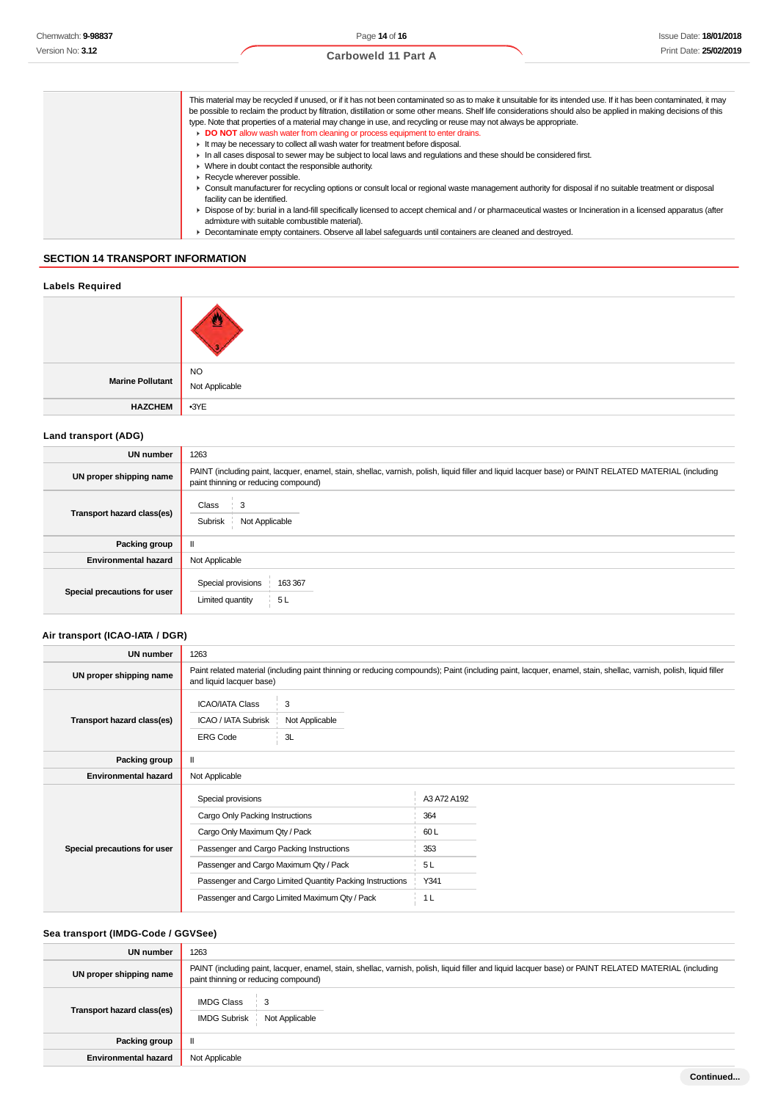| This material may be recycled if unused, or if it has not been contaminated so as to make it unsuitable for its intended use. If it has been contaminated, it may<br>be possible to reclaim the product by filtration, distillation or some other means. Shelf life considerations should also be applied in making decisions of this<br>type. Note that properties of a material may change in use, and recycling or reuse may not always be appropriate.<br>DO NOT allow wash water from cleaning or process equipment to enter drains. |
|-------------------------------------------------------------------------------------------------------------------------------------------------------------------------------------------------------------------------------------------------------------------------------------------------------------------------------------------------------------------------------------------------------------------------------------------------------------------------------------------------------------------------------------------|
| It may be necessary to collect all wash water for treatment before disposal.                                                                                                                                                                                                                                                                                                                                                                                                                                                              |
| In all cases disposal to sewer may be subject to local laws and requlations and these should be considered first.                                                                                                                                                                                                                                                                                                                                                                                                                         |
| • Where in doubt contact the responsible authority.                                                                                                                                                                                                                                                                                                                                                                                                                                                                                       |
| Recycle wherever possible.                                                                                                                                                                                                                                                                                                                                                                                                                                                                                                                |
| ► Consult manufacturer for recycling options or consult local or regional waste management authority for disposal if no suitable treatment or disposal<br>facility can be identified.                                                                                                                                                                                                                                                                                                                                                     |
| ▶ Dispose of by: burial in a land-fill specifically licensed to accept chemical and / or pharmaceutical wastes or Incineration in a licensed apparatus (after<br>admixture with suitable combustible material).                                                                                                                                                                                                                                                                                                                           |
| Decontaminate empty containers. Observe all label safeguards until containers are cleaned and destroyed.                                                                                                                                                                                                                                                                                                                                                                                                                                  |
|                                                                                                                                                                                                                                                                                                                                                                                                                                                                                                                                           |

#### Decontaminate empty containers. Observe all label safeguards until containers are cleaned and destroyed.

### **SECTION 14 TRANSPORT INFORMATION**

| <b>Labels Required</b>  |                             |
|-------------------------|-----------------------------|
|                         |                             |
| <b>Marine Pollutant</b> | <b>NO</b><br>Not Applicable |
| <b>HAZCHEM</b>          | $-3YE$                      |

### **Land transport (ADG)**

| UN number                    | 1263                                                                                                                                                                                          |
|------------------------------|-----------------------------------------------------------------------------------------------------------------------------------------------------------------------------------------------|
| UN proper shipping name      | PAINT (including paint, lacquer, enamel, stain, shellac, varnish, polish, liquid filler and liquid lacquer base) or PAINT RELATED MATERIAL (including<br>paint thinning or reducing compound) |
| Transport hazard class(es)   | Class<br>3<br>Not Applicable<br>Subrisk                                                                                                                                                       |
| Packing group                |                                                                                                                                                                                               |
| <b>Environmental hazard</b>  | Not Applicable                                                                                                                                                                                |
| Special precautions for user | Special provisions<br>163 367<br>5L<br>Limited quantity                                                                                                                                       |

### **Air transport (ICAO-IATA / DGR)**

| UN number                    | 1263                                                                                                                                                                                                                                                                                        |                                                                                                                                                                  |
|------------------------------|---------------------------------------------------------------------------------------------------------------------------------------------------------------------------------------------------------------------------------------------------------------------------------------------|------------------------------------------------------------------------------------------------------------------------------------------------------------------|
| UN proper shipping name      | and liquid lacquer base)                                                                                                                                                                                                                                                                    | Paint related material (including paint thinning or reducing compounds); Paint (including paint, lacquer, enamel, stain, shellac, varnish, polish, liquid filler |
| Transport hazard class(es)   | <b>ICAO/IATA Class</b><br>3<br>ICAO / IATA Subrisk<br>Not Applicable<br>3L<br><b>ERG Code</b>                                                                                                                                                                                               |                                                                                                                                                                  |
| Packing group                |                                                                                                                                                                                                                                                                                             |                                                                                                                                                                  |
| <b>Environmental hazard</b>  | Not Applicable                                                                                                                                                                                                                                                                              |                                                                                                                                                                  |
| Special precautions for user | Special provisions<br>Cargo Only Packing Instructions<br>Cargo Only Maximum Qty / Pack<br>Passenger and Cargo Packing Instructions<br>Passenger and Cargo Maximum Qty / Pack<br>Passenger and Cargo Limited Quantity Packing Instructions<br>Passenger and Cargo Limited Maximum Qty / Pack | A3 A72 A192<br>364<br>60L<br>353<br>5L<br>Y341<br>1 <sub>L</sub>                                                                                                 |
|                              |                                                                                                                                                                                                                                                                                             |                                                                                                                                                                  |

### **Sea transport (IMDG-Code / GGVSee)**

| UN number                   | 1263                                                                                                                                                                                          |
|-----------------------------|-----------------------------------------------------------------------------------------------------------------------------------------------------------------------------------------------|
| UN proper shipping name     | PAINT (including paint, lacquer, enamel, stain, shellac, varnish, polish, liquid filler and liquid lacquer base) or PAINT RELATED MATERIAL (including<br>paint thinning or reducing compound) |
| Transport hazard class(es)  | <b>IMDG Class</b><br>3<br><b>IMDG Subrisk</b><br>Not Applicable                                                                                                                               |
| Packing group               | $\mathbf{I}$                                                                                                                                                                                  |
| <b>Environmental hazard</b> | Not Applicable                                                                                                                                                                                |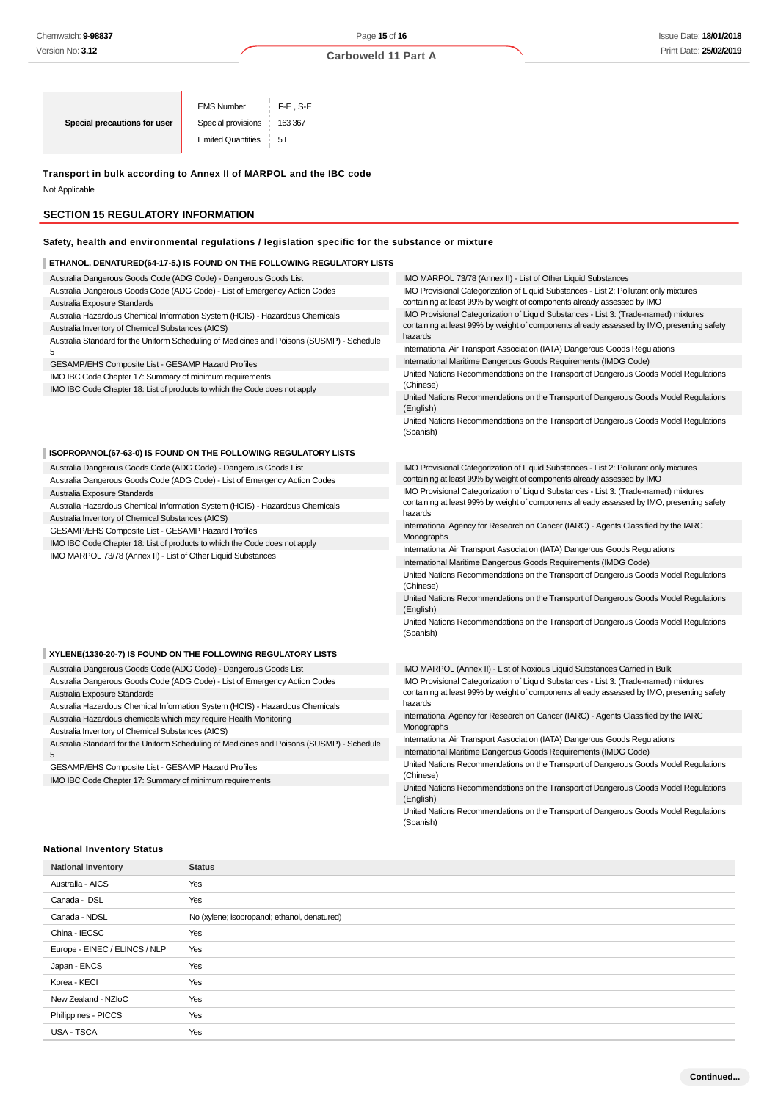### Page **15** of **16**

### **Carboweld 11 Part A**

|                              | <b>EMS Number</b>         | $F-E$ , S-E |
|------------------------------|---------------------------|-------------|
| Special precautions for user | Special provisions        | 163 367     |
|                              | <b>Limited Quantities</b> | 51          |

### **Transport in bulk according to Annex II of MARPOL and the IBC code**

Not Applicable

### **SECTION 15 REGULATORY INFORMATION**

### **Safety, health and environmental regulations / legislation specific for the substance or mixture**

### **ETHANOL, DENATURED(64-17-5.) IS FOUND ON THE FOLLOWING REGULATORY LISTS**

| Australia Dangerous Goods Code (ADG Code) - Dangerous Goods List                          | IMO MARPOL 73/78 (Annex II) - List of Other Liquid Substances                                     |
|-------------------------------------------------------------------------------------------|---------------------------------------------------------------------------------------------------|
| Australia Dangerous Goods Code (ADG Code) - List of Emergency Action Codes                | IMO Provisional Categorization of Liquid Substances - List 2: Pollutant only mixtures             |
| Australia Exposure Standards                                                              | containing at least 99% by weight of components already assessed by IMO                           |
| Australia Hazardous Chemical Information System (HCIS) - Hazardous Chemicals              | IMO Provisional Categorization of Liquid Substances - List 3: (Trade-named) mixtures              |
| Australia Inventory of Chemical Substances (AICS)                                         | containing at least 99% by weight of components already assessed by IMO, presenting safety        |
| Australia Standard for the Uniform Scheduling of Medicines and Poisons (SUSMP) - Schedule | hazards                                                                                           |
| 5                                                                                         | International Air Transport Association (IATA) Dangerous Goods Regulations                        |
| GESAMP/EHS Composite List - GESAMP Hazard Profiles                                        | International Maritime Dangerous Goods Requirements (IMDG Code)                                   |
| IMO IBC Code Chapter 17: Summary of minimum requirements                                  | United Nations Recommendations on the Transport of Dangerous Goods Model Regulations              |
| IMO IBC Code Chapter 18: List of products to which the Code does not apply                | (Chinese)                                                                                         |
|                                                                                           | United Nations Recommendations on the Transport of Dangerous Goods Model Regulations<br>(English) |
|                                                                                           | United Nations Recommendations on the Transport of Dangerous Goods Model Regulations<br>(Spanish) |
| ISOPROPANOL(67-63-0) IS FOUND ON THE FOLLOWING REGULATORY LISTS                           |                                                                                                   |
| Australia Dangerous Goods Code (ADG Code) - Dangerous Goods List                          | IMO Provisional Categorization of Liquid Substances - List 2: Pollutant only mixtures             |
| Australia Dangerous Goods Code (ADG Code) - List of Emergency Action Codes                | containing at least 99% by weight of components already assessed by IMO                           |
| Australia Exposure Standards                                                              | IMO Provisional Categorization of Liquid Substances - List 3: (Trade-named) mixtures              |
| Australia Hazardous Chemical Information System (HCIS) - Hazardous Chemicals              | containing at least 99% by weight of components already assessed by IMO, presenting safety        |
| Australia Inventory of Chemical Substances (AICS)                                         | hazards                                                                                           |
| GESAMP/EHS Composite List - GESAMP Hazard Profiles                                        | International Agency for Research on Cancer (IARC) - Agents Classified by the IARC<br>Monographs  |
| IMO IBC Code Chapter 18: List of products to which the Code does not apply                | International Air Transport Association (IATA) Dangerous Goods Regulations                        |
| IMO MARPOL 73/78 (Annex II) - List of Other Liquid Substances                             | International Maritime Dangerous Goods Requirements (IMDG Code)                                   |
|                                                                                           | United Nations Recommendations on the Transport of Dangerous Goods Model Regulations              |
|                                                                                           | (Chinese)                                                                                         |
|                                                                                           | United Nations Recommendations on the Transport of Dangerous Goods Model Regulations<br>(English) |
|                                                                                           | United Nations Recommendations on the Transport of Dangerous Goods Model Regulations<br>(Spanish) |
| XYLENE(1330-20-7) IS FOUND ON THE FOLLOWING REGULATORY LISTS                              |                                                                                                   |
| Australia Dangerous Goods Code (ADG Code) - Dangerous Goods List                          | IMO MARPOL (Annex II) - List of Noxious Liquid Substances Carried in Bulk                         |
| Australia Dangerous Goods Code (ADG Code) - List of Emergency Action Codes                | IMO Provisional Categorization of Liquid Substances - List 3: (Trade-named) mixtures              |
| Australia Exposure Standards                                                              | containing at least 99% by weight of components already assessed by IMO, presenting safety        |
| Australia Hazardous Chemical Information System (HCIS) - Hazardous Chemicals              | hazards                                                                                           |
| Australia Hazardous chemicals which may require Health Monitoring                         | International Agency for Research on Cancer (IARC) - Agents Classified by the IARC                |
| Australia Inventory of Chemical Substances (AICS)                                         | Monographs                                                                                        |
| Australia Standard for the Uniform Scheduling of Medicines and Poisons (SUSMP) - Schedule | International Air Transport Association (IATA) Dangerous Goods Regulations                        |
| 5                                                                                         | International Maritime Dangerous Goods Requirements (IMDG Code)                                   |
| GESAMP/EHS Composite List - GESAMP Hazard Profiles                                        | United Nations Recommendations on the Transport of Dangerous Goods Model Regulations              |
| IMO IBC Code Chapter 17: Summary of minimum requirements                                  | (Chinese)                                                                                         |
|                                                                                           | United Nations Recommendations on the Transport of Dangerous Goods Model Regulations<br>(English) |

United Nations Recommendations on the Transport of Dangerous Goods Model Regulations (Spanish)

### **National Inventory Status**

| <b>National Inventory</b>     | <b>Status</b>                                |
|-------------------------------|----------------------------------------------|
| Australia - AICS              | Yes                                          |
| Canada - DSL                  | Yes                                          |
| Canada - NDSL                 | No (xylene; isopropanol; ethanol, denatured) |
| China - IECSC                 | Yes                                          |
| Europe - EINEC / ELINCS / NLP | Yes                                          |
| Japan - ENCS                  | Yes                                          |
| Korea - KECI                  | Yes                                          |
| New Zealand - NZIoC           | Yes                                          |
| Philippines - PICCS           | Yes                                          |
| USA - TSCA                    | Yes                                          |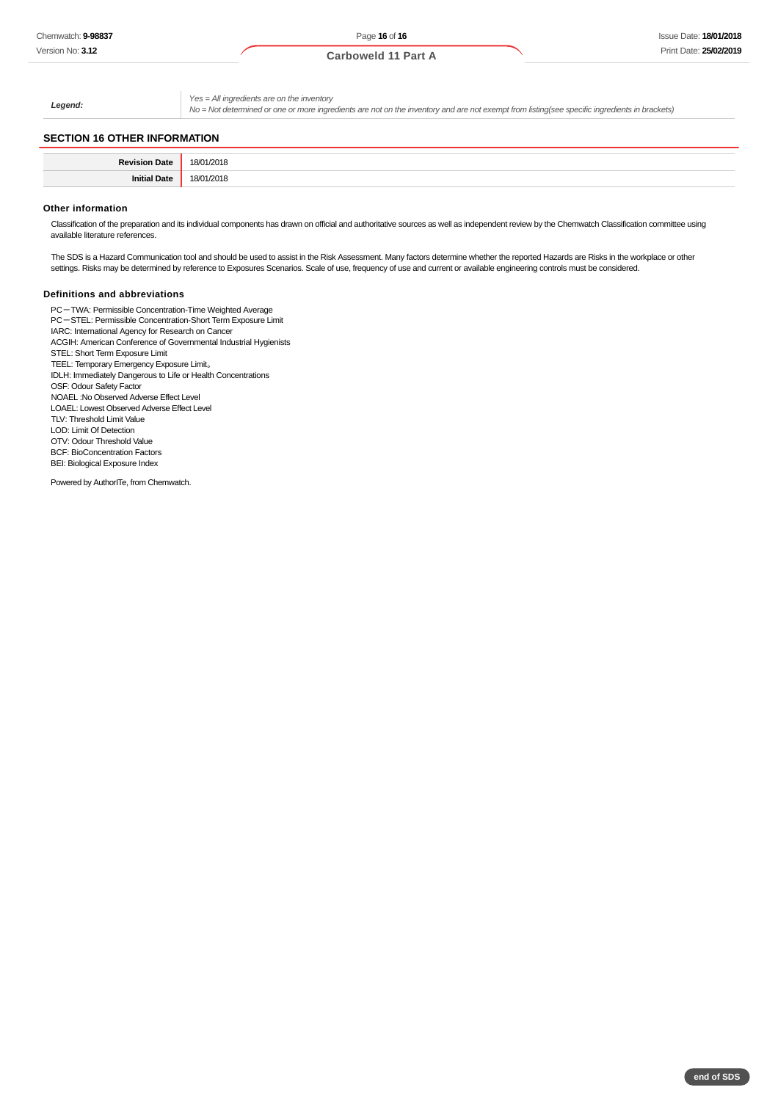**Carboweld 11 Part A**

**Legend:**

Yes = All ingredients are on the inventory

No = Not determined or one or more ingredients are not on the inventory and are not exempt from listing(see specific ingredients in brackets)

### **SECTION 16 OTHER INFORMATION**

| <b>Daview</b><br><b>1014</b><br>au | 18/<br>/2018<br>__ |
|------------------------------------|--------------------|
| Jate                               | 18/<br>2018<br>.   |

#### **Other information**

Classification of the preparation and its individual components has drawn on official and authoritative sources as well as independent review by the Chemwatch Classification committee using available literature references.

The SDS is a Hazard Communication tool and should be used to assist in the Risk Assessment. Many factors determine whether the reported Hazards are Risks in the workplace or other settings. Risks may be determined by reference to Exposures Scenarios. Scale of use, frequency of use and current or available engineering controls must be considered.

#### **Definitions and abbreviations**

PC-TWA: Permissible Concentration-Time Weighted Average PC-STEL: Permissible Concentration-Short Term Exposure Limit IARC: International Agency for Research on Cancer ACGIH: American Conference of Governmental Industrial Hygienists STEL: Short Term Exposure Limit TEEL: Temporary Emergency Exposure Limit。 IDLH: Immediately Dangerous to Life or Health Concentrations OSF: Odour Safety Factor NOAEL :No Observed Adverse Effect Level LOAEL: Lowest Observed Adverse Effect Level TLV: Threshold Limit Value LOD: Limit Of Detection OTV: Odour Threshold Value BCF: BioConcentration Factors BEI: Biological Exposure Index

Powered by AuthorITe, from Chemwatch.

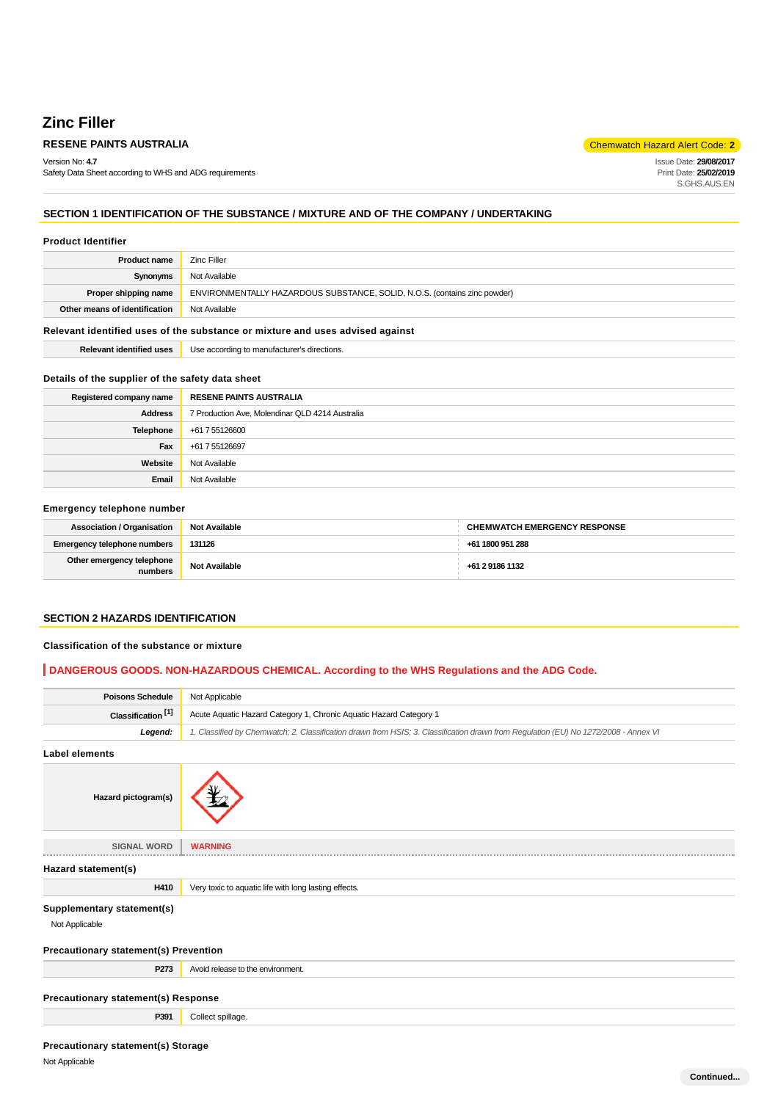### **Zinc Filler**

### **RESENE PAINTS AUSTRALIA** Chemwatch Hazard Alert Code: 2<sup>1</sup>

Version No: **4.7** Safety Data Sheet according to WHS and ADG requirements

Issue Date: **29/08/2017** Print Date: **25/02/2019** S.GHS.AUS.EN

**Continued...**

### **SECTION 1 IDENTIFICATION OF THE SUBSTANCE / MIXTURE AND OF THE COMPANY / UNDERTAKING**

#### **Product Identifier**

| Zinc Filler                                                               |
|---------------------------------------------------------------------------|
| Not Available                                                             |
| ENVIRONMENTALLY HAZARDOUS SUBSTANCE, SOLID, N.O.S. (contains zinc powder) |
| Not Available                                                             |
|                                                                           |

### **Relevant identified uses of the substance or mixture and uses advised against**

| <b>Relevant identified uses</b> | Use according to manufacturer's directions. |
|---------------------------------|---------------------------------------------|
|---------------------------------|---------------------------------------------|

### **Details of the supplier of the safety data sheet**

| Registered company name | <b>RESENE PAINTS AUSTRALIA</b>                  |
|-------------------------|-------------------------------------------------|
| <b>Address</b>          | 7 Production Ave, Molendinar QLD 4214 Australia |
| Telephone               | +61 7 55126600                                  |
| Fax                     | +61 7 55126697                                  |
| Website                 | Not Available                                   |
| Email                   | Not Available                                   |

#### **Emergency telephone number**

| <b>Association / Organisation</b>    | <b>Not Available</b> | <b>CHEMWATCH EMERGENCY RESPONSE</b> |
|--------------------------------------|----------------------|-------------------------------------|
| <b>Emergency telephone numbers</b>   | 131126               | +61 1800 951 288                    |
| Other emergency telephone<br>numbers | <b>Not Available</b> | +61 2 9186 1132                     |

### **SECTION 2 HAZARDS IDENTIFICATION**

#### **Classification of the substance or mixture**

### **DANGEROUS GOODS. NON-HAZARDOUS CHEMICAL. According to the WHS Regulations and the ADG Code.**

| <b>Poisons Schedule</b>       | Not Applicable                                                                                                                      |
|-------------------------------|-------------------------------------------------------------------------------------------------------------------------------------|
| Classification <sup>[1]</sup> | Acute Aquatic Hazard Category 1, Chronic Aquatic Hazard Category 1                                                                  |
| Leaend:                       | 1. Classified by Chemwatch; 2. Classification drawn from HSIS; 3. Classification drawn from Requlation (EU) No 1272/2008 - Annex VI |

**Label elements**

| Hazard pictogram(s)                                         |                                                       |
|-------------------------------------------------------------|-------------------------------------------------------|
| <b>SIGNAL WORD</b>                                          | <b>WARNING</b>                                        |
| Hazard statement(s)                                         |                                                       |
| H410                                                        | Very toxic to aquatic life with long lasting effects. |
| Supplementary statement(s)<br>Not Applicable                |                                                       |
| <b>Precautionary statement(s) Prevention</b>                |                                                       |
| P273                                                        | Avoid release to the environment.                     |
| Precautionary statement(s) Response                         |                                                       |
| P391                                                        | Collect spillage.                                     |
| <b>Precautionary statement(s) Storage</b><br>Not Applicable |                                                       |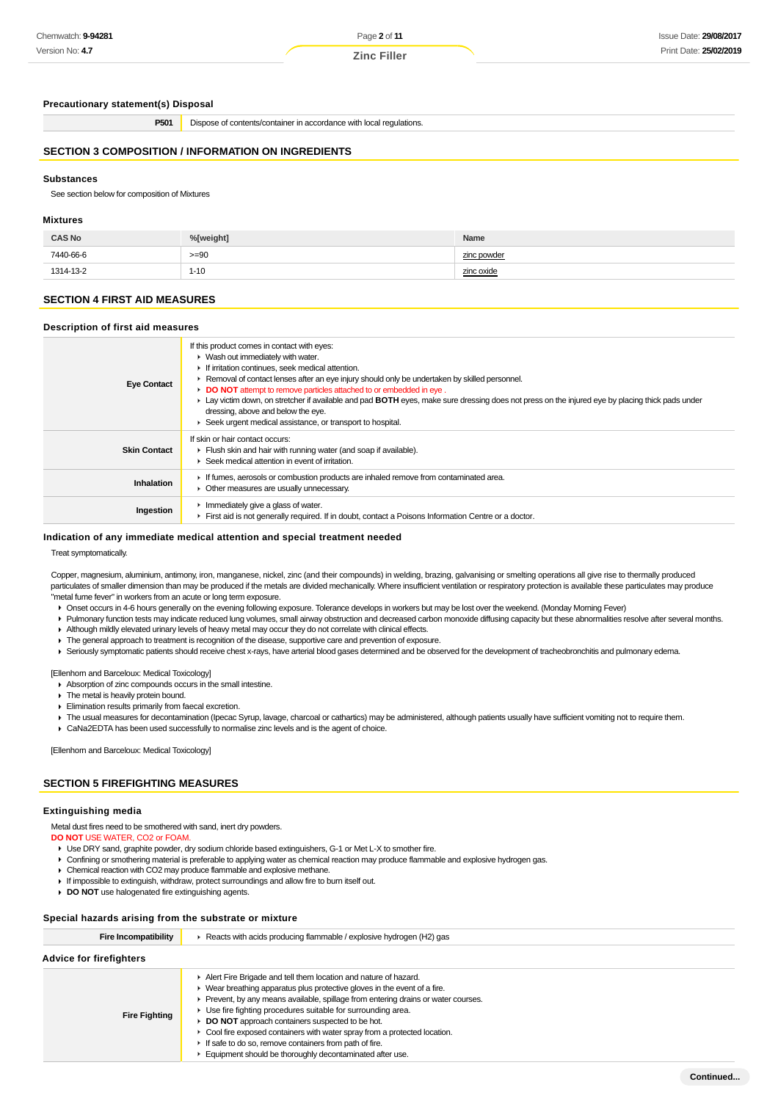Page **2** of **11**

### **Precautionary statement(s) Disposal**

**P501** Dispose of contents/container in accordance with local regulations.

### **SECTION 3 COMPOSITION / INFORMATION ON INGREDIENTS**

### **Substances**

See section below for composition of Mixtures

### **Mixtures**

| <b>CAS No</b> | %[weight] | Name        |
|---------------|-----------|-------------|
| 7440-66-6     | $>= 90$   | zinc powder |
| 1314-13-2     | $1 - 10$  | zinc oxide  |

### **SECTION 4 FIRST AID MEASURES**

#### **Description of first aid measures**

| <b>Eye Contact</b>  | If this product comes in contact with eyes:<br>• Wash out immediately with water.<br>If irritation continues, seek medical attention.<br>► Removal of contact lenses after an eye injury should only be undertaken by skilled personnel.<br>DO NOT attempt to remove particles attached to or embedded in eye.<br>Lay victim down, on stretcher if available and pad BOTH eyes, make sure dressing does not press on the injured eye by placing thick pads under<br>dressing, above and below the eye.<br>Seek urgent medical assistance, or transport to hospital. |
|---------------------|---------------------------------------------------------------------------------------------------------------------------------------------------------------------------------------------------------------------------------------------------------------------------------------------------------------------------------------------------------------------------------------------------------------------------------------------------------------------------------------------------------------------------------------------------------------------|
| <b>Skin Contact</b> | If skin or hair contact occurs:<br>Flush skin and hair with running water (and soap if available).<br>Seek medical attention in event of irritation.                                                                                                                                                                                                                                                                                                                                                                                                                |
| <b>Inhalation</b>   | If fumes, aerosols or combustion products are inhaled remove from contaminated area.<br>• Other measures are usually unnecessary.                                                                                                                                                                                                                                                                                                                                                                                                                                   |
| Ingestion           | $\blacktriangleright$ Immediately give a glass of water.<br>First aid is not generally required. If in doubt, contact a Poisons Information Centre or a doctor.                                                                                                                                                                                                                                                                                                                                                                                                     |

#### **Indication of any immediate medical attention and special treatment needed**

Treat symptomatically.

Copper, magnesium, aluminium, antimony, iron, manganese, nickel, zinc (and their compounds) in welding, brazing, galvanising or smelting operations all give rise to thermally produced particulates of smaller dimension than may be produced if the metals are divided mechanically. Where insufficient ventilation or respiratory protection is available these particulates may produce "metal fume fever" in workers from an acute or long term exposure.

- Onset occurs in 4-6 hours generally on the evening following exposure. Tolerance develops in workers but may be lost over the weekend. (Monday Morning Fever)
- Pulmonary function tests may indicate reduced lung volumes, small airway obstruction and decreased carbon monoxide diffusing capacity but these abnormalities resolve after several months.
- Although mildly elevated urinary levels of heavy metal may occur they do not correlate with clinical effects.
- $\blacktriangleright$  The general approach to treatment is recognition of the disease, supportive care and prevention of exposure.
- Seriously symptomatic patients should receive chest x-rays, have arterial blood gases determined and be observed for the development of tracheobronchitis and pulmonary edema.

[Ellenhorn and Barceloux: Medical Toxicology]

- Absorption of zinc compounds occurs in the small intestine.
- $\blacktriangleright$  The metal is heavily protein bound.
- Elimination results primarily from faecal excretion.
- F The usual measures for decontamination (Ipecac Syrup, lavage, charcoal or cathartics) may be administered, although patients usually have sufficient vomiting not to require them.
- CaNa2EDTA has been used successfully to normalise zinc levels and is the agent of choice.

[Ellenhorn and Barceloux: Medical Toxicology]

### **SECTION 5 FIREFIGHTING MEASURES**

#### **Extinguishing media**

Metal dust fires need to be smothered with sand, inert dry powders.

### **DO NOT** USE WATER, CO2 or FOAM.

- Use DRY sand, graphite powder, dry sodium chloride based extinguishers, G-1 or Met L-X to smother fire.
- Confining or smothering material is preferable to applying water as chemical reaction may produce flammable and explosive hydrogen gas.
- Chemical reaction with CO2 may produce flammable and explosive methane.
- If impossible to extinguish, withdraw, protect surroundings and allow fire to burn itself out.
- **DO NOT** use halogenated fire extinguishing agents.

#### **Special hazards arising from the substrate or mixture**

| Fire Incompatibility    | Reacts with acids producing flammable / explosive hydrogen (H2) gas                                                                                                                                                                                                                                                                                                                                                                                                                                                                                                                 |  |  |  |  |
|-------------------------|-------------------------------------------------------------------------------------------------------------------------------------------------------------------------------------------------------------------------------------------------------------------------------------------------------------------------------------------------------------------------------------------------------------------------------------------------------------------------------------------------------------------------------------------------------------------------------------|--|--|--|--|
| Advice for firefighters |                                                                                                                                                                                                                                                                                                                                                                                                                                                                                                                                                                                     |  |  |  |  |
| <b>Fire Fighting</b>    | Alert Fire Brigade and tell them location and nature of hazard.<br>$\blacktriangleright$ Wear breathing apparatus plus protective gloves in the event of a fire.<br>▶ Prevent, by any means available, spillage from entering drains or water courses.<br>Use fire fighting procedures suitable for surrounding area.<br><b>DO NOT</b> approach containers suspected to be hot.<br>• Cool fire exposed containers with water spray from a protected location.<br>If safe to do so, remove containers from path of fire.<br>Equipment should be thoroughly decontaminated after use. |  |  |  |  |

**Continued...**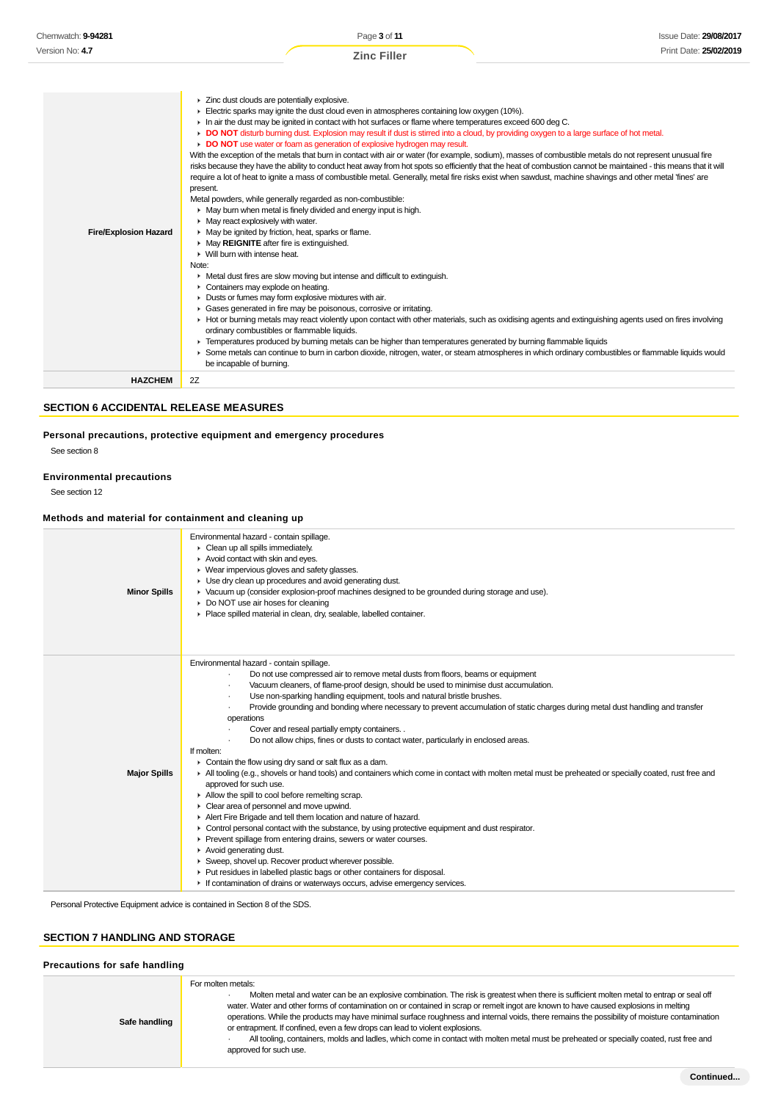| <b>Fire/Explosion Hazard</b> | > Zinc dust clouds are potentially explosive.<br>$\blacktriangleright$ Electric sparks may ignite the dust cloud even in atmospheres containing low oxygen (10%).<br>In air the dust may be ignited in contact with hot surfaces or flame where temperatures exceed 600 deg C.<br>DO NOT disturb burning dust. Explosion may result if dust is stirred into a cloud, by providing oxygen to a large surface of hot metal.<br>DO NOT use water or foam as generation of explosive hydrogen may result.<br>With the exception of the metals that burn in contact with air or water (for example, sodium), masses of combustible metals do not represent unusual fire<br>risks because they have the ability to conduct heat away from hot spots so efficiently that the heat of combustion cannot be maintained - this means that it will<br>require a lot of heat to ignite a mass of combustible metal. Generally, metal fire risks exist when sawdust, machine shavings and other metal 'fines' are<br>present.<br>Metal powders, while generally regarded as non-combustible:<br>• May burn when metal is finely divided and energy input is high.<br>$\blacktriangleright$ May react explosively with water.<br>• May be ignited by friction, heat, sparks or flame.<br>May REIGNITE after fire is extinguished.<br>$\blacktriangleright$ Will burn with intense heat.<br>Note:<br>• Metal dust fires are slow moving but intense and difficult to extinguish.<br>Containers may explode on heating.<br>Dusts or fumes may form explosive mixtures with air.<br>Gases generated in fire may be poisonous, corrosive or irritating.<br>► Hot or burning metals may react violently upon contact with other materials, such as oxidising agents and extinguishing agents used on fires involving<br>ordinary combustibles or flammable liquids.<br>F Temperatures produced by burning metals can be higher than temperatures generated by burning flammable liquids<br>▶ Some metals can continue to burn in carbon dioxide, nitrogen, water, or steam atmospheres in which ordinary combustibles or flammable liquids would |
|------------------------------|-------------------------------------------------------------------------------------------------------------------------------------------------------------------------------------------------------------------------------------------------------------------------------------------------------------------------------------------------------------------------------------------------------------------------------------------------------------------------------------------------------------------------------------------------------------------------------------------------------------------------------------------------------------------------------------------------------------------------------------------------------------------------------------------------------------------------------------------------------------------------------------------------------------------------------------------------------------------------------------------------------------------------------------------------------------------------------------------------------------------------------------------------------------------------------------------------------------------------------------------------------------------------------------------------------------------------------------------------------------------------------------------------------------------------------------------------------------------------------------------------------------------------------------------------------------------------------------------------------------------------------------------------------------------------------------------------------------------------------------------------------------------------------------------------------------------------------------------------------------------------------------------------------------------------------------------------------------------------------------------------------------------------------------------------------------------------------------------------------------------------------|
| <b>HAZCHEM</b>               | be incapable of burning.<br>2Z                                                                                                                                                                                                                                                                                                                                                                                                                                                                                                                                                                                                                                                                                                                                                                                                                                                                                                                                                                                                                                                                                                                                                                                                                                                                                                                                                                                                                                                                                                                                                                                                                                                                                                                                                                                                                                                                                                                                                                                                                                                                                                |

### **SECTION 6 ACCIDENTAL RELEASE MEASURES**

### **Personal precautions, protective equipment and emergency procedures**

See section 8

#### **Environmental precautions**

See section 12

### **Methods and material for containment and cleaning up**

|                     | Methods and material for containment and cleaning up                                                                                                                                                                                                                                                                                                                                                                                                                                                                                                                                                                                                                                                                                                                                                                                                                                                                                                                                                                                                                                                                                                                                                                                                                                                                                                                                                                                                             |
|---------------------|------------------------------------------------------------------------------------------------------------------------------------------------------------------------------------------------------------------------------------------------------------------------------------------------------------------------------------------------------------------------------------------------------------------------------------------------------------------------------------------------------------------------------------------------------------------------------------------------------------------------------------------------------------------------------------------------------------------------------------------------------------------------------------------------------------------------------------------------------------------------------------------------------------------------------------------------------------------------------------------------------------------------------------------------------------------------------------------------------------------------------------------------------------------------------------------------------------------------------------------------------------------------------------------------------------------------------------------------------------------------------------------------------------------------------------------------------------------|
| <b>Minor Spills</b> | Environmental hazard - contain spillage.<br>• Clean up all spills immediately.<br>$\blacktriangleright$ Avoid contact with skin and eyes.<br>▶ Wear impervious gloves and safety glasses.<br>• Use dry clean up procedures and avoid generating dust.<br>► Vacuum up (consider explosion-proof machines designed to be grounded during storage and use).<br>Do NOT use air hoses for cleaning<br>Place spilled material in clean, dry, sealable, labelled container.                                                                                                                                                                                                                                                                                                                                                                                                                                                                                                                                                                                                                                                                                                                                                                                                                                                                                                                                                                                             |
| <b>Major Spills</b> | Environmental hazard - contain spillage.<br>Do not use compressed air to remove metal dusts from floors, beams or equipment<br>Vacuum cleaners, of flame-proof design, should be used to minimise dust accumulation.<br>Use non-sparking handling equipment, tools and natural bristle brushes.<br>Provide grounding and bonding where necessary to prevent accumulation of static charges during metal dust handling and transfer<br>operations<br>Cover and reseal partially empty containers. .<br>Do not allow chips, fines or dusts to contact water, particularly in enclosed areas.<br>If molten:<br>$\triangleright$ Contain the flow using dry sand or salt flux as a dam.<br>In All tooling (e.g., shovels or hand tools) and containers which come in contact with molten metal must be preheated or specially coated, rust free and<br>approved for such use.<br>Allow the spill to cool before remelting scrap.<br>Clear area of personnel and move upwind.<br>Alert Fire Brigade and tell them location and nature of hazard.<br>• Control personal contact with the substance, by using protective equipment and dust respirator.<br>Prevent spillage from entering drains, sewers or water courses.<br>Avoid generating dust.<br>Sweep, shovel up. Recover product wherever possible.<br>▶ Put residues in labelled plastic bags or other containers for disposal.<br>If contamination of drains or waterways occurs, advise emergency services. |

Personal Protective Equipment advice is contained in Section 8 of the SDS.

### **SECTION 7 HANDLING AND STORAGE**

### **Precautions for safe handling**

| Safe handling | For molten metals:<br>Molten metal and water can be an explosive combination. The risk is greatest when there is sufficient molten metal to entrap or seal off<br>water. Water and other forms of contamination on or contained in scrap or remelt ingot are known to have caused explosions in melting<br>operations. While the products may have minimal surface roughness and internal voids, there remains the possibility of moisture contamination<br>or entrapment. If confined, even a few drops can lead to violent explosions.<br>All tooling, containers, molds and ladles, which come in contact with molten metal must be preheated or specially coated, rust free and<br>approved for such use. |
|---------------|---------------------------------------------------------------------------------------------------------------------------------------------------------------------------------------------------------------------------------------------------------------------------------------------------------------------------------------------------------------------------------------------------------------------------------------------------------------------------------------------------------------------------------------------------------------------------------------------------------------------------------------------------------------------------------------------------------------|
|---------------|---------------------------------------------------------------------------------------------------------------------------------------------------------------------------------------------------------------------------------------------------------------------------------------------------------------------------------------------------------------------------------------------------------------------------------------------------------------------------------------------------------------------------------------------------------------------------------------------------------------------------------------------------------------------------------------------------------------|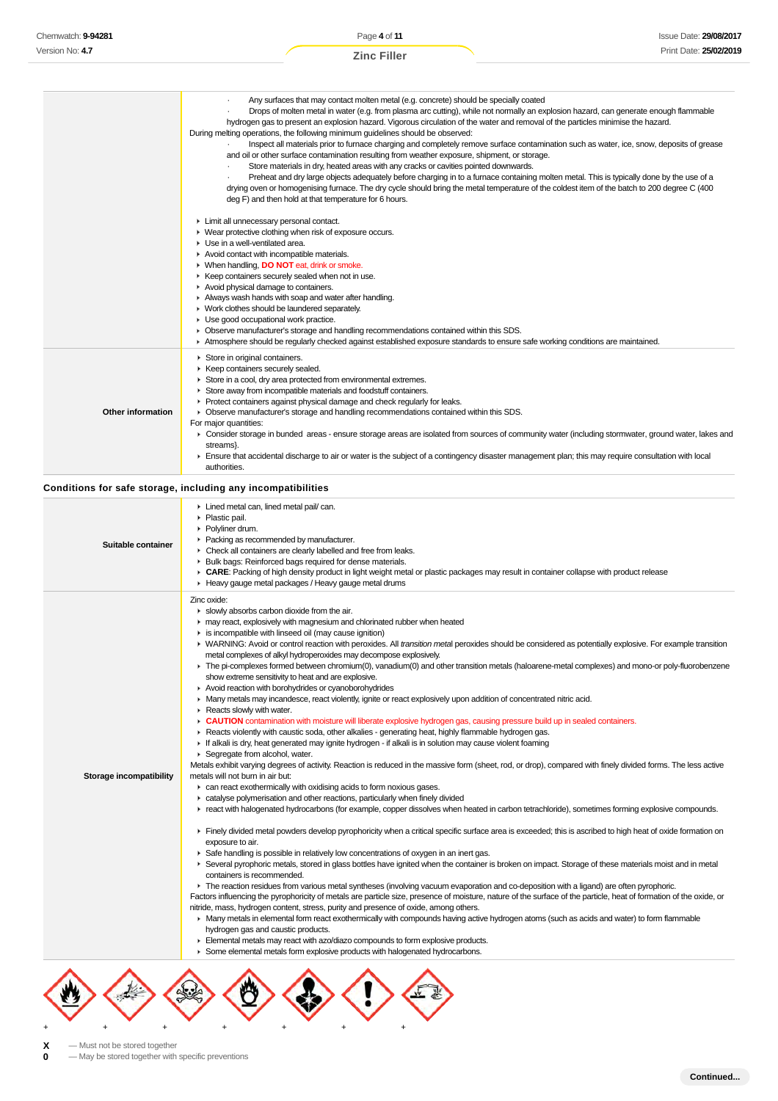|                          | Any surfaces that may contact molten metal (e.g. concrete) should be specially coated<br>Drops of molten metal in water (e.g. from plasma arc cutting), while not normally an explosion hazard, can generate enough flammable<br>hydrogen gas to present an explosion hazard. Vigorous circulation of the water and removal of the particles minimise the hazard.<br>During melting operations, the following minimum guidelines should be observed:<br>Inspect all materials prior to furnace charging and completely remove surface contamination such as water, ice, snow, deposits of grease<br>and oil or other surface contamination resulting from weather exposure, shipment, or storage.<br>Store materials in dry, heated areas with any cracks or cavities pointed downwards.<br>Preheat and dry large objects adequately before charging in to a furnace containing molten metal. This is typically done by the use of a<br>drying oven or homogenising furnace. The dry cycle should bring the metal temperature of the coldest item of the batch to 200 degree C (400<br>deg F) and then hold at that temperature for 6 hours.<br>Limit all unnecessary personal contact.<br>• Wear protective clothing when risk of exposure occurs.<br>▶ Use in a well-ventilated area.<br>Avoid contact with incompatible materials.<br>▶ When handling, <b>DO NOT</b> eat, drink or smoke.<br>▶ Keep containers securely sealed when not in use.<br>Avoid physical damage to containers.<br>Always wash hands with soap and water after handling.<br>• Work clothes should be laundered separately.<br>• Use good occupational work practice.<br>► Observe manufacturer's storage and handling recommendations contained within this SDS.<br>Atmosphere should be regularly checked against established exposure standards to ensure safe working conditions are maintained.                                                                                                                                                                                                                                                                                                                                                                                                                                                                                                                                                                                                                                                                                                                                                                                                                                                                                                                                                                                   |
|--------------------------|------------------------------------------------------------------------------------------------------------------------------------------------------------------------------------------------------------------------------------------------------------------------------------------------------------------------------------------------------------------------------------------------------------------------------------------------------------------------------------------------------------------------------------------------------------------------------------------------------------------------------------------------------------------------------------------------------------------------------------------------------------------------------------------------------------------------------------------------------------------------------------------------------------------------------------------------------------------------------------------------------------------------------------------------------------------------------------------------------------------------------------------------------------------------------------------------------------------------------------------------------------------------------------------------------------------------------------------------------------------------------------------------------------------------------------------------------------------------------------------------------------------------------------------------------------------------------------------------------------------------------------------------------------------------------------------------------------------------------------------------------------------------------------------------------------------------------------------------------------------------------------------------------------------------------------------------------------------------------------------------------------------------------------------------------------------------------------------------------------------------------------------------------------------------------------------------------------------------------------------------------------------------------------------------------------------------------------------------------------------------------------------------------------------------------------------------------------------------------------------------------------------------------------------------------------------------------------------------------------------------------------------------------------------------------------------------------------------------------------------------------------------------------------------------------------------------------------------------------------------|
| <b>Other information</b> | Store in original containers.<br>▶ Keep containers securely sealed.<br>Store in a cool, dry area protected from environmental extremes.<br>Store away from incompatible materials and foodstuff containers.<br>Protect containers against physical damage and check regularly for leaks.<br>• Observe manufacturer's storage and handling recommendations contained within this SDS.<br>For major quantities:<br>► Consider storage in bunded areas - ensure storage areas are isolated from sources of community water (including stormwater, ground water, lakes and<br>streams}.<br>▶ Ensure that accidental discharge to air or water is the subject of a contingency disaster management plan; this may require consultation with local<br>authorities.                                                                                                                                                                                                                                                                                                                                                                                                                                                                                                                                                                                                                                                                                                                                                                                                                                                                                                                                                                                                                                                                                                                                                                                                                                                                                                                                                                                                                                                                                                                                                                                                                                                                                                                                                                                                                                                                                                                                                                                                                                                                                                     |
|                          | Conditions for safe storage, including any incompatibilities                                                                                                                                                                                                                                                                                                                                                                                                                                                                                                                                                                                                                                                                                                                                                                                                                                                                                                                                                                                                                                                                                                                                                                                                                                                                                                                                                                                                                                                                                                                                                                                                                                                                                                                                                                                                                                                                                                                                                                                                                                                                                                                                                                                                                                                                                                                                                                                                                                                                                                                                                                                                                                                                                                                                                                                                     |
| Suitable container       | Lined metal can, lined metal pail/can.<br>▶ Plastic pail.<br>▶ Polyliner drum.<br>Packing as recommended by manufacturer.<br>• Check all containers are clearly labelled and free from leaks.<br>▶ Bulk bags: Reinforced bags required for dense materials.<br>► CARE: Packing of high density product in light weight metal or plastic packages may result in container collapse with product release<br>Heavy gauge metal packages / Heavy gauge metal drums                                                                                                                                                                                                                                                                                                                                                                                                                                                                                                                                                                                                                                                                                                                                                                                                                                                                                                                                                                                                                                                                                                                                                                                                                                                                                                                                                                                                                                                                                                                                                                                                                                                                                                                                                                                                                                                                                                                                                                                                                                                                                                                                                                                                                                                                                                                                                                                                   |
| Storage incompatibility  | Zinc oxide:<br>Slowly absorbs carbon dioxide from the air.<br>may react, explosively with magnesium and chlorinated rubber when heated<br>is incompatible with linseed oil (may cause ignition)<br>► WARNING: Avoid or control reaction with peroxides. All transition metal peroxides should be considered as potentially explosive. For example transition<br>metal complexes of alkyl hydroperoxides may decompose explosively.<br>F The pi-complexes formed between chromium(0), vanadium(0) and other transition metals (haloarene-metal complexes) and mono-or poly-fluorobenzene<br>show extreme sensitivity to heat and are explosive.<br>Avoid reaction with borohydrides or cyanoborohydrides<br>• Many metals may incandesce, react violently, ignite or react explosively upon addition of concentrated nitric acid.<br>$\triangleright$ Reacts slowly with water.<br>• CAUTION contamination with moisture will liberate explosive hydrogen gas, causing pressure build up in sealed containers.<br>▶ Reacts violently with caustic soda, other alkalies - generating heat, highly flammable hydrogen gas.<br>If alkali is dry, heat generated may ignite hydrogen - if alkali is in solution may cause violent foaming<br>▶ Segregate from alcohol, water.<br>Metals exhibit varying degrees of activity. Reaction is reduced in the massive form (sheet, rod, or drop), compared with finely divided forms. The less active<br>metals will not burn in air but:<br>can react exothermically with oxidising acids to form noxious gases.<br>catalyse polymerisation and other reactions, particularly when finely divided<br>F react with halogenated hydrocarbons (for example, copper dissolves when heated in carbon tetrachloride), sometimes forming explosive compounds.<br>Finely divided metal powders develop pyrophoricity when a critical specific surface area is exceeded; this is ascribed to high heat of oxide formation on<br>exposure to air.<br>► Safe handling is possible in relatively low concentrations of oxygen in an inert gas.<br>▶ Several pyrophoric metals, stored in glass bottles have ignited when the container is broken on impact. Storage of these materials moist and in metal<br>containers is recommended.<br>The reaction residues from various metal syntheses (involving vacuum evaporation and co-deposition with a ligand) are often pyrophoric.<br>Factors influencing the pyrophoricity of metals are particle size, presence of moisture, nature of the surface of the particle, heat of formation of the oxide, or<br>nitride, mass, hydrogen content, stress, purity and presence of oxide, among others.<br>► Many metals in elemental form react exothermically with compounds having active hydrogen atoms (such as acids and water) to form flammable<br>hydrogen gas and caustic products. |

- Elemental metals may react with azo/diazo compounds to form explosive products.
- Some elemental metals form explosive products with halogenated hydrocarbons.



**X** — Must not be stored together<br>**0** — May be stored together with

**0** — May be stored together with specific preventions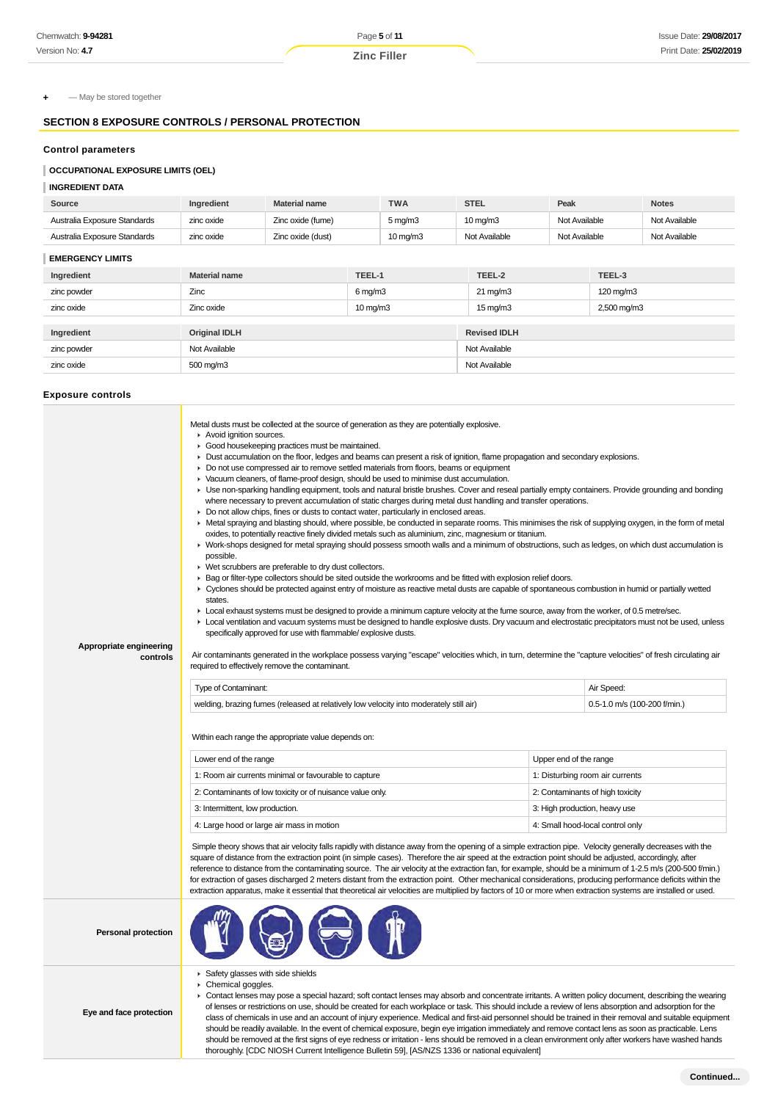**+** — May be stored together

### **SECTION 8 EXPOSURE CONTROLS / PERSONAL PROTECTION**

#### **Control parameters**

### **OCCUPATIONAL EXPOSURE LIMITS (OEL)**

#### **INGREDIENT DATA**

| Source                       | Ingredient | <b>Material name</b> | <b>TWA</b>            | <b>STEL</b>       | Peak          | <b>Notes</b>  |
|------------------------------|------------|----------------------|-----------------------|-------------------|---------------|---------------|
| Australia Exposure Standards | zinc oxide | Zinc oxide (fume)    | $5 \,\mathrm{mq/m}$ 3 | $10 \text{ mg/m}$ | Not Available | Not Available |
| Australia Exposure Standards | zinc oxide | Zinc oxide (dust)    | $10 \text{ mg/m}$     | Not Available     | Not Available | Not Available |
|                              |            |                      |                       |                   |               |               |

| -------------------- |                      |                      |                     |             |  |  |
|----------------------|----------------------|----------------------|---------------------|-------------|--|--|
| Ingredient           | <b>Material name</b> | TEEL-1               | TEEL-2              | TEEL-3      |  |  |
| zinc powder          | Zinc                 | $6 \,\mathrm{mg/m3}$ | $21 \text{ mg/m}$   | 120 mg/m3   |  |  |
| zinc oxide           | Zinc oxide           | $10 \text{ mg/m}$    | $15 \text{ mg/m}$   | 2,500 mg/m3 |  |  |
|                      |                      |                      |                     |             |  |  |
| Ingredient           | <b>Original IDLH</b> |                      | <b>Revised IDLH</b> |             |  |  |
| zinc powder          | Not Available        |                      | Not Available       |             |  |  |
| zinc oxide           | 500 mg/m3            |                      | Not Available       |             |  |  |
|                      |                      |                      |                     |             |  |  |

#### **Exposure controls**

**Eye and face protection**

| Appropriate engineering<br>controls | Metal dusts must be collected at the source of generation as they are potentially explosive.<br>Avoid ignition sources.<br>• Good housekeeping practices must be maintained.<br>► Dust accumulation on the floor, ledges and beams can present a risk of ignition, flame propagation and secondary explosions.<br>► Do not use compressed air to remove settled materials from floors, beams or equipment<br>▶ Vacuum cleaners, of flame-proof design, should be used to minimise dust accumulation.<br>► Use non-sparking handling equipment, tools and natural bristle brushes. Cover and reseal partially empty containers. Provide grounding and bonding<br>where necessary to prevent accumulation of static charges during metal dust handling and transfer operations.<br>► Do not allow chips, fines or dusts to contact water, particularly in enclosed areas.<br>► Metal spraying and blasting should, where possible, be conducted in separate rooms. This minimises the risk of supplying oxygen, in the form of metal<br>oxides, to potentially reactive finely divided metals such as aluminium, zinc, magnesium or titanium.<br>▶ Work-shops designed for metal spraying should possess smooth walls and a minimum of obstructions, such as ledges, on which dust accumulation is<br>possible.<br>▶ Wet scrubbers are preferable to dry dust collectors.<br>► Bag or filter-type collectors should be sited outside the workrooms and be fitted with explosion relief doors.<br>▶ Cyclones should be protected against entry of moisture as reactive metal dusts are capable of spontaneous combustion in humid or partially wetted<br>states.<br>► Local exhaust systems must be designed to provide a minimum capture velocity at the fume source, away from the worker, of 0.5 metre/sec.<br>► Local ventilation and vacuum systems must be designed to handle explosive dusts. Dry vacuum and electrostatic precipitators must not be used, unless<br>specifically approved for use with flammable/ explosive dusts.<br>Air contaminants generated in the workplace possess varying "escape" velocities which, in turn, determine the "capture velocities" of fresh circulating air<br>required to effectively remove the contaminant. |  |                                            |  |  |  |
|-------------------------------------|-----------------------------------------------------------------------------------------------------------------------------------------------------------------------------------------------------------------------------------------------------------------------------------------------------------------------------------------------------------------------------------------------------------------------------------------------------------------------------------------------------------------------------------------------------------------------------------------------------------------------------------------------------------------------------------------------------------------------------------------------------------------------------------------------------------------------------------------------------------------------------------------------------------------------------------------------------------------------------------------------------------------------------------------------------------------------------------------------------------------------------------------------------------------------------------------------------------------------------------------------------------------------------------------------------------------------------------------------------------------------------------------------------------------------------------------------------------------------------------------------------------------------------------------------------------------------------------------------------------------------------------------------------------------------------------------------------------------------------------------------------------------------------------------------------------------------------------------------------------------------------------------------------------------------------------------------------------------------------------------------------------------------------------------------------------------------------------------------------------------------------------------------------------------------------------------------------------------------------------------------------------|--|--------------------------------------------|--|--|--|
|                                     | Type of Contaminant:<br>welding, brazing fumes (released at relatively low velocity into moderately still air)                                                                                                                                                                                                                                                                                                                                                                                                                                                                                                                                                                                                                                                                                                                                                                                                                                                                                                                                                                                                                                                                                                                                                                                                                                                                                                                                                                                                                                                                                                                                                                                                                                                                                                                                                                                                                                                                                                                                                                                                                                                                                                                                            |  | Air Speed:<br>0.5-1.0 m/s (100-200 f/min.) |  |  |  |
|                                     | Within each range the appropriate value depends on:<br>Lower end of the range<br>Upper end of the range                                                                                                                                                                                                                                                                                                                                                                                                                                                                                                                                                                                                                                                                                                                                                                                                                                                                                                                                                                                                                                                                                                                                                                                                                                                                                                                                                                                                                                                                                                                                                                                                                                                                                                                                                                                                                                                                                                                                                                                                                                                                                                                                                   |  |                                            |  |  |  |
|                                     | 1: Room air currents minimal or favourable to capture                                                                                                                                                                                                                                                                                                                                                                                                                                                                                                                                                                                                                                                                                                                                                                                                                                                                                                                                                                                                                                                                                                                                                                                                                                                                                                                                                                                                                                                                                                                                                                                                                                                                                                                                                                                                                                                                                                                                                                                                                                                                                                                                                                                                     |  | 1: Disturbing room air currents            |  |  |  |
|                                     | 2: Contaminants of low toxicity or of nuisance value only.                                                                                                                                                                                                                                                                                                                                                                                                                                                                                                                                                                                                                                                                                                                                                                                                                                                                                                                                                                                                                                                                                                                                                                                                                                                                                                                                                                                                                                                                                                                                                                                                                                                                                                                                                                                                                                                                                                                                                                                                                                                                                                                                                                                                |  | 2: Contaminants of high toxicity           |  |  |  |
|                                     | 3: Intermittent, low production.                                                                                                                                                                                                                                                                                                                                                                                                                                                                                                                                                                                                                                                                                                                                                                                                                                                                                                                                                                                                                                                                                                                                                                                                                                                                                                                                                                                                                                                                                                                                                                                                                                                                                                                                                                                                                                                                                                                                                                                                                                                                                                                                                                                                                          |  | 3: High production, heavy use              |  |  |  |
|                                     | 4: Large hood or large air mass in motion                                                                                                                                                                                                                                                                                                                                                                                                                                                                                                                                                                                                                                                                                                                                                                                                                                                                                                                                                                                                                                                                                                                                                                                                                                                                                                                                                                                                                                                                                                                                                                                                                                                                                                                                                                                                                                                                                                                                                                                                                                                                                                                                                                                                                 |  | 4: Small hood-local control only           |  |  |  |
|                                     | Simple theory shows that air velocity falls rapidly with distance away from the opening of a simple extraction pipe. Velocity generally decreases with the<br>square of distance from the extraction point (in simple cases). Therefore the air speed at the extraction point should be adjusted, accordingly, after<br>reference to distance from the contaminating source. The air velocity at the extraction fan, for example, should be a minimum of 1-2.5 m/s (200-500 f/min.)<br>for extraction of gases discharged 2 meters distant from the extraction point. Other mechanical considerations, producing performance deficits within the<br>extraction apparatus, make it essential that theoretical air velocities are multiplied by factors of 10 or more when extraction systems are installed or used.                                                                                                                                                                                                                                                                                                                                                                                                                                                                                                                                                                                                                                                                                                                                                                                                                                                                                                                                                                                                                                                                                                                                                                                                                                                                                                                                                                                                                                        |  |                                            |  |  |  |
| <b>Personal protection</b>          |                                                                                                                                                                                                                                                                                                                                                                                                                                                                                                                                                                                                                                                                                                                                                                                                                                                                                                                                                                                                                                                                                                                                                                                                                                                                                                                                                                                                                                                                                                                                                                                                                                                                                                                                                                                                                                                                                                                                                                                                                                                                                                                                                                                                                                                           |  |                                            |  |  |  |
|                                     | Safety glasses with side shields<br>Chemical goggles.                                                                                                                                                                                                                                                                                                                                                                                                                                                                                                                                                                                                                                                                                                                                                                                                                                                                                                                                                                                                                                                                                                                                                                                                                                                                                                                                                                                                                                                                                                                                                                                                                                                                                                                                                                                                                                                                                                                                                                                                                                                                                                                                                                                                     |  |                                            |  |  |  |

▶ Contact lenses may pose a special hazard; soft contact lenses may absorb and concentrate irritants. A written policy document, describing the wearing of lenses or restrictions on use, should be created for each workplace or task. This should include a review of lens absorption and adsorption for the class of chemicals in use and an account of injury experience. Medical and first-aid personnel should be trained in their removal and suitable equipment should be readily available. In the event of chemical exposure, begin eye irrigation immediately and remove contact lens as soon as practicable. Lens should be removed at the first signs of eye redness or irritation - lens should be removed in a clean environment only after workers have washed hands thoroughly. [CDC NIOSH Current Intelligence Bulletin 59], [AS/NZS 1336 or national equivalent]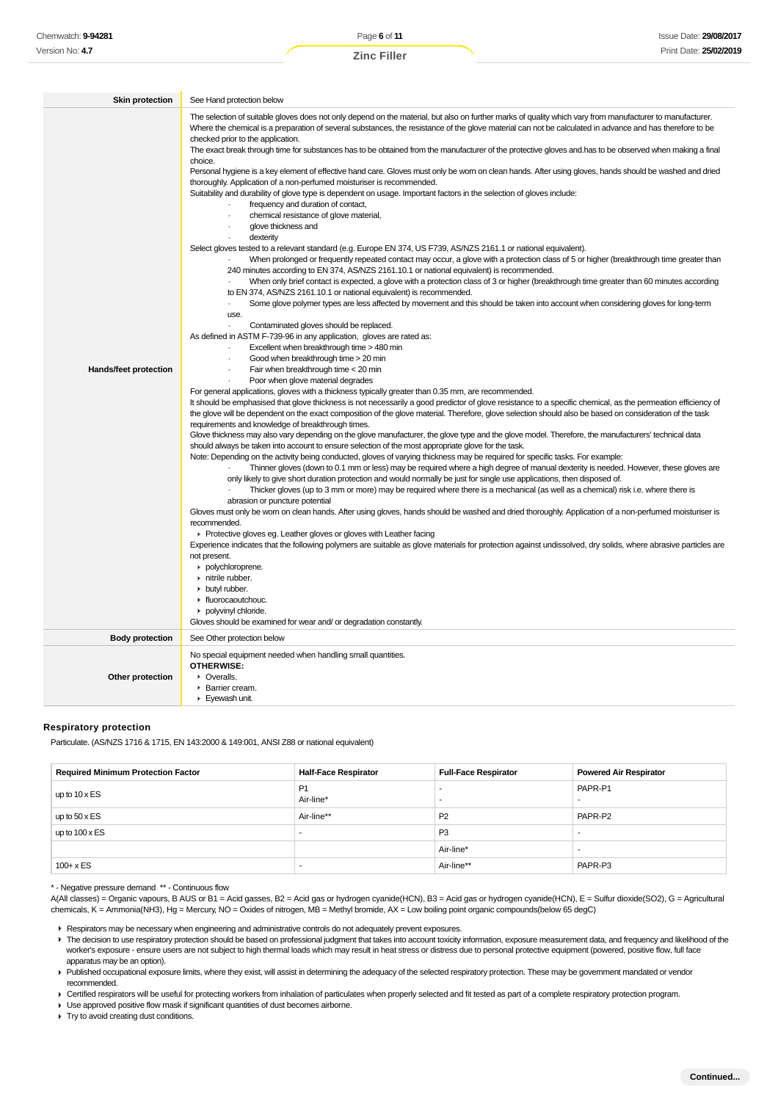| Chemwatch: 9-94281                                                                                                                                                                                                                                                                                                                                                                                                                                                                                                                                                                                                                                                                                                                                                                                                                                                                                                                                                                                                                                                                                                                                                |                                                                       | Page 6 of 11                                                                                                                                                                                                                                                                                                                                                                                                                                                                                                                                                                                                                                                                                                                                                                                                                                                                                                                                                                                                                                                                                                                                                                                                                                                                                                                                                                                                                                                                                                                                                                                                                                                                                                                                                                                                                                                                                                                                                                                                                                                                                                                                                                                                                                                                                                                                                                                                                                                                                                                                                                                                                                                                                                                                                                                                                                                                                                                                                                                                                                                                                                                                                                                                                                                                                                                                                                                                                                                                                                                                                                         |                          |                             |                               | <b>Issue Date: 29/08/2</b> |
|-------------------------------------------------------------------------------------------------------------------------------------------------------------------------------------------------------------------------------------------------------------------------------------------------------------------------------------------------------------------------------------------------------------------------------------------------------------------------------------------------------------------------------------------------------------------------------------------------------------------------------------------------------------------------------------------------------------------------------------------------------------------------------------------------------------------------------------------------------------------------------------------------------------------------------------------------------------------------------------------------------------------------------------------------------------------------------------------------------------------------------------------------------------------|-----------------------------------------------------------------------|--------------------------------------------------------------------------------------------------------------------------------------------------------------------------------------------------------------------------------------------------------------------------------------------------------------------------------------------------------------------------------------------------------------------------------------------------------------------------------------------------------------------------------------------------------------------------------------------------------------------------------------------------------------------------------------------------------------------------------------------------------------------------------------------------------------------------------------------------------------------------------------------------------------------------------------------------------------------------------------------------------------------------------------------------------------------------------------------------------------------------------------------------------------------------------------------------------------------------------------------------------------------------------------------------------------------------------------------------------------------------------------------------------------------------------------------------------------------------------------------------------------------------------------------------------------------------------------------------------------------------------------------------------------------------------------------------------------------------------------------------------------------------------------------------------------------------------------------------------------------------------------------------------------------------------------------------------------------------------------------------------------------------------------------------------------------------------------------------------------------------------------------------------------------------------------------------------------------------------------------------------------------------------------------------------------------------------------------------------------------------------------------------------------------------------------------------------------------------------------------------------------------------------------------------------------------------------------------------------------------------------------------------------------------------------------------------------------------------------------------------------------------------------------------------------------------------------------------------------------------------------------------------------------------------------------------------------------------------------------------------------------------------------------------------------------------------------------------------------------------------------------------------------------------------------------------------------------------------------------------------------------------------------------------------------------------------------------------------------------------------------------------------------------------------------------------------------------------------------------------------------------------------------------------------------------------------------------|--------------------------|-----------------------------|-------------------------------|----------------------------|
| Version No: 4.7                                                                                                                                                                                                                                                                                                                                                                                                                                                                                                                                                                                                                                                                                                                                                                                                                                                                                                                                                                                                                                                                                                                                                   |                                                                       | <b>Zinc Filler</b>                                                                                                                                                                                                                                                                                                                                                                                                                                                                                                                                                                                                                                                                                                                                                                                                                                                                                                                                                                                                                                                                                                                                                                                                                                                                                                                                                                                                                                                                                                                                                                                                                                                                                                                                                                                                                                                                                                                                                                                                                                                                                                                                                                                                                                                                                                                                                                                                                                                                                                                                                                                                                                                                                                                                                                                                                                                                                                                                                                                                                                                                                                                                                                                                                                                                                                                                                                                                                                                                                                                                                                   |                          |                             |                               | Print Date: 25/02/2        |
|                                                                                                                                                                                                                                                                                                                                                                                                                                                                                                                                                                                                                                                                                                                                                                                                                                                                                                                                                                                                                                                                                                                                                                   |                                                                       |                                                                                                                                                                                                                                                                                                                                                                                                                                                                                                                                                                                                                                                                                                                                                                                                                                                                                                                                                                                                                                                                                                                                                                                                                                                                                                                                                                                                                                                                                                                                                                                                                                                                                                                                                                                                                                                                                                                                                                                                                                                                                                                                                                                                                                                                                                                                                                                                                                                                                                                                                                                                                                                                                                                                                                                                                                                                                                                                                                                                                                                                                                                                                                                                                                                                                                                                                                                                                                                                                                                                                                                      |                          |                             |                               |                            |
| <b>Skin protection</b>                                                                                                                                                                                                                                                                                                                                                                                                                                                                                                                                                                                                                                                                                                                                                                                                                                                                                                                                                                                                                                                                                                                                            | See Hand protection below                                             |                                                                                                                                                                                                                                                                                                                                                                                                                                                                                                                                                                                                                                                                                                                                                                                                                                                                                                                                                                                                                                                                                                                                                                                                                                                                                                                                                                                                                                                                                                                                                                                                                                                                                                                                                                                                                                                                                                                                                                                                                                                                                                                                                                                                                                                                                                                                                                                                                                                                                                                                                                                                                                                                                                                                                                                                                                                                                                                                                                                                                                                                                                                                                                                                                                                                                                                                                                                                                                                                                                                                                                                      |                          |                             |                               |                            |
| checked prior to the application.<br>choice.<br>glove thickness and<br>dexterity<br>use.<br>Hands/feet protection<br>requirements and knowledge of breakthrough times.<br>abrasion or puncture potential<br>recommended.<br>not present.<br>polychloroprene.<br>$\triangleright$ nitrile rubber.<br>$\blacktriangleright$ butyl rubber.<br>• fluorocaoutchouc.<br>polyvinyl chloride.<br>Gloves should be examined for wear and/ or degradation constantly.                                                                                                                                                                                                                                                                                                                                                                                                                                                                                                                                                                                                                                                                                                       |                                                                       | The selection of suitable gloves does not only depend on the material, but also on further marks of quality which vary from manufacturer to manufacturer.<br>Where the chemical is a preparation of several substances, the resistance of the glove material can not be calculated in advance and has therefore to be<br>The exact break through time for substances has to be obtained from the manufacturer of the protective gloves and has to be observed when making a final<br>Personal hygiene is a key element of effective hand care. Gloves must only be worn on clean hands. After using gloves, hands should be washed and dried<br>thoroughly. Application of a non-perfumed moisturiser is recommended.<br>Suitability and durability of glove type is dependent on usage. Important factors in the selection of gloves include:<br>frequency and duration of contact,<br>chemical resistance of glove material,<br>Select gloves tested to a relevant standard (e.g. Europe EN 374, US F739, AS/NZS 2161.1 or national equivalent).<br>When prolonged or frequently repeated contact may occur, a glove with a protection class of 5 or higher (breakthrough time greater than<br>240 minutes according to EN 374, AS/NZS 2161.10.1 or national equivalent) is recommended.<br>When only brief contact is expected, a glove with a protection class of 3 or higher (breakthrough time greater than 60 minutes according<br>to EN 374, AS/NZS 2161.10.1 or national equivalent) is recommended.<br>Some glove polymer types are less affected by movement and this should be taken into account when considering gloves for long-term<br>Contaminated gloves should be replaced.<br>As defined in ASTM F-739-96 in any application, gloves are rated as:<br>Excellent when breakthrough time > 480 min<br>Good when breakthrough time > 20 min<br>Fair when breakthrough time < 20 min<br>Poor when glove material degrades<br>For general applications, gloves with a thickness typically greater than 0.35 mm, are recommended.<br>It should be emphasised that glove thickness is not necessarily a good predictor of glove resistance to a specific chemical, as the permeation efficiency of<br>the glove will be dependent on the exact composition of the glove material. Therefore, glove selection should also be based on consideration of the task<br>Glove thickness may also vary depending on the glove manufacturer, the glove type and the glove model. Therefore, the manufacturers' technical data<br>should always be taken into account to ensure selection of the most appropriate glove for the task.<br>Note: Depending on the activity being conducted, gloves of varying thickness may be required for specific tasks. For example:<br>Thinner gloves (down to 0.1 mm or less) may be required where a high degree of manual dexterity is needed. However, these gloves are<br>only likely to give short duration protection and would normally be just for single use applications, then disposed of.<br>Thicker gloves (up to 3 mm or more) may be required where there is a mechanical (as well as a chemical) risk i.e. where there is<br>Gloves must only be worn on clean hands. After using gloves, hands should be washed and dried thoroughly. Application of a non-perfumed moisturiser is<br>▶ Protective gloves eg. Leather gloves or gloves with Leather facing<br>Experience indicates that the following polymers are suitable as glove materials for protection against undissolved, dry solids, where abrasive particles are |                          |                             |                               |                            |
| <b>Body protection</b>                                                                                                                                                                                                                                                                                                                                                                                                                                                                                                                                                                                                                                                                                                                                                                                                                                                                                                                                                                                                                                                                                                                                            | See Other protection below                                            |                                                                                                                                                                                                                                                                                                                                                                                                                                                                                                                                                                                                                                                                                                                                                                                                                                                                                                                                                                                                                                                                                                                                                                                                                                                                                                                                                                                                                                                                                                                                                                                                                                                                                                                                                                                                                                                                                                                                                                                                                                                                                                                                                                                                                                                                                                                                                                                                                                                                                                                                                                                                                                                                                                                                                                                                                                                                                                                                                                                                                                                                                                                                                                                                                                                                                                                                                                                                                                                                                                                                                                                      |                          |                             |                               |                            |
| Other protection                                                                                                                                                                                                                                                                                                                                                                                                                                                                                                                                                                                                                                                                                                                                                                                                                                                                                                                                                                                                                                                                                                                                                  | <b>OTHERWISE:</b><br>• Overalls.<br>• Barrier cream.<br>Eyewash unit. | No special equipment needed when handling small quantities.                                                                                                                                                                                                                                                                                                                                                                                                                                                                                                                                                                                                                                                                                                                                                                                                                                                                                                                                                                                                                                                                                                                                                                                                                                                                                                                                                                                                                                                                                                                                                                                                                                                                                                                                                                                                                                                                                                                                                                                                                                                                                                                                                                                                                                                                                                                                                                                                                                                                                                                                                                                                                                                                                                                                                                                                                                                                                                                                                                                                                                                                                                                                                                                                                                                                                                                                                                                                                                                                                                                          |                          |                             |                               |                            |
| <b>Respiratory protection</b><br>Particulate. (AS/NZS 1716 & 1715, EN 143:2000 & 149:001, ANSI Z88 or national equivalent)                                                                                                                                                                                                                                                                                                                                                                                                                                                                                                                                                                                                                                                                                                                                                                                                                                                                                                                                                                                                                                        |                                                                       |                                                                                                                                                                                                                                                                                                                                                                                                                                                                                                                                                                                                                                                                                                                                                                                                                                                                                                                                                                                                                                                                                                                                                                                                                                                                                                                                                                                                                                                                                                                                                                                                                                                                                                                                                                                                                                                                                                                                                                                                                                                                                                                                                                                                                                                                                                                                                                                                                                                                                                                                                                                                                                                                                                                                                                                                                                                                                                                                                                                                                                                                                                                                                                                                                                                                                                                                                                                                                                                                                                                                                                                      |                          |                             |                               |                            |
| <b>Required Minimum Protection Factor</b>                                                                                                                                                                                                                                                                                                                                                                                                                                                                                                                                                                                                                                                                                                                                                                                                                                                                                                                                                                                                                                                                                                                         |                                                                       | <b>Half-Face Respirator</b>                                                                                                                                                                                                                                                                                                                                                                                                                                                                                                                                                                                                                                                                                                                                                                                                                                                                                                                                                                                                                                                                                                                                                                                                                                                                                                                                                                                                                                                                                                                                                                                                                                                                                                                                                                                                                                                                                                                                                                                                                                                                                                                                                                                                                                                                                                                                                                                                                                                                                                                                                                                                                                                                                                                                                                                                                                                                                                                                                                                                                                                                                                                                                                                                                                                                                                                                                                                                                                                                                                                                                          |                          | <b>Full-Face Respirator</b> | <b>Powered Air Respirator</b> |                            |
| up to $10 \times ES$                                                                                                                                                                                                                                                                                                                                                                                                                                                                                                                                                                                                                                                                                                                                                                                                                                                                                                                                                                                                                                                                                                                                              |                                                                       | P <sub>1</sub><br>Air-line*                                                                                                                                                                                                                                                                                                                                                                                                                                                                                                                                                                                                                                                                                                                                                                                                                                                                                                                                                                                                                                                                                                                                                                                                                                                                                                                                                                                                                                                                                                                                                                                                                                                                                                                                                                                                                                                                                                                                                                                                                                                                                                                                                                                                                                                                                                                                                                                                                                                                                                                                                                                                                                                                                                                                                                                                                                                                                                                                                                                                                                                                                                                                                                                                                                                                                                                                                                                                                                                                                                                                                          | $\overline{\phantom{a}}$ |                             | PAPR-P1                       |                            |
| up to $50 \times ES$                                                                                                                                                                                                                                                                                                                                                                                                                                                                                                                                                                                                                                                                                                                                                                                                                                                                                                                                                                                                                                                                                                                                              |                                                                       | Air-line**                                                                                                                                                                                                                                                                                                                                                                                                                                                                                                                                                                                                                                                                                                                                                                                                                                                                                                                                                                                                                                                                                                                                                                                                                                                                                                                                                                                                                                                                                                                                                                                                                                                                                                                                                                                                                                                                                                                                                                                                                                                                                                                                                                                                                                                                                                                                                                                                                                                                                                                                                                                                                                                                                                                                                                                                                                                                                                                                                                                                                                                                                                                                                                                                                                                                                                                                                                                                                                                                                                                                                                           | P <sub>2</sub>           |                             | PAPR-P2                       |                            |
| up to $100 \times ES$                                                                                                                                                                                                                                                                                                                                                                                                                                                                                                                                                                                                                                                                                                                                                                                                                                                                                                                                                                                                                                                                                                                                             |                                                                       |                                                                                                                                                                                                                                                                                                                                                                                                                                                                                                                                                                                                                                                                                                                                                                                                                                                                                                                                                                                                                                                                                                                                                                                                                                                                                                                                                                                                                                                                                                                                                                                                                                                                                                                                                                                                                                                                                                                                                                                                                                                                                                                                                                                                                                                                                                                                                                                                                                                                                                                                                                                                                                                                                                                                                                                                                                                                                                                                                                                                                                                                                                                                                                                                                                                                                                                                                                                                                                                                                                                                                                                      | P <sub>3</sub>           |                             |                               |                            |
|                                                                                                                                                                                                                                                                                                                                                                                                                                                                                                                                                                                                                                                                                                                                                                                                                                                                                                                                                                                                                                                                                                                                                                   |                                                                       |                                                                                                                                                                                                                                                                                                                                                                                                                                                                                                                                                                                                                                                                                                                                                                                                                                                                                                                                                                                                                                                                                                                                                                                                                                                                                                                                                                                                                                                                                                                                                                                                                                                                                                                                                                                                                                                                                                                                                                                                                                                                                                                                                                                                                                                                                                                                                                                                                                                                                                                                                                                                                                                                                                                                                                                                                                                                                                                                                                                                                                                                                                                                                                                                                                                                                                                                                                                                                                                                                                                                                                                      | Air-line*                |                             |                               |                            |
| $100 + x ES$                                                                                                                                                                                                                                                                                                                                                                                                                                                                                                                                                                                                                                                                                                                                                                                                                                                                                                                                                                                                                                                                                                                                                      |                                                                       |                                                                                                                                                                                                                                                                                                                                                                                                                                                                                                                                                                                                                                                                                                                                                                                                                                                                                                                                                                                                                                                                                                                                                                                                                                                                                                                                                                                                                                                                                                                                                                                                                                                                                                                                                                                                                                                                                                                                                                                                                                                                                                                                                                                                                                                                                                                                                                                                                                                                                                                                                                                                                                                                                                                                                                                                                                                                                                                                                                                                                                                                                                                                                                                                                                                                                                                                                                                                                                                                                                                                                                                      | Air-line**               |                             | PAPR-P3                       |                            |
| * - Negative pressure demand ** - Continuous flow<br>A(All classes) = Organic vapours, B AUS or B1 = Acid gasses, B2 = Acid gas or hydrogen cyanide(HCN), B3 = Acid gas or hydrogen cyanide(HCN), E = Sulfur dioxide(SO2), G = Agricultural<br>chemicals, K = Ammonia(NH3), Hg = Mercury, NO = Oxides of nitrogen, MB = Methyl bromide, AX = Low boiling point organic compounds(below 65 degC)<br>► Respirators may be necessary when engineering and administrative controls do not adequately prevent exposures.<br>F The decision to use respiratory protection should be based on professional judgment that takes into account toxicity information, exposure measurement data, and frequency and likelihood of the<br>worker's exposure - ensure users are not subject to high thermal loads which may result in heat stress or distress due to personal protective equipment (powered, positive flow, full face<br>apparatus may be an option).<br>> Published occupational exposure limits, where they exist, will assist in determining the adequacy of the selected respiratory protection. These may be government mandated or vendor<br>recommended. |                                                                       |                                                                                                                                                                                                                                                                                                                                                                                                                                                                                                                                                                                                                                                                                                                                                                                                                                                                                                                                                                                                                                                                                                                                                                                                                                                                                                                                                                                                                                                                                                                                                                                                                                                                                                                                                                                                                                                                                                                                                                                                                                                                                                                                                                                                                                                                                                                                                                                                                                                                                                                                                                                                                                                                                                                                                                                                                                                                                                                                                                                                                                                                                                                                                                                                                                                                                                                                                                                                                                                                                                                                                                                      |                          |                             |                               |                            |
| ▶ Certified respirators will be useful for protecting workers from inhalation of particulates when properly selected and fit tested as part of a complete respiratory protection program.<br>• Use approved positive flow mask if significant quantities of dust becomes airborne.<br>Try to avoid creating dust conditions.                                                                                                                                                                                                                                                                                                                                                                                                                                                                                                                                                                                                                                                                                                                                                                                                                                      |                                                                       |                                                                                                                                                                                                                                                                                                                                                                                                                                                                                                                                                                                                                                                                                                                                                                                                                                                                                                                                                                                                                                                                                                                                                                                                                                                                                                                                                                                                                                                                                                                                                                                                                                                                                                                                                                                                                                                                                                                                                                                                                                                                                                                                                                                                                                                                                                                                                                                                                                                                                                                                                                                                                                                                                                                                                                                                                                                                                                                                                                                                                                                                                                                                                                                                                                                                                                                                                                                                                                                                                                                                                                                      |                          |                             |                               |                            |

#### **Respiratory protection**

| <b>Required Minimum Protection Factor</b> | <b>Half-Face Respirator</b> | <b>Full-Face Respirator</b> | <b>Powered Air Respirator</b> |
|-------------------------------------------|-----------------------------|-----------------------------|-------------------------------|
| up to $10 \times ES$                      | P <sub>1</sub><br>Air-line* |                             | PAPR-P1                       |
| up to $50 \times ES$                      | Air-line**                  | P <sub>2</sub>              | PAPR-P2                       |
| up to $100 \times ES$                     |                             | P <sub>3</sub>              |                               |
|                                           |                             | Air-line*                   |                               |
| $100 + x ES$                              |                             | Air-line**                  | PAPR-P3                       |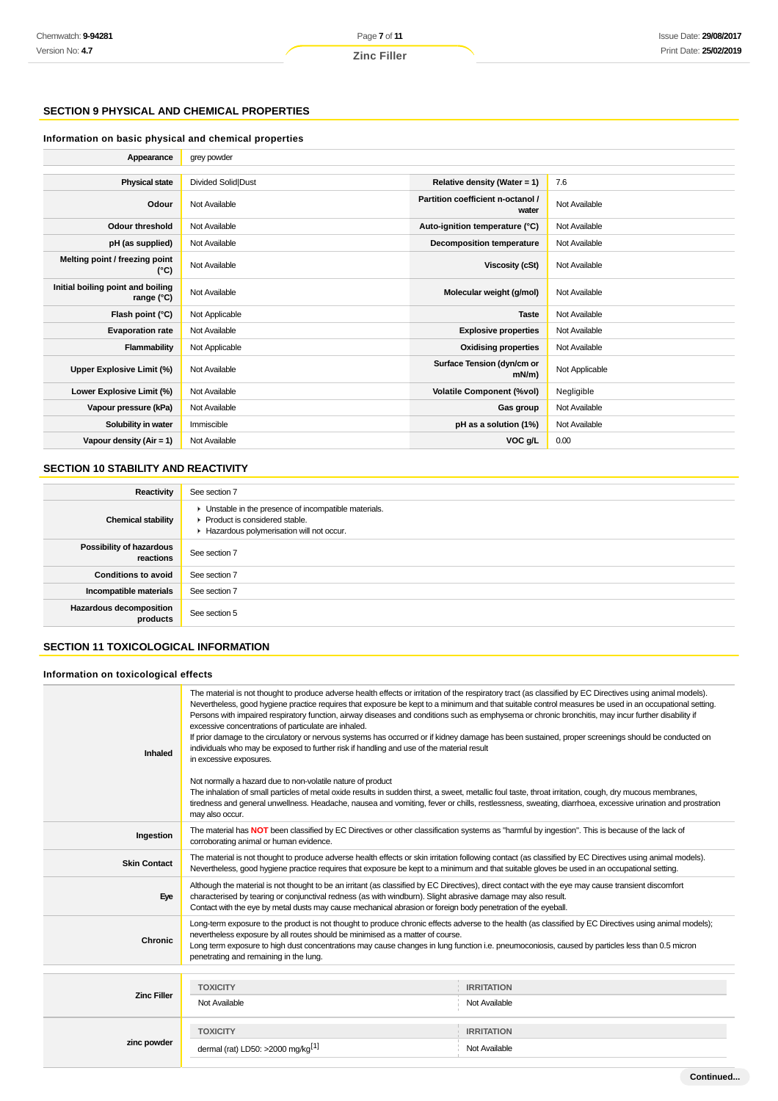### **SECTION 9 PHYSICAL AND CHEMICAL PROPERTIES**

### **Information on basic physical and chemical properties**

| Appearance                                      | grey powder        |                                            |                |
|-------------------------------------------------|--------------------|--------------------------------------------|----------------|
|                                                 |                    |                                            |                |
| <b>Physical state</b>                           | Divided Solid Dust | Relative density (Water = 1)               | 7.6            |
| Odour                                           | Not Available      | Partition coefficient n-octanol /<br>water | Not Available  |
| <b>Odour threshold</b>                          | Not Available      | Auto-ignition temperature (°C)             | Not Available  |
| pH (as supplied)                                | Not Available      | Decomposition temperature                  | Not Available  |
| Melting point / freezing point<br>(°C)          | Not Available      | Viscosity (cSt)                            | Not Available  |
| Initial boiling point and boiling<br>range (°C) | Not Available      | Molecular weight (g/mol)                   | Not Available  |
| Flash point (°C)                                | Not Applicable     | <b>Taste</b>                               | Not Available  |
| <b>Evaporation rate</b>                         | Not Available      | <b>Explosive properties</b>                | Not Available  |
| Flammability                                    | Not Applicable     | <b>Oxidising properties</b>                | Not Available  |
| Upper Explosive Limit (%)                       | Not Available      | Surface Tension (dyn/cm or<br>mN/m         | Not Applicable |
| Lower Explosive Limit (%)                       | Not Available      | <b>Volatile Component (%vol)</b>           | Negligible     |
| Vapour pressure (kPa)                           | Not Available      | Gas group                                  | Not Available  |
| Solubility in water                             | Immiscible         | pH as a solution (1%)                      | Not Available  |
| Vapour density $(Air = 1)$                      | Not Available      | VOC g/L                                    | 0.00           |

### **SECTION 10 STABILITY AND REACTIVITY**

| Reactivity                                   | See section 7                                                                                                                        |
|----------------------------------------------|--------------------------------------------------------------------------------------------------------------------------------------|
| <b>Chemical stability</b>                    | • Unstable in the presence of incompatible materials.<br>▶ Product is considered stable.<br>Hazardous polymerisation will not occur. |
| <b>Possibility of hazardous</b><br>reactions | See section 7                                                                                                                        |
| <b>Conditions to avoid</b>                   | See section 7                                                                                                                        |
| Incompatible materials                       | See section 7                                                                                                                        |
| <b>Hazardous decomposition</b><br>products   | See section 5                                                                                                                        |

### **SECTION 11 TOXICOLOGICAL INFORMATION**

#### **Information on toxicological effects**

| Inhaled             | The material is not thought to produce adverse health effects or irritation of the respiratory tract (as classified by EC Directives using animal models).<br>Nevertheless, good hygiene practice requires that exposure be kept to a minimum and that suitable control measures be used in an occupational setting.<br>Persons with impaired respiratory function, airway diseases and conditions such as emphysema or chronic bronchitis, may incur further disability if<br>excessive concentrations of particulate are inhaled.<br>If prior damage to the circulatory or nervous systems has occurred or if kidney damage has been sustained, proper screenings should be conducted on<br>individuals who may be exposed to further risk if handling and use of the material result<br>in excessive exposures.<br>Not normally a hazard due to non-volatile nature of product<br>The inhalation of small particles of metal oxide results in sudden thirst, a sweet, metallic foul taste, throat irritation, cough, dry mucous membranes,<br>tiredness and general unwellness. Headache, nausea and vomiting, fever or chills, restlessness, sweating, diarrhoea, excessive urination and prostration |                   |
|---------------------|-----------------------------------------------------------------------------------------------------------------------------------------------------------------------------------------------------------------------------------------------------------------------------------------------------------------------------------------------------------------------------------------------------------------------------------------------------------------------------------------------------------------------------------------------------------------------------------------------------------------------------------------------------------------------------------------------------------------------------------------------------------------------------------------------------------------------------------------------------------------------------------------------------------------------------------------------------------------------------------------------------------------------------------------------------------------------------------------------------------------------------------------------------------------------------------------------------------|-------------------|
|                     | may also occur.                                                                                                                                                                                                                                                                                                                                                                                                                                                                                                                                                                                                                                                                                                                                                                                                                                                                                                                                                                                                                                                                                                                                                                                           |                   |
| Ingestion           | The material has NOT been classified by EC Directives or other classification systems as "harmful by ingestion". This is because of the lack of<br>corroborating animal or human evidence.                                                                                                                                                                                                                                                                                                                                                                                                                                                                                                                                                                                                                                                                                                                                                                                                                                                                                                                                                                                                                |                   |
| <b>Skin Contact</b> | The material is not thought to produce adverse health effects or skin irritation following contact (as classified by EC Directives using animal models).<br>Nevertheless, good hygiene practice requires that exposure be kept to a minimum and that suitable gloves be used in an occupational setting.                                                                                                                                                                                                                                                                                                                                                                                                                                                                                                                                                                                                                                                                                                                                                                                                                                                                                                  |                   |
| Eye                 | Although the material is not thought to be an irritant (as classified by EC Directives), direct contact with the eye may cause transient discomfort<br>characterised by tearing or conjunctival redness (as with windburn). Slight abrasive damage may also result.<br>Contact with the eye by metal dusts may cause mechanical abrasion or foreign body penetration of the eyeball.                                                                                                                                                                                                                                                                                                                                                                                                                                                                                                                                                                                                                                                                                                                                                                                                                      |                   |
| <b>Chronic</b>      | Long-term exposure to the product is not thought to produce chronic effects adverse to the health (as classified by EC Directives using animal models);<br>nevertheless exposure by all routes should be minimised as a matter of course.<br>Long term exposure to high dust concentrations may cause changes in lung function i.e. pneumoconiosis, caused by particles less than 0.5 micron<br>penetrating and remaining in the lung.                                                                                                                                                                                                                                                                                                                                                                                                                                                                                                                                                                                                                                                                                                                                                                    |                   |
|                     |                                                                                                                                                                                                                                                                                                                                                                                                                                                                                                                                                                                                                                                                                                                                                                                                                                                                                                                                                                                                                                                                                                                                                                                                           |                   |
| <b>Zinc Filler</b>  | <b>TOXICITY</b>                                                                                                                                                                                                                                                                                                                                                                                                                                                                                                                                                                                                                                                                                                                                                                                                                                                                                                                                                                                                                                                                                                                                                                                           | <b>IRRITATION</b> |
|                     | Not Available                                                                                                                                                                                                                                                                                                                                                                                                                                                                                                                                                                                                                                                                                                                                                                                                                                                                                                                                                                                                                                                                                                                                                                                             | Not Available     |
|                     | <b>TOXICITY</b>                                                                                                                                                                                                                                                                                                                                                                                                                                                                                                                                                                                                                                                                                                                                                                                                                                                                                                                                                                                                                                                                                                                                                                                           | <b>IRRITATION</b> |
| zinc powder         | dermal (rat) LD50: >2000 mg/kg <sup>[1]</sup>                                                                                                                                                                                                                                                                                                                                                                                                                                                                                                                                                                                                                                                                                                                                                                                                                                                                                                                                                                                                                                                                                                                                                             | Not Available     |
|                     |                                                                                                                                                                                                                                                                                                                                                                                                                                                                                                                                                                                                                                                                                                                                                                                                                                                                                                                                                                                                                                                                                                                                                                                                           |                   |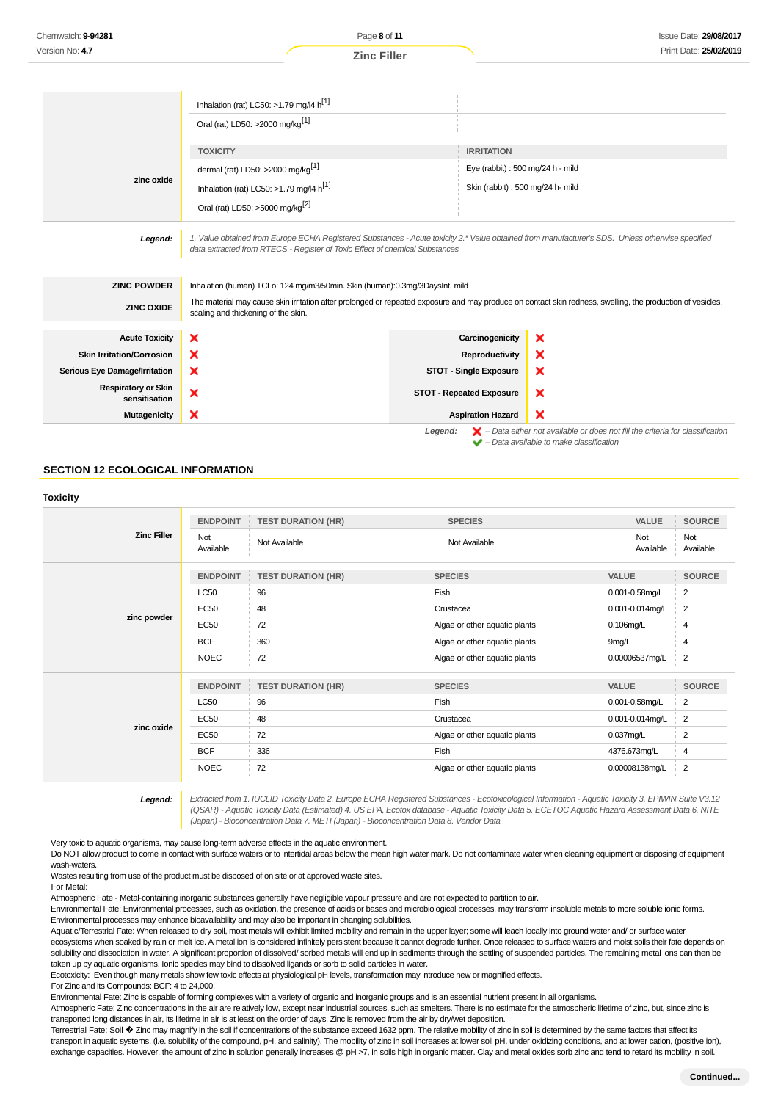|            | Inhalation (rat) LC50: >1.79 mg/l4 $h^{[1]}$<br>Oral (rat) LD50: >2000 mg/kg <sup>[1]</sup>                                                                                                                                     |                                                                                           |
|------------|---------------------------------------------------------------------------------------------------------------------------------------------------------------------------------------------------------------------------------|-------------------------------------------------------------------------------------------|
| zinc oxide | <b>TOXICITY</b><br>dermal (rat) LD50: >2000 mg/kg <sup>[1]</sup><br>Inhalation (rat) LC50: >1.79 mg/l4 $h^{[1]}$                                                                                                                | <b>IRRITATION</b><br>Eye (rabbit): 500 mg/24 h - mild<br>Skin (rabbit): 500 mg/24 h- mild |
|            | Oral (rat) LD50: >5000 mg/kg <sup>[2]</sup>                                                                                                                                                                                     |                                                                                           |
| Legend:    | 1. Value obtained from Europe ECHA Registered Substances - Acute toxicity 2.* Value obtained from manufacturer's SDS. Unless otherwise specified<br>data extracted from RTECS - Register of Toxic Effect of chemical Substances |                                                                                           |

| <b>ZINC POWDER</b>                          | Inhalation (human) TCLo: 124 mg/m3/50min. Skin (human):0.3mg/3DaysInt. mild                                                                                                                       |                                 |                                                                                                    |
|---------------------------------------------|---------------------------------------------------------------------------------------------------------------------------------------------------------------------------------------------------|---------------------------------|----------------------------------------------------------------------------------------------------|
| <b>ZINC OXIDE</b>                           | The material may cause skin irritation after prolonged or repeated exposure and may produce on contact skin redness, swelling, the production of vesicles,<br>scaling and thickening of the skin. |                                 |                                                                                                    |
|                                             |                                                                                                                                                                                                   |                                 |                                                                                                    |
| <b>Acute Toxicity</b>                       | ×                                                                                                                                                                                                 | Carcinogenicity                 | ×                                                                                                  |
| <b>Skin Irritation/Corrosion</b>            | ×                                                                                                                                                                                                 | Reproductivity                  | ×                                                                                                  |
| Serious Eye Damage/Irritation               | ×                                                                                                                                                                                                 | <b>STOT - Single Exposure</b>   | ×                                                                                                  |
| <b>Respiratory or Skin</b><br>sensitisation | ×                                                                                                                                                                                                 | <b>STOT - Repeated Exposure</b> | ×                                                                                                  |
| Mutagenicity                                | ×                                                                                                                                                                                                 | <b>Aspiration Hazard</b>        | $\boldsymbol{\mathsf{x}}$                                                                          |
|                                             |                                                                                                                                                                                                   | Legend:                         | $\blacktriangleright$ - Data either not available or does not fill the criteria for classification |

### **SECTION 12 ECOLOGICAL INFORMATION**

### **Toxicity Zinc Filler ENDPOINT TEST DURATION (HR) SPECIES VALUE SOURCE** Not Available Not Available Not Available Not Available Not Available **zinc powder ENDPOINT TEST DURATION (HR) SPECIES VALUE SOURCE**  $\sim$  LC50  $\sim$   $\sim$  96  $\sim$  96  $\sim$  96  $\sim$  96  $\sim$  96  $\sim$  96  $\sim$  96  $\sim$  96  $\sim$  96  $\sim$  96  $\sim$  96  $\sim$  97  $\sim$  97  $\sim$  97  $\sim$  97  $\sim$  97  $\sim$  97  $\sim$  97  $\sim$  97  $\sim$  97  $\sim$  97  $\sim$  97  $\sim$  97  $\sim$  97  $\sim$  97  $\sim$  9 EC50 48 Crustacea 0.001-0.014mg/L 2 EC50 72 Algae or other aquatic plants 0.106mg/L 4 BCF 360 360 Algae or other aquatic plants 9mg/L 4 NOEC 72 Algae or other aquatic plants 0.00006537mg/L 2 **zinc oxide ENDPOINT TEST DURATION (HR) SPECIES VALUE SOURCE**  $\sim$  LC50  $\sim$   $\sim$  96  $\sim$  96  $\sim$  96  $\sim$  96  $\sim$  96  $\sim$  96  $\sim$  96  $\sim$  96  $\sim$  96  $\sim$  96  $\sim$  96  $\sim$  97  $\sim$  97  $\sim$  97  $\sim$  97  $\sim$  97  $\sim$  97  $\sim$  97  $\sim$  97  $\sim$  97  $\sim$  97  $\sim$  97  $\sim$  97  $\sim$  97  $\sim$  97  $\sim$  9 EC50 48 Crustacea 0.001-0.014mg/L 2 EC50  $\frac{1}{2}$  72  $\frac{1}{2}$  Algae or other aquatic plants 0.037mg/L 2 BCF 336 Fish 4376.673mg/L 4 NOEC 72 Algae or other aquatic plants 0.00008138mg/L 2

**Legend:** Extracted from 1. IUCLID Toxicity Data 2. Europe ECHA Registered Substances - Ecotoxicological Information - Aquatic Toxicity 3. EPIWIN Suite V3.12 (QSAR) - Aquatic Toxicity Data (Estimated) 4. US EPA, Ecotox database - Aquatic Toxicity Data 5. ECETOC Aquatic Hazard Assessment Data 6. NITE (Japan) - Bioconcentration Data 7. METI (Japan) - Bioconcentration Data 8. Vendor Data

 $\blacktriangleright$  – Data available to make classification

Very toxic to aquatic organisms, may cause long-term adverse effects in the aquatic environment.

Do NOT allow product to come in contact with surface waters or to intertidal areas below the mean high water mark. Do not contaminate water when cleaning equipment or disposing of equipment wash-waters

Wastes resulting from use of the product must be disposed of on site or at approved waste sites.

For Metal:

Atmospheric Fate - Metal-containing inorganic substances generally have negligible vapour pressure and are not expected to partition to air.

Environmental Fate: Environmental processes, such as oxidation, the presence of acids or bases and microbiological processes, may transform insoluble metals to more soluble ionic forms. Environmental processes may enhance bioavailability and may also be important in changing solubilities.

Aquatic/Terrestrial Fate: When released to dry soil, most metals will exhibit limited mobility and remain in the upper layer; some will leach locally into ground water and/ or surface water

ecosystems when soaked by rain or melt ice. A metal ion is considered infinitely persistent because it cannot degrade further. Once released to surface waters and moist soils their fate depends on solubility and dissociation in water. A significant proportion of dissolved/ sorbed metals will end up in sediments through the settling of suspended particles. The remaining metal ions can then be taken up by aquatic organisms. Ionic species may bind to dissolved ligands or sorb to solid particles in water.

Ecotoxicity: Even though many metals show few toxic effects at physiological pH levels, transformation may introduce new or magnified effects.

For Zinc and its Compounds: BCF: 4 to 24,000.

Environmental Fate: Zinc is capable of forming complexes with a variety of organic and inorganic groups and is an essential nutrient present in all organisms.

Atmospheric Fate: Zinc concentrations in the air are relatively low, except near industrial sources, such as smelters. There is no estimate for the atmospheric lifetime of zinc, but, since zinc is transported long distances in air, its lifetime in air is at least on the order of days. Zinc is removed from the air by dry/wet deposition.

Terrestrial Fate: Soil � Zinc may magnify in the soil if concentrations of the substance exceed 1632 ppm. The relative mobility of zinc in soil is determined by the same factors that affect its transport in aquatic systems, (i.e. solubility of the compound, pH, and salinity). The mobility of zinc in soil increases at lower soil pH, under oxidizing conditions, and at lower cation, (positive ion), exchange capacities. However, the amount of zinc in solution generally increases @ pH >7, in soils high in organic matter. Clay and metal oxides sorb zinc and tend to retard its mobility in soil.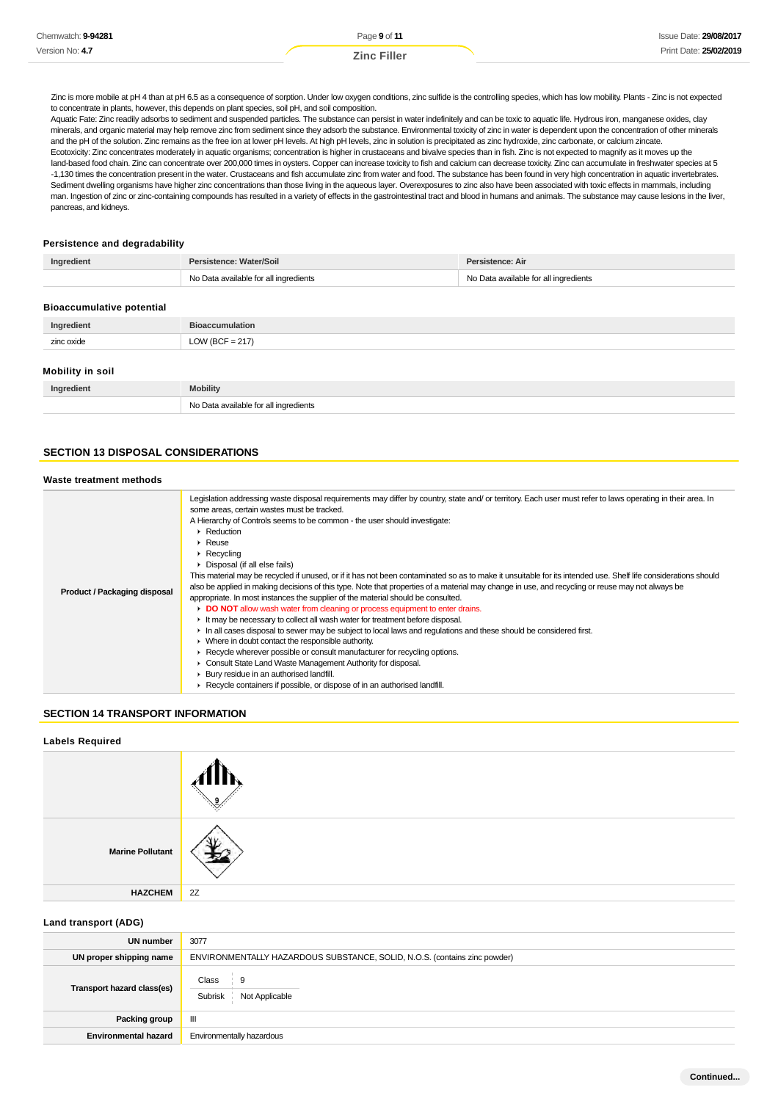| Chemwatch: 9-94281 | Page 9 of 11       | <b>Issue Date: 29/08/2017</b> |
|--------------------|--------------------|-------------------------------|
| Version No: 4.7    | <b>Zinc Filler</b> | Print Date: 25/02/2019        |

Zinc is more mobile at pH 4 than at pH 6.5 as a consequence of sorption. Under low oxygen conditions, zinc sulfide is the controlling species, which has low mobility. Plants - Zinc is not expected to concentrate in plants, however, this depends on plant species, soil pH, and soil composition.

Aquatic Fate: Zinc readily adsorbs to sediment and suspended particles. The substance can persist in water indefinitely and can be toxic to aquatic life. Hydrous iron, manganese oxides, clay minerals, and organic material may help remove zinc from sediment since they adsorb the substance. Environmental toxicity of zinc in water is dependent upon the concentration of other minerals and the pH of the solution. Zinc remains as the free ion at lower pH levels. At high pH levels, zinc in solution is precipitated as zinc hydroxide, zinc carbonate, or calcium zincate. Ecotoxicity: Zinc concentrates moderately in aquatic organisms; concentration is higher in crustaceans and bivalve species than in fish. Zinc is not expected to magnify as it moves up the land-based food chain. Zinc can concentrate over 200,000 times in oysters. Copper can increase toxicity to fish and calcium can decrease toxicity. Zinc can accumulate in freshwater species at 5 -1,130 times the concentration present in the water. Crustaceans and fish accumulate zinc from water and food. The substance has been found in very high concentration in aquatic invertebrates. Sediment dwelling organisms have higher zinc concentrations than those living in the aqueous layer. Overexposures to zinc also have been associated with toxic effects in mammals, including man. Ingestion of zinc or zinc-containing compounds has resulted in a variety of effects in the gastrointestinal tract and blood in humans and animals. The substance may cause lesions in the liver, pancreas, and kidneys.

#### **Persistence and degradability**

| Ingredient                       | Persistence: Water/Soil               | Persistence: Air                      |
|----------------------------------|---------------------------------------|---------------------------------------|
|                                  | No Data available for all ingredients | No Data available for all ingredients |
|                                  |                                       |                                       |
| <b>Bioaccumulative potential</b> |                                       |                                       |
| Ingredient                       | <b>Bioaccumulation</b>                |                                       |
| zinc oxide                       | LOW (BCF = $217$ )                    |                                       |
|                                  |                                       |                                       |
| Mobility in soil                 |                                       |                                       |
| Ingredient                       | <b>Mobility</b>                       |                                       |
|                                  | No Data available for all ingredients |                                       |

### **SECTION 13 DISPOSAL CONSIDERATIONS**

#### **Waste treatment methods**

| Product / Packaging disposal | Legislation addressing waste disposal requirements may differ by country, state and/or territory. Each user must refer to laws operating in their area. In<br>some areas, certain wastes must be tracked.<br>A Hierarchy of Controls seems to be common - the user should investigate:<br>• Reduction<br>$\triangleright$ Reuse<br>$\triangleright$ Recycling<br>▶ Disposal (if all else fails)<br>This material may be recycled if unused, or if it has not been contaminated so as to make it unsuitable for its intended use. Shelf life considerations should<br>also be applied in making decisions of this type. Note that properties of a material may change in use, and recycling or reuse may not always be<br>appropriate. In most instances the supplier of the material should be consulted.<br>DO NOT allow wash water from cleaning or process equipment to enter drains.<br>If It may be necessary to collect all wash water for treatment before disposal.<br>In all cases disposal to sewer may be subject to local laws and regulations and these should be considered first.<br>$\blacktriangleright$ Where in doubt contact the responsible authority.<br>► Recycle wherever possible or consult manufacturer for recycling options.<br>• Consult State Land Waste Management Authority for disposal.<br>▶ Bury residue in an authorised landfill. |
|------------------------------|-------------------------------------------------------------------------------------------------------------------------------------------------------------------------------------------------------------------------------------------------------------------------------------------------------------------------------------------------------------------------------------------------------------------------------------------------------------------------------------------------------------------------------------------------------------------------------------------------------------------------------------------------------------------------------------------------------------------------------------------------------------------------------------------------------------------------------------------------------------------------------------------------------------------------------------------------------------------------------------------------------------------------------------------------------------------------------------------------------------------------------------------------------------------------------------------------------------------------------------------------------------------------------------------------------------------------------------------------------------------------|
|------------------------------|-------------------------------------------------------------------------------------------------------------------------------------------------------------------------------------------------------------------------------------------------------------------------------------------------------------------------------------------------------------------------------------------------------------------------------------------------------------------------------------------------------------------------------------------------------------------------------------------------------------------------------------------------------------------------------------------------------------------------------------------------------------------------------------------------------------------------------------------------------------------------------------------------------------------------------------------------------------------------------------------------------------------------------------------------------------------------------------------------------------------------------------------------------------------------------------------------------------------------------------------------------------------------------------------------------------------------------------------------------------------------|

### **SECTION 14 TRANSPORT INFORMATION**

#### **Labels Required**

| <b>Marine Pollutant</b> |    |
|-------------------------|----|
| <b>HAZCHEM</b>          | 2Z |

#### **Land transport (ADG)**

| <b>UN number</b>            | 3077                                                                      |
|-----------------------------|---------------------------------------------------------------------------|
| UN proper shipping name     | ENVIRONMENTALLY HAZARDOUS SUBSTANCE, SOLID, N.O.S. (contains zinc powder) |
| Transport hazard class(es)  | Class<br>9<br>Subrisk<br>Not Applicable                                   |
| Packing group               | Ш                                                                         |
| <b>Environmental hazard</b> | Environmentally hazardous                                                 |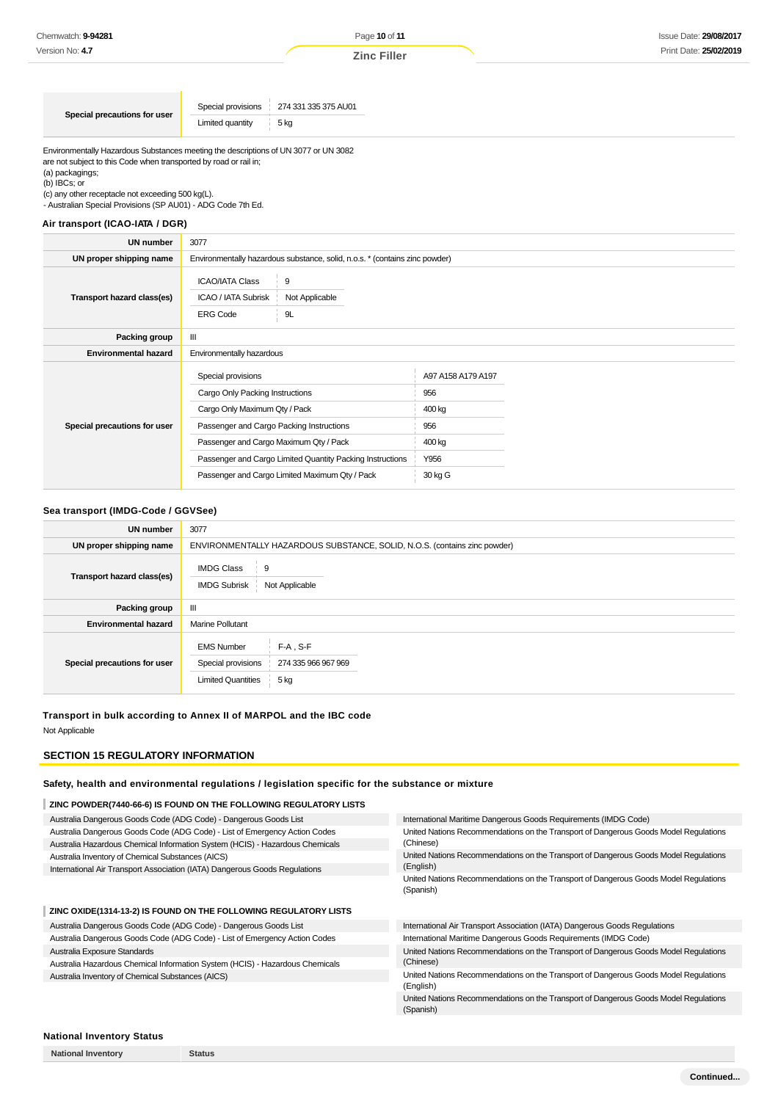| Special provisions 274 331 335 375 AU01 |
|-----------------------------------------|
| 5 ka<br>Limited quantity                |
|                                         |

Environmentally Hazardous Substances meeting the descriptions of UN 3077 or UN 3082 are not subject to this Code when transported by road or rail in; (a) packagings;

(b) IBCs; or

(c) any other receptacle not exceeding 500 kg(L).

- Australian Special Provisions (SP AU01) - ADG Code 7th Ed.

#### **Air transport (ICAO-IATA / DGR)**

| <b>UN number</b>             | 3077                                                                                                                                                                                                                                                                                        |                                                                         |  |
|------------------------------|---------------------------------------------------------------------------------------------------------------------------------------------------------------------------------------------------------------------------------------------------------------------------------------------|-------------------------------------------------------------------------|--|
| UN proper shipping name      | Environmentally hazardous substance, solid, n.o.s. * (contains zinc powder)                                                                                                                                                                                                                 |                                                                         |  |
| Transport hazard class(es)   | 9<br><b>ICAO/IATA Class</b><br>ICAO / IATA Subrisk<br>Not Applicable<br><b>ERG Code</b><br>9L                                                                                                                                                                                               |                                                                         |  |
| Packing group                | $\mathbf{III}$                                                                                                                                                                                                                                                                              |                                                                         |  |
| <b>Environmental hazard</b>  | Environmentally hazardous                                                                                                                                                                                                                                                                   |                                                                         |  |
| Special precautions for user | Special provisions<br>Cargo Only Packing Instructions<br>Cargo Only Maximum Qty / Pack<br>Passenger and Cargo Packing Instructions<br>Passenger and Cargo Maximum Qty / Pack<br>Passenger and Cargo Limited Quantity Packing Instructions<br>Passenger and Cargo Limited Maximum Qty / Pack | A97 A158 A179 A197<br>956<br>400 kg<br>956<br>400 kg<br>Y956<br>30 kg G |  |

#### **Sea transport (IMDG-Code / GGVSee)**

| UN number                    | 3077                                                                      |                                            |  |
|------------------------------|---------------------------------------------------------------------------|--------------------------------------------|--|
| UN proper shipping name      | ENVIRONMENTALLY HAZARDOUS SUBSTANCE, SOLID, N.O.S. (contains zinc powder) |                                            |  |
| Transport hazard class(es)   | <b>IMDG Class</b><br>∶ 9<br><b>IMDG Subrisk</b><br>Not Applicable         |                                            |  |
| Packing group                | Ш                                                                         |                                            |  |
| <b>Environmental hazard</b>  | <b>Marine Pollutant</b>                                                   |                                            |  |
| Special precautions for user | <b>EMS Number</b><br>Special provisions<br><b>Limited Quantities</b>      | $F-A$ . S-F<br>274 335 966 967 969<br>5 kg |  |

### **Transport in bulk according to Annex II of MARPOL and the IBC code**

Not Applicable

### **SECTION 15 REGULATORY INFORMATION**

#### **Safety, health and environmental regulations / legislation specific for the substance or mixture**

| Australia Dangerous Goods Code (ADG Code) - Dangerous Goods List<br>International Maritime Dangerous Goods Requirements (IMDG Code)<br>Australia Dangerous Goods Code (ADG Code) - List of Emergency Action Codes<br>(Chinese)<br>Australia Hazardous Chemical Information System (HCIS) - Hazardous Chemicals<br>Australia Inventory of Chemical Substances (AICS)<br>(English)<br>International Air Transport Association (IATA) Dangerous Goods Regulations<br>(Spanish) | ZINC POWDER(7440-66-6) IS FOUND ON THE FOLLOWING REGULATORY LISTS |                                                                                      |
|-----------------------------------------------------------------------------------------------------------------------------------------------------------------------------------------------------------------------------------------------------------------------------------------------------------------------------------------------------------------------------------------------------------------------------------------------------------------------------|-------------------------------------------------------------------|--------------------------------------------------------------------------------------|
|                                                                                                                                                                                                                                                                                                                                                                                                                                                                             |                                                                   |                                                                                      |
|                                                                                                                                                                                                                                                                                                                                                                                                                                                                             |                                                                   | United Nations Recommendations on the Transport of Dangerous Goods Model Regulations |
|                                                                                                                                                                                                                                                                                                                                                                                                                                                                             |                                                                   |                                                                                      |
|                                                                                                                                                                                                                                                                                                                                                                                                                                                                             |                                                                   | United Nations Recommendations on the Transport of Dangerous Goods Model Regulations |
|                                                                                                                                                                                                                                                                                                                                                                                                                                                                             |                                                                   |                                                                                      |
|                                                                                                                                                                                                                                                                                                                                                                                                                                                                             |                                                                   | United Nations Recommendations on the Transport of Dangerous Goods Model Regulations |

**ZINC OXIDE(1314-13-2) IS FOUND ON THE FOLLOWING REGULATORY LISTS**

Australia Dangerous Goods Code (ADG Code) - Dangerous Goods List Australia Dangerous Goods Code (ADG Code) - List of Emergency Action Codes Australia Exposure Standards

Australia Hazardous Chemical Information System (HCIS) - Hazardous Chemicals Australia Inventory of Chemical Substances (AICS)

International Air Transport Association (IATA) Dangerous Goods Regulations International Maritime Dangerous Goods Requirements (IMDG Code) United Nations Recommendations on the Transport of Dangerous Goods Model Regulations (Chinese)

United Nations Recommendations on the Transport of Dangerous Goods Model Regulations (English)

United Nations Recommendations on the Transport of Dangerous Goods Model Regulations (Spanish)

#### **National Inventory Status**